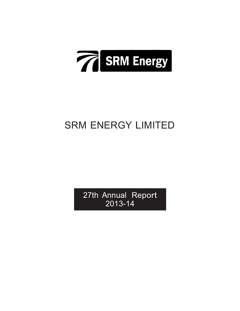

# SRM ENERGY LIMITED

27th Annual Report 2013-14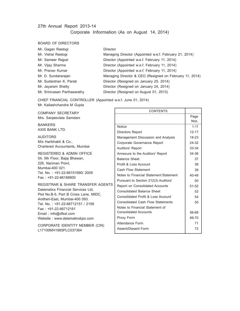# 27th Annual Report 2013-14 Corporate Information (As on August 14, 2014)

# BOARD OF DIRECTORS

| Mr. Gagan Rastogi            | Director                                                |
|------------------------------|---------------------------------------------------------|
| Mr. Vishal Rastogi           | Managing Director (Appointed w.e.f. February 21, 2014)  |
| Mr. Sameer Raipal            | Director (Appointed w.e.f. February 11, 2014)           |
| Mr. Vijay Sharma             | Director (Appointed w.e.f. February 11, 2014)           |
| Mr. Pranav Kumar             | Director (Appointed w.e.f. February 11, 2014)           |
| Mr. D. Sundararajan          | Managing Director & CEO (Resigned on February 11, 2014) |
| Mr. Sudarshan K. Parab       | Director (Resigned on January 25, 2014)                 |
| Mr. Jayaram Shetty           | Director (Resigned on January 24, 2014)                 |
| Mr. Srinivasan Parthasarathy | Director (Resigned on August 01, 2013)                  |

CHIEF FINANCIAL CONTROLLER (Appointed w.e.f. June 01, 2014) Mr. Kailashchandra M Gupta

| COMPANY SECRETARY                                                                                                                                                            | <b>CONTENTS</b>                          |           |
|------------------------------------------------------------------------------------------------------------------------------------------------------------------------------|------------------------------------------|-----------|
| Mrs. Sanjeevlata Samdani                                                                                                                                                     |                                          | Page      |
|                                                                                                                                                                              |                                          | Nos.      |
| <b>BANKERS</b><br>AXIS BANK LTD.                                                                                                                                             | <b>Notice</b>                            | $1 - 11$  |
|                                                                                                                                                                              | Directors Report                         | $12 - 17$ |
| <b>AUDITORS</b>                                                                                                                                                              | Management Discussion and Analysis       | $18-23$   |
| M/s Haribhakti & Co.,                                                                                                                                                        | Corporate Governance Report              | 24-32     |
| Chartered Accountants, Mumbai                                                                                                                                                | Auditors' Report                         | $33 - 34$ |
| REGISTERED & ADMIN OFFICE                                                                                                                                                    | Annexure to the Auditors' Report         | 34-36     |
| 54, 5th Floor, Bajaj Bhawan,                                                                                                                                                 | <b>Balance Sheet</b>                     | 37        |
| 226, Nariman Point,                                                                                                                                                          | Profit & Loss Account                    | 38        |
| Mumbai-400 021.                                                                                                                                                              | Cash Flow Statement                      | 39        |
| Tel. No.: +91-22-66151690/2009<br>$Fax: +91-22-66168900$<br>REGISTRAR & SHARE TRANSFER AGENTS<br>Datamatics Financial Services Ltd.<br>Plot No.B-5, Part B Cross Lane, MIDC, | Notes to Financial Statement Statement   | 40-49     |
|                                                                                                                                                                              | Pursuant to Section 212(3) Auditors'     | 50        |
|                                                                                                                                                                              | Report on Consolidated Accounts          | 51-52     |
|                                                                                                                                                                              | <b>Consolidated Balance Sheet</b>        | 53        |
|                                                                                                                                                                              | Consolidated Profit & Loss Account       | 54        |
| Andheri-East, Mumbai-400 093.<br>Tel. No.: +91-22-66712151 / 2156                                                                                                            | <b>Consolidated Cash Flow Statements</b> | 55        |
| $Fax: +91-22-66712161$                                                                                                                                                       | Notes to Financial Statement of          |           |
| Email: info@dfssl.com                                                                                                                                                        | <b>Consolidated Accounts</b>             | 56-68     |
| Website: www.datamaticsbpo.com                                                                                                                                               | Proxy Form                               | 69-70     |
|                                                                                                                                                                              | Attendance Form                          | 71        |
| CORPORATE IDENTITY NEMBER (CIN)<br>L17100MH1985PLC037364                                                                                                                     | Assent/Dissent Form                      | 72        |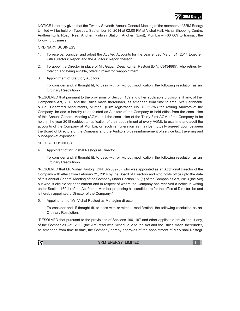NOTICE is hereby given that the Twenty Seventh Annual General Meeting of the members of SRM Energy Limited will be held on Tuesday, September 30, 2014 at 02.00 PM at Vishal Hall, Vishal Shopping Centre, Andheri Kurla Road, Near Andheri Railway Station, Andheri (East), Mumbai – 400 069 to transact the following business:

# ORDINARY BUSINESS

- 1. To receive, consider and adopt the Audited Accounts for the year ended March 31, 2014 together with Directors' Report and the Auditors' Report thereon.
- 2. To appoint a Director in place of Mr. Gagan Deep Kumar Rastogi (DIN: 03434885), who retires by rotation and being eligible, offers himself for reappointment.
- 3. Appointment of Statutory Auditors

To consider and, if thought fit, to pass with or without modification, the following resolution as an Ordinary Resolution:-

"RESOLVED that pursuant to the provisions of Section 139 and other applicable provisions, if any, of the Companies Act, 2013 and the Rules made thereunder, as amended from time to time, M/s Haribhakti & Co., Chartered Accountants, Mumbai, (Firm registration No. 103523W) the retiring Auditors of the Company, be and is hereby re-appointed as Auditors of the Company to hold office from the conclusion of this Annual General Meeting (AGM) until the conclusion of the Thirty First AGM of the Company to be held in the year 2018 (subject to ratification of their appointment at every AGM), to examine and audit the accounts of the Company at Mumbai, on such remuneration as may be mutually agreed upon between the Board of Directors of the Company and the Auditors plus reimbursement of service tax, travelling and out-of-pocket expenses."

# SPECIAL BUSINESS

4. Appointent of Mr. Vishal Rastogi as Director

To consider and, if thought fit, to pass with or without modification, the following resolution as an Ordinary Resolution:-

"RESOLVED that Mr. Vishal Rastogi (DIN: 02780975), who was appointed as an Additional Director of the Company with effect from February 21, 2014 by the Board of Directors and who holds office upto the date of this Annual General Meeting of the Company under Section 161(1) of the Companies Act, 2013 (the Act) but who is eligible for appointment and in respect of whom the Company has received a notice in writing under Section 160(1) of the Act from a Member proposing his candidature for the office of Director, be and is hereby appointed a Director of the Company."

5. Appointment of Mr. Vishal Rastogi as Managing director

To consider and, if thought fit, to pass with or without modification, the following resolution as an Ordinary Resolution:-

"RESOLVED that pursuant to the provisions of Sections 196, 197 and other applicable provisions, if any, of the Companies Act, 2013 (the Act) read with Schedule V to the Act and the Rules made thereunder, as amended from time to time, the Company hereby approves of the appointment of Mr Vishal Rastogi

 $\Xi$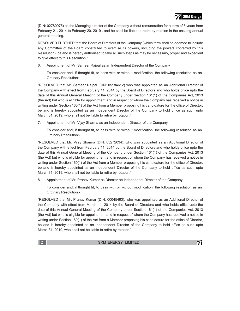(DIN: 02780975) as the Managing director of the Company without remuneration for a term of 5 years from February 21, 2014 to February 20, 2019 , and he shall be liable to retire by rotation in the ensuing annual general meeting.

RESOLVED FURTHER that the Board of Directors of the Company (which term shall be deemed to include any Committee of the Board constituted to exercise its powers, including the powers conferred by this Resolution), be and is hereby authorised to take all such steps as may be necessary, proper and expedient to give effect to this Resolution."

6. Appointment of Mr. Sameer Rajpal as an Independent Director of the Company

To consider and, if thought fit, to pass with or without modification, the following resolution as an Ordinary Resolution:-

"RESOLVED that Mr. Sameer Rajpal (DIN: 05184612) who was appointed as an Additional Director of the Company with effect from February 11, 2014 by the Board of Directors and who holds office upto the date of this Annual General Meeting of the Company under Section 161(1) of the Companies Act, 2013 (the Act) but who is eligible for appointment and in respect of whom the Company has received a notice in writing under Section 160(1) of the Act from a Member proposing his candidature for the office of Director, be and is hereby appointed as an Independent Director of the Company to hold office as such upto March 31, 2019, who shall not be liable to retire by rotation."

7. Appointment of Mr. Vijay Sharma as an Independent Director of the Company

To consider and, if thought fit, to pass with or without modification, the following resolution as an Ordinary Resolution:-

"RESOLVED that Mr. Vijay Sharma (DIN: 03272034), who was appointed as an Additional Director of the Company with effect from February 11, 2014 by the Board of Directors and who holds office upto the date of this Annual General Meeting of the Company under Section 161(1) of the Companies Act, 2013 (the Act) but who is eligible for appointment and in respect of whom the Company has received a notice in writing under Section 160(1) of the Act from a Member proposing his candidature for the office of Director, be and is hereby appointed as an Independent Director of the Company to hold office as such upto March 31, 2019, who shall not be liable to retire by rotation."

8. Appointment of Mr. Pranav Kumar as Director an Independent Director of the Company

To consider and, if thought fit, to pass with or without modification, the following resolution as an Ordinary Resolution:-

"RESOLVED that Mr. Pranav Kumar (DIN: 00045493), who was appointed as an Additional Director of the Company with effect from March 11, 2014 by the Board of Directors and who holds office upto the date of this Annual General Meeting of the Company under Section 161(1) of the Companies Act, 2013 (the Act) but who is eligible for appointment and in respect of whom the Company has received a notice in writing under Section 160(1) of the Act from a Member proposing his candidature for the office of Director, be and is hereby appointed as an Independent Director of the Company to hold office as such upto March 31, 2019, who shall not be liable to retire by rotation."

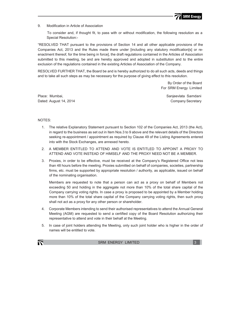

9. Modification in Article of Association

To consider and, if thought fit, to pass with or without modification, the following resolution as a Special Resolution:-

"RESOLVED THAT pursuant to the provisions of Section 14 and all other applicable provisions of the Companies Act, 2013 and the Rules made there under [including any statutory modification[s] or reenactment thereof, for the time being in force], the draft regulations contained in the Articles of Association submitted to this meeting, be and are hereby approved and adopted in substitution and to the entire exclusion of the regulations contained in the existing Articles of Association of the Company.

RESOLVED FURTHER THAT, the Board be and is hereby authorized to do all such acts, deeds and things and to take all such steps as may be necessary for the purpose of giving effect to this resolution.

> By Order of the Board For SRM Energy Limited

Place: Mumbai, Sanjeevlata Samdani Sanjeevlata Samdani Sanjeevlata Samdani Samdani Dated: August 14, 2014 **Company Secretary** 

# NOTES:

- 1. The relative Explanatory Statement pursuant to Section 102 of the Companies Act, 2013 (the Act), in regard to the business as set out in Item Nos.3 to 9 above and the relevant details of the Directors seeking re-appointment / appointment as required by Clause 49 of the Listing Agreements entered into with the Stock Exchanges, are annexed hereto.
- 2. A MEMBER ENTITLED TO ATTEND AND VOTE IS ENTITLED TO APPOINT A PROXY TO ATTEND AND VOTE INSTEAD OF HIMSELF AND THE PROXY NEED NOT BE A MEMBER.
- 3. Proxies, in order to be effective, must be received at the Company's Registered Office not less than 48 hours before the meeting. Proxies submitted on behalf of companies, societies, partnership firms, etc. must be supported by appropriate resolution / authority, as applicable, issued on behalf of the nominating organisation.

Members are requested to note that a person can act as a proxy on behalf of Members not exceeding 50 and holding in the aggregate not more than 10% of the total share capital of the Company carrying voting rights. In case a proxy is proposed to be appointed by a Member holding more than 10% of the total share capital of the Company carrying voting rights, then such proxy shall not act as a proxy for any other person or shareholder.

- 4. Corporate Members intending to send their authorised representatives to attend the Annual General Meeting (AGM) are requested to send a certified copy of the Board Resolution authorizing their representative to attend and vote in their behalf at the Meeting.
- 5. In case of joint holders attending the Meeting, only such joint holder who is higher in the order of names will be entitled to vote.



SRM ENERGY LIMITED 3 3 3 3 3 3 4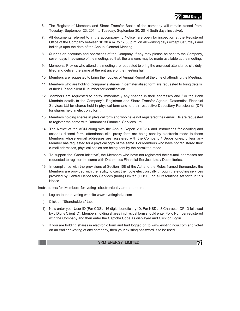- 6. The Register of Members and Share Transfer Books of the company will remain closed from Tuesday, September 23, 2014 to Tuesday, September 30, 2014 (both days inclusive).
- 7. All documents referred to in the accompanying Notice are open for inspection at the Registered Office of the Company between 10.30 a.m. to 12.30 p.m. on all working days except Saturdays and holidays upto the date of the Annual General Meeting.
- 8. Queries on accounts and operations of the Company, if any may please be sent to the Company, seven days in advance of the meeting, so that, the answers may be made available at the meeting.
- 9. Members / Proxies who attend the meeting are requested to bring the enclosed attendance slip duly filled and deliver the same at the entrance of the meeting hall.
- 10. Members are requested to bring their copies of Annual Report at the time of attending the Meeting.
- 11. Members who are holding Company's shares in dematerialised form are requested to bring details of their DP and client ID number for identification.
- 12. Members are requested to notify immediately any change in their addresses and / or the Bank Mandate details to the Company's Registrars and Share Transfer Agents, Datamatics Financial Services Ltd for shares held in physical form and to their respective Depository Participants (DP) for shares held in electronic form.
- 13. Members holding shares in physical form and who have not registered their email IDs are requested to register the same with Datamatics Financial Services Ltd.
- 14. The Notice of the AGM along with the Annual Report 2013-14 and instructions for e-voting and assent / dissent form, attendance slip, proxy form are being sent by electronic mode to those Members whose e-mail addresses are registered with the Company / Depositories, unless any Member has requested for a physical copy of the same. For Members who have not registered their e-mail addresses, physical copies are being sent by the permitted mode.
- 15. To support the 'Green Initiative', the Members who have not registered their e-mail addresses are requested to register the same with Datamatics Financial Services Ltd. / Depositories.
- 16. In compliance with the provisions of Section 108 of the Act and the Rules framed thereunder, the Members are provided with the facility to cast their vote electronically through the e-voting services provided by Central Depository Services (India) Limited (CDSL), on all resolutions set forth in this Notice.

Instructions for Members for voting electronically are as under :-

- i) Log on to the e-voting website www.evotingindia.com
- ii) Click on "Shareholders" tab.
- iii) Now enter your User ID (For CDSL: 16 digits beneficiary ID, For NSDL: 8 Character DP ID followed by 8 Digits Client ID). Members holding shares in physical form should enter Folio Number registered with the Company and then enter the Captcha Code as displayed and Click on Login.
- iv) If you are holding shares in electronic form and had logged on to www.evotingindia.com and voted on an earlier e-voting of any company, then your existing password is to be used.

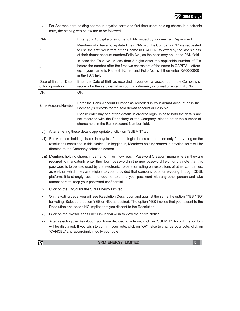

v) For Shareholders holding shares in physical form and first time users holding shares in electronic form, the steps given below are to be followed:

| <b>PAN</b>                                | Enter your 10 digit alpha-numeric PAN issued by Income Tax Department.                                                                                                                                                                                                |
|-------------------------------------------|-----------------------------------------------------------------------------------------------------------------------------------------------------------------------------------------------------------------------------------------------------------------------|
| $\ast$                                    | Members who have not updated their PAN with the Company / DP are requested<br>to use the first two letters of their name in CAPITAL followed by the last 8 digits<br>of their demat account number/Folio No., as the case may be, in the PAN field.                   |
| $\star$                                   | In case the Folio No. is less than 8 digits enter the applicable number of '0's<br>before the number after the first two characters of the name in CAPITAL letters.<br>eg. If your name is Ramesh Kumar and Folio No. is 1 then enter RA00000001<br>in the PAN field. |
| Date of Birth or Date<br>of Incorporation | Enter the Date of Birth as recorded in your demat account or in the Company's<br>records for the said demat account in dd/mm/yyyy format or enter Folio No.                                                                                                           |
| OR.                                       | OR.                                                                                                                                                                                                                                                                   |
| <b>Bank Account Number</b>                | Enter the Bank Account Number as recorded in your demat account or in the<br>Company's records for the said demat account or Folio No.                                                                                                                                |
|                                           | Please enter any one of the details in order to login. In case both the details are<br>not recorded with the Depository or the Company, please enter the number of<br>shares held in the Bank Account Number field.                                                   |

vi) After entering these details appropriately, click on "SUBMIT" tab.

- vii) For Members holding shares in physical form, the login details can be used only for e-voting on the resolutions contained in this Notice. On logging in, Members holding shares in physical form will be directed to the Company selection screen.
- viii) Members holding shares in demat form will now reach 'Password Creation' menu wherein they are required to mandatorily enter their login password in the new password field. Kindly note that this password is to be also used by the electronic holders for voting on resolutions of other companies, as well, on which they are eligible to vote, provided that company opts for e-voting through CDSL platform. It is strongly recommended not to share your password with any other person and take utmost care to keep your password confidential.
- ix) Click on the EVSN for the SRM Energy Limited.
- x) On the voting page, you will see Resolution Description and against the same the option "YES / NO" for voting. Select the option YES or NO, as desired. The option YES implies that you assent to the Resolution and option NO implies that you dissent to the Resolution.
- xi) Click on the "Resolutions File" Link if you wish to view the entire Notice.
- xii) After selecting the Resolution you have decided to vote on, click on "SUBMIT". A confirmation box will be displayed. If you wish to confirm your vote, click on "OK", else to change your vote, click on "CANCEL" and accordingly modify your vote.

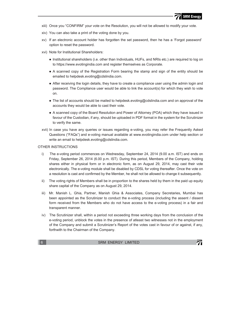- xiii) Once you "CONFIRM" your vote on the Resolution, you will not be allowed to modify your vote.
- xiv) You can also take a print of the voting done by you.
- xv) If an electronic account holder has forgotten the set password, then he has a 'Forgot password' option to reset the password.
- xvi) Note for Institutional Shareholders:
	- Institutional shareholders (i.e. other than Individuals, HUFs, and NRIs etc.) are required to log on to https://www.evotingindia.com and register themselves as Corporate.
	- A scanned copy of the Registration Form bearing the stamp and sign of the entity should be emailed to helpdesk.evoting@cdslindia.com.
	- After receiving the login details, they have to create a compliance user using the admin login and password. The Compliance user would be able to link the account(s) for which they wish to vote on.
	- The list of accounts should be mailed to helpdesk.evoting@cdslindia.com and on approval of the accounts they would be able to cast their vote.
	- A scanned copy of the Board Resolution and Power of Attorney (POA) which they have issued in favour of the Custodian, if any, should be uploaded in PDF format in the system for the Scrutinizer to verify the same.
- xvii) In case you have any queries or issues regarding e-voting, you may refer the Frequently Asked Questions ("FAQs") and e-voting manual available at www.evotingindia.com under help section or write an email to helpdesk.evoting@cdslindia.com.

# OTHER INSTRUCTIONS

- i) The e-voting period commences on Wednesday, September 24, 2014 (9.00 a.m. IST) and ends on Friday, September 26, 2014 (6.00 p.m. IST). During this period, Members of the Company, holding shares either in physical form or in electronic form, as on August 29, 2014, may cast their vote electronically. The e-voting module shall be disabled by CDSL for voting thereafter. Once the vote on a resolution is cast and confirmed by the Member, he shall not be allowed to change it subsequently.
- ii) The voting rights of Members shall be in proportion to the shares held by them in the paid up equity share capital of the Company as on August 29, 2014.
- iii) Mr. Manish L. Ghia, Partner, Manish Ghia & Associates, Company Secretaries, Mumbai has been appointed as the Scrutinizer to conduct the e-voting process (including the assent / dissent form received from the Members who do not have access to the e-voting process) in a fair and transparent manner.
- iv) The Scrutinizer shall, within a period not exceeding three working days from the conclusion of the e-voting period, unblock the votes in the presence of atleast two witnesses not in the employment of the Company and submit a Scrutinizer's Report of the votes cast in favour of or against, if any, forthwith to the Chairman of the Company.

#### **6 SRM ENERGY LIMITED**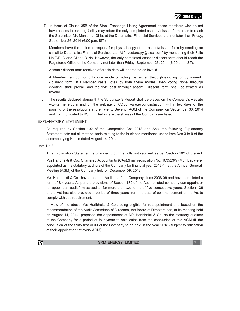17. In terms of Clause 35B of the Stock Exchange Listing Agreement, those members who do not have access to e-voting facility may return the duly completed assent / dissent form so as to reach the Scrutinizer Mr. Manish L. Ghia, at the Datamatics Financial Services Ltd. not later than Friday, September 26, 2014 (6.00 p.m. IST).

Members have the option to request for physical copy of the assent/dissent form by sending an e-mail to Datamatics Financial Services Ltd. At 'investorsqry@dfssl.com' by mentioning their Folio No./DP ID and Client ID No. However, the duly completed assent / dissent form should reach the Registered Office of the Company not later than Friday, September 26, 2014 (6.00 p.m. IST).

Assent / dissent form received after this date will be treated as invalid.

A Member can opt for only one mode of voting i.e. either through e-voting or by assent / dissent form. If a Member casts votes by both these modes, then voting done through e-voting shall prevail and the vote cast through assent / dissent form shall be treated as invalid.

v) The results declared alongwith the Scrutinizer's Report shall be placed on the Company's website www.srmenergy.in and on the website of CDSL www.evotingindia.com within two days of the passing of the resolutions at the Twenty Seventh AGM of the Company on September 30, 2014 and communicated to BSE Limited where the shares of the Company are listed.

# EXPLANATORY STATEMENT

As required by Section 102 of the Companies Act, 2013 (the Act), the following Explanatory Statement sets out all material facts relating to the business mentioned under Item Nos.3 to 9 of the accompanying Notice dated August 14, 2014:

# Item No.3

This Explanatory Statement is provided though strictly not required as per Section 102 of the Act.

M/s Haribhakti & Co., Chartered Accountants (CAs),(Firm registration No. 103523W) Mumbai, were appointed as the statutory auditors of the Company for financial year 2013-14 at the Annual General Meeting (AGM) of the Company held on December 09, 2013

M/s Haribhakti & Co., have been the Auditors of the Company since 2008-09 and have completed a term of Six years. As per the provisions of Section 139 of the Act, no listed company can appoint or re- appoint an audit firm as auditor for more than two terms of five consecutive years. Section 139 of the Act has also provided a period of three years from the date of commencement of the Act to comply with this requirement.

In view of the above M/s Haribhakti & Co., being eligible for re-appointment and based on the recommendation of the Audit Committee of Directors, the Board of Directors has, at its meeting held on August 14, 2014, proposed the appointment of M/s Haribhakti & Co. as the statutory auditors of the Company for a period of four years to hold office from the conclusion of this AGM till the conclusion of the thirty first AGM of the Company to be held in the year 2018 (subject to ratification of their appointment at every AGM).



# SRM ENERGY LIMITED **7 |** 7 |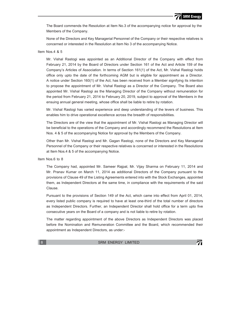The Board commends the Resolution at Item No.3 of the accompanying notice for approval by the Members of the Company.

None of the Directors and Key Managerial Personnel of the Company or their respective relatives is concerned or interested in the Resolution at Item No 3 of the accompanying Notice.

#### Item Nos.4 & 5

Mr. Vishal Rastogi was appointed as an Additional Director of the Company with effect from February 21, 2014 by the Board of Directors under Section 161 of the Act and Article 159 of the Company's Articles of Association. In terms of Section 161(1) of the Act, Mr. Vishal Rastogi holds office only upto the date of the forthcoming AGM but is eligible for appointment as a Director. A notice under Section 160(1) of the Act, has been received from a Member signifying its intention to propose the appointment of Mr. Vishal Rastogi as a Director of the Company. The Board also appointed Mr. Vishal Rastogi as the Managing Director of the Company without remuneration for the period from February 21, 2014 to February 20, 2019, subject to approval of the Members in the ensuing annual general meeting, whose office shall be liable to retire by rotation.

Mr. Vishal Rastogi has varied experience and deep understanding of the levers of business. This enables him to drive operational excellence across the breadth of responsibilities.

The Directors are of the view that the appointment of Mr. Vishal Rastogi as Managing Director will be beneficial to the operations of the Company and accordingly recommend the Resolutions at Item Nos. 4 & 5 of the accompanying Notice for approval by the Members of the Company.

Other than Mr. Vishal Rastogi and Mr. Gagan Rastogi, none of the Directors and Key Managerial Personnel of the Company or their respective relatives is concerned or interested in the Resolutions at Item Nos.4 & 5 of the accompanying Notice.

Item Nos.6 to 8

The Company had, appointed Mr. Sameer Rajpal, Mr. Vijay Sharma on February 11, 2014 and Mr. Pranav Kumar on March 11, 2014 as additional Directors of the Company pursuant to the provisions of Clause 49 of the Listing Agreements entered into with the Stock Exchanges, appointed them, as Independent Directors at the same time, in compliance with the requirements of the said Clause.

Pursuant to the provisions of Section 149 of the Act, which came into effect from April 01, 2014, every listed public company is required to have at least one-third of the total number of directors as Independent Directors. Further, an Independent Director shall hold office for a term upto five consecutive years on the Board of a company and is not liable to retire by rotation.

The matter regarding appointment of the above Directors as Independent Directors was placed before the Nomination and Remuneration Committee and the Board, which recommended their appointment as Independent Directors, as under:-

**8 SRM ENERGY LIMITED**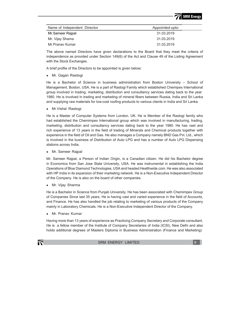

| Name of Independent Director | Appointed upto |
|------------------------------|----------------|
| Mr.Sameer Rajpal             | 31.03.2019     |
| Mr. Vijay Shama              | 31.03.2019     |
| Mr.Pranav Kumar              | 31.03.2019     |

The above named Directors have given declarations to the Board that they meet the criteria of independence as provided under Section 149(6) of the Act and Clause 49 of the Listing Agreement with the Stock Exchanges.

A brief profile of the Directors to be appointed is given below:

Mr. Gagan Rastogi

He is a Bachelor of Science in business administration from Boston University – School of Management, Boston, USA. He is a part of Rastogi Family which established Chemipex International group involved in trading, marketing, distribution and consultancy services dating back to the year 1980. He is involved in trading and marketing of mineral fibers between Russia, India and Sri Lanka and supplying raw materials for low-cost roofing products to various clients in India and Sri Lanka.

<sup>z</sup> Mr.Vishal Rastogi

He is a Master of Computer Systems from London, UK. He is Member of the Rastogi family who had established the Chemimpex International group which was involved in manufacturing, trading, marketing, distribution and consultancy services dating back to the year 1980. He has vast and rich experience of 13 years in the field of trading of Minerals and Chemical products together with experience in the field of Oil and Gas. He also manages a Company namely BND Gas Pvt. Ltd., which is involved in the business of Distribution of Auto LPG and has a number of Auto LPG Dispensing stations across India.

• Mr. Sameer Rajpal

Mr. Sameer Rajpal, a Person of Indian Origin, is a Canadian citizen. He did his Bachelor degree in Economics from San Jose State University, USA. He was instrumental in establishing the India Operations of Blue Diamond Technologies, USA and headed Healthwide.com. He was also associated with HP India in its expansion of their marketing network. He is a Non-Executive Independent Director of the Company. He is also on the board of other companies.

• Mr. Vijay Sharma

He is a Bachelor in Science from Punjab University. He has been associated with Chemimpex Group of Companies Since last 35 years. He is having vast and varied experience in the field of Accounts, and Finance. He has also handled the job relating to marketing of various products of the Company mainly in Laboratory Chemicals. He is a Non-Executive Independent Director of the Company.

• Mr. Pranav Kumar

Having more than 13 years of experience as Practicing Company Secretary and Corporate consultant. He is a fellow member of the Institute of Company Secretaries of India (ICSI), New Delhi and also holds additional degrees of Masters Diploma in Business Administration (Finance and Marketing)

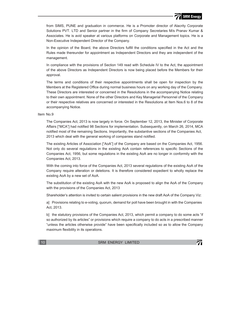from SIMS, PUNE and graduation in commerce. He is a Promoter director of Alacrity Corporate Solutions PVT. LTD and Senior partner in the firm of Company Secretaries M/s Pranav Kumar & Associates. He is avid speaker at various platforms on Corporate and Management topics. He is a Non-Executive Independent Director of the Company.

In the opinion of the Board, the above Directors fulfill the conditions specified in the Act and the Rules made thereunder for appointment as Independent Directors and they are independent of the management.

In compliance with the provisions of Section 149 read with Schedule IV to the Act, the appointment of the above Directors as Independent Directors is now being placed before the Members for their approval.

The terms and conditions of their respective appointments shall be open for inspection by the Members at the Registered Office during normal business hours on any working day of the Company. These Directors are interested or concerned in the Resolutions in the accompanying Notice relating to their own appointment. None of the other Directors and Key Managerial Personnel of the Company or their respective relatives are concerned or interested in the Resolutions at Item Nos.6 to 8 of the accompanying Notice.

#### Item No.9

The Companies Act, 2013 is now largely in force. On September 12, 2013, the Minister of Corporate Affairs ["MCA"] had notified 98 Sections for implementation. Subsequently, on March 26, 2014, MCA notified most of the remaining Sections. Importantly, the substantive sections of the Companies Act, 2013 which deal with the general working of companies stand notified.

The existing Articles of Association ["AoA"] of the Company are based on the Companies Act, 1956. Not only do several regulations in the existing AoA contain references to specific Sections of the Companies Act, 1956, but some regulations in the existing AoA are no longer in conformity with the Companies Act, 2013.

With the coming into force of the Companies Act, 2013 several regulations of the existing AoA of the Company require alteration or deletions. It is therefore considered expedient to wholly replace the existing AoA by a new set of AoA.

The substitution of the existing AoA with the new AoA is proposed to align the AoA of the Company with the provisions of the Companies Act, 2013

Shareholder's attention is invited to certain salient provisions in the new draft AoA of the Company Viz:

a] Provisions relating to e-voting, quorum, demand for poll have been brought in with the Companies Act, 2013.

b] the statutory provisions of the Companies Act, 2013, which permit a company to do some acts "if so authorized by its articles" or provisions which require a company to do acts in a prescribed manner "unless the articles otherwise provide" have been specifically included so as to allow the Company maximum flexibility in its operations.

**10 SRM ENERGY LIMITED**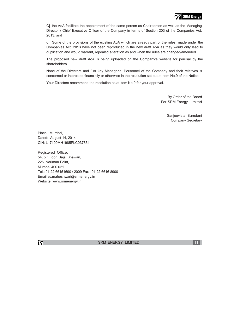C] the AoA facilitate the appointment of the same person as Chairperson as well as the Managing Director / Chief Executive Officer of the Company in terms of Section 203 of the Companies Act, 2013; and

d] Some of the provisions of the existing AoA which are already part of the rules made under the Companies Act, 2013 have not been reproduced in the new draft AoA as they would only lead to duplication and would warrant, repealed alteration as and when the rules are changed/amended.

The proposed new draft AoA is being uploaded on the Company's website for perusal by the shareholders.

None of the Directors and / or key Managerial Personnel of the Company and their relatives is concerned or interested financially or otherwise in the resolution set out at Item No.9 of the Notice.

Your Directors recommend the resolution as at Item No.9 for your approval.

By Order of the Board For SRM Energy Limited

> Sanjeevlata Samdani Company Secretary

Place: Mumbai, Dated: August 14, 2014 CIN: L17100MH1985PLC037364

ត

Registered Office: 54, 5Th Floor, Bajaj Bhawan, 226, Nariman Point, Mumbai 400 021 Tel.: 91 22 66151690 / 2009 Fax.: 91 22 6616 8900 Email.ss.maheshwari@srmenergy.in Website: www.srmenergy.in

SRM ENERGY LIMITED 11 11 11 11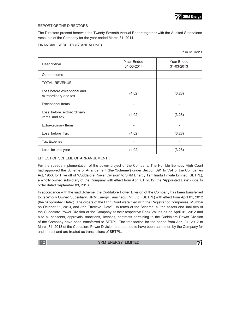

# REPORT OF THE DIRECTORS

The Directors present herewith the Twenty Seventh Annual Report together with the Audited Standalone Accounts of the Company for the year ended March 31, 2014.

# FINANCIAL RESULTS (STANDALONE)

|  | ₹ in Millions |
|--|---------------|
|  |               |

| Description                                          | Year Ended<br>31-03-2014 | Year Ended<br>31-03-2013 |
|------------------------------------------------------|--------------------------|--------------------------|
| Other Income                                         |                          |                          |
| <b>TOTAL REVENUE</b>                                 |                          |                          |
| Loss before exceptional and<br>extraordinary and tax | (4.02)                   | (3.28)                   |
| <b>Exceptional Items</b>                             |                          |                          |
| Loss before extraordinary<br>items and tax           | (4.02)                   | (3.28)                   |
| Extra-ordinary Items                                 |                          |                          |
| Loss before Tax                                      | (4.02)                   | (3.28)                   |
| <b>Tax Expense</b>                                   |                          |                          |
| Loss for the year                                    | (4.02)                   | (3.28)                   |

EFFECT OF SCHEME OF ARRANGEMENT :

For the speedy implementation of the power project of the Company, The Hon'ble Bombay High Court had approved the Scheme of Arrangement (the 'Scheme') under Section 391 to 394 of the Companies Act, 1956, for Hive off of "Cuddalore Power Division" to SRM Energy Tamilnadu Private Limited (SETPL), a wholly owned subsidiary of the Company with effect from April 01, 2012 (the "Appointed Date") vide its order dated September 03, 2013.

In accordance with the said Scheme, the Cuddalore Power Division of the Company has been transferred to its Wholly Owned Subsidiary, SRM Energy Tamilnadu Pvt. Ltd. (SETPL) with effect from April 01, 2012 (the "Appointed Date"). The orders of the High Court were filed with the Registrar of Companies, Mumbai on October 11, 2013, and (the Effective Date"). In terms of the Scheme, all the assets and liabilities of the Cuddalore Power Division of the Company at their respective Book Values as on April 01, 2012 and also all consents, approvals, sanctions, licenses, contracts pertaining to the Cuddalore Power Division of the Company have been transferred to SETPL. The transaction for the period from April 01, 2012 to March 31, 2013 of the Cuddalore Power Division are deemed to have been carried on by the Company for and in trust and are treated as transactions of SETPL.

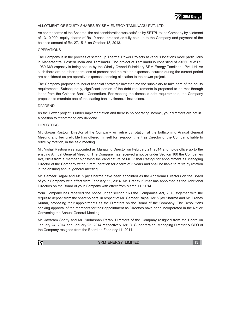

# ALLOTMENT OF EQUITY SHARES BY SRM ENERGY TAMILNADU PVT. LTD.

As per the terms of the Scheme, the net consideration was satisfied by SETPL to the Company by allotment of 13,10,000 equity shares of Rs.10 each, credited as fully paid up to the Company and payment of the balance amount of Rs. 27,151/- on October 18, 2013.

# **OPERATIONS**

The Company is in the process of setting up Thermal Power Projects at various locations more particularly in Maharashtra, Eastern India and Tamilnadu. The project at Tamilnadu is consisting of 3X660 MW i.e. 1980 MW capacity is being set up by the Wholly Owned Subsidiary SRM Energy Tamilnadu Pvt. Ltd. As such there are no other operations at present and the related expenses incurred during the current period are considered as pre operative expenses pending allocation to the power project.

The Company proposes to induct financial / strategic investor into the subsidiary to take care of the equity requirements. Subsequently, significant portion of the debt requirements is proposed to be met through loans from the Chinese Banks Consortium. For meeting the domestic debt requirements, the Company proposes to mandate one of the leading banks / financial institutions.

# DIVIDEND

As the Power project is under implementation and there is no operating income, your directors are not in a position to recommend any dividend.

# DIRECTORS

Mr. Gagan Rastogi, Director of the Company will retire by rotation at the forthcoming Annual General Meeting and being eligible has offered himself for re-appointment as Director of the Company, liable to retire by rotation, in the said meeting.

Mr. Vishal Rastogi was appointed as Managing Director on February 21, 2014 and holds office up to the ensuing Annual General Meeting. The Company has received a notice under Section 160 the Companies Act, 2013 from a member signifying the candidature of Mr. Vishal Rastogi for appointment as Managing Director of the Company without remuneration for a term of 5 years and shall be liable to retire by rotation in the ensuing annual general meeting.

Mr. Sameer Rajpal and Mr. Vijay Sharma have been appointed as the Additional Directors on the Board of your Company with effect from February 11, 2014. Mr. Pranav Kumar has appointed as the Additional Directors on the Board of your Company with effect from March 11, 2014.

Your Company has received the notice under section 160 the Companies Act, 2013 together with the requisite deposit from the shareholders, in respect of Mr. Sameer Rajpal, Mr. Vijay Sharma and Mr. Pranav Kumar, proposing their appointments as the Directors on the Board of the Company. The Resolutions seeking approval of the members for their appointment as Directors have been incorporated in the Notice Convening the Annual General Meeting.

Mr. Jayaram Shetty and Mr. Sudarshan Parab, Directors of the Company resigned from the Board on January 24, 2014 and January 25, 2014 respectively. Mr. D. Sundararajan, Managing Director & CEO of the Company resigned from the Board on February 11, 2014.

 $\Xi$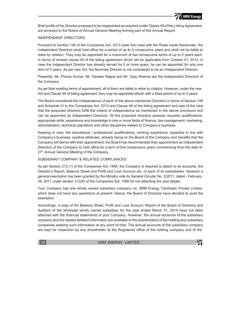Brief profile of the Director proposed to be reappointed as required under Clause 49 of the Listing Agreement are annexed to the Notice of Annual General Meeting forming part of this Annual Report.

# INDEPENDENT DIRECTORS

Pursuant to Section 149 of the Companies Act, 2013 (new Act) read with the Rules made thereunder, the Independent Directors shall hold office for a period of up to 5 consecutive years and shall not be liable to retire by rotation. They may be appointed for a maximum of two consecutive terms of up to 5 years each. In terms of revised clause 49 of the listing agreement which will be applicable from October 01, 2014, in case the Independent Director has already served for 5 or more years, he can be appointed for only one term of 5 years. As per new Act, the Nominee Director is not considered to be an Independent Director.

Presently, Mr. Pranav Kumar, Mr. Sameer Rajpal and Mr. Vijay Sharma are the Independent Directors of the Company.

As per their existing terms of appointment, all of them are liable to retire by rotation. However, under the new Act and Clause 49 of listing agreement, they may be appointed afresh with a fixed period of up to 5 years.

The Board considered the independence of each of the above mentioned Directors in terms of Section 149 and Schedule IV to the Companies Act, 2013 and Clause 49 of the listing agreement and was of the view that the proposed directors fulfill the criteria of independence as mentioned in the above provisions and can be appointed as Independent Directors. All the proposed directors possess requisite qualifications, appropriate skills, experience and knowledge in one or more fields of finance, law management, marketing, administration, technical operations and other disciplines related to Company's business.

Keeping in view, the educational / professional qualifications, working experience, expertise in line with Company's business, positive attributes, already being on the Board of the Company and benefits that the Company will derive with their appointment, the Board has recommended their appointment as Independent Directors of the Company to hold office for a term of five consecutive years commencing from the date of 27<sup>th</sup> Annual General Meeting of the Company.

# SUBSIDIARY COMPANY & RELATED COMPLIANCES

As per Section 212 (1) of the Companies Act, 1956, the Company is required to attach to its accounts, the Director's Report, Balance Sheet and Profit and Loss Account etc. of each of its subsidiaries. However a general exemption has been granted by the Ministry vide its General Circular No. 2/2011, dated - February 08, 2011 under section 212(8) of the Companies Act, 1956 for not attaching the said details.

Your Company has one wholly owned subsidiary company viz. SRM Energy Tamilnadu Private Limited, which does not have any operations at present. Hence, the Board of Directors have decided to avail the exemption.

Accordingly, a copy of the Balance Sheet, Profit and Loss Account, Report of the Board of Directors and Auditors of the aforesaid wholly owned subsidiary for the year ended March 31, 2014 have not been attached with the financial statements of your Company. However, the annual accounts of the subsidiary company and the related detailed information are available to the shareholders of the holding and subsidiary companies seeking such information at any point of time. The annual accounts of the subsidiary company are kept for inspection by any shareholder at the Registered office of the holding company and of the

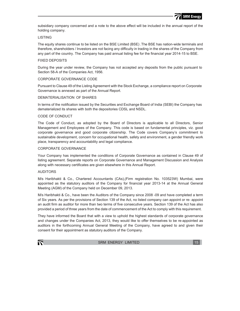subsidiary company concerned and a note to the above effect will be included in the annual report of the holding company.

# LISTING

The equity shares continue to be listed on the BSE Limited (BSE) .The BSE has nation-wide terminals and therefore, shareholders / Investors are not facing any difficulty in trading in the shares of the Company from any part of the country. The Company has paid annual listing fee for the financial year 2014-15 to BSE.

# FIXED DEPOSITS

During the year under review, the Company has not accepted any deposits from the public pursuant to Section 58-A of the Companies Act, 1956.

# CORPORATE GOVERNANCE CODE

Pursuant to Clause 49 of the Listing Agreement with the Stock Exchange, a compliance report on Corporate Governance is annexed as part of the Annual Report.

# DEMATERIALISATION OF SHARES

In terms of the notification issued by the Securities and Exchange Board of India (SEBI) the Company has dematerialized its shares with both the depositories CDSL and NSDL.

# CODE OF CONDUCT

The Code of Conduct, as adopted by the Board of Directors is applicable to all Directors, Senior Management and Employees of the Company. This code is based on fundamental principles, viz. good corporate governance and good corporate citizenship. The Code covers Company's commitment to sustainable development, concern for occupational health, safety and environment, a gender friendly work place, transparency and accountability and legal compliance.

# CORPORATE GOVERNANCE

Your Company has implemented the conditions of Corporate Governance as contained in Clause 49 of listing agreement. Separate reports on Corporate Governance and Management Discussion and Analysis along with necessary certificates are given elsewhere in this Annual Report.

# AUDITORS

M/s Haribhakti & Co., Chartered Accountants (CAs),(Firm registration No. 103523W) Mumbai, were appointed as the statutory auditors of the Company for financial year 2013-14 at the Annual General Meeting (AGM) of the Company held on December 09, 2013.

M/s Haribhakti & Co., have been the Auditors of the Company since 2008 -09 and have completed a term of Six years. As per the provisions of Section 139 of the Act, no listed company can appoint or re- appoint an audit firm as auditor for more than two terms of five consecutive years. Section 139 of the Act has also provided a period of three years from the date of commencement of the Act to comply with this requirement.

They have informed the Board that with a view to uphold the highest standards of corporate governance and changes under the Companies Act, 2013, they would like to offer themselves to be re-appointed as auditors in the forthcoming Annual General Meeting of the Company, have agreed to and given their consent for their appointment as statutory auditors of the Company.

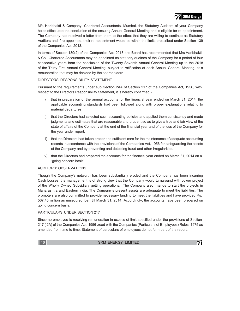M/s Haribhakti & Company, Chartered Accountants, Mumbai, the Statutory Auditors of your Company holds office upto the conclusion of the ensuing Annual General Meeting and is eligible for re-appointment. The Company has received a letter from them to the effect that they are willing to continue as Statutory Auditors and if re-appointed, their re-appointment would be within the limits prescribed under Section 139 of the Companies Act, 2013.

In terms of Section 139(2) of the Companies Act, 2013, the Board has recommended that M/s Haribhakti & Co., Chartered Accountants may be appointed as statutory auditors of the Company for a period of four consecutive years from the conclusion of the Twenty Seventh Annual General Meeting up to the 2018 of the Thirty First Annual General Meeting, subject to ratification at each Annual General Meeting, at a remuneration that may be decided by the shareholders

# DIRECTORS' RESPONSIBILITY STATEMENT

Pursuant to the requirements under sub Section 2AA of Section 217 of the Companies Act, 1956, with respect to the Directors Responsibility Statement, it is hereby confirmed:-

- i) that in preparation of the annual accounts for the financial year ended on March 31, 2014, the applicable accounting standards had been followed along with proper explanations relating to material departures.
- ii) that the Directors had selected such accounting policies and applied them consistently and made judgments and estimates that are reasonable and prudent so as to give a true and fair view of the state of affairs of the Company at the end of the financial year and of the loss of the Company for the year under report.
- iii) that the Directors had taken proper and sufficient care for the maintenance of adequate accounting records in accordance with the provisions of the Companies Act, 1956 for safeguarding the assets of the Company and by preventing and detecting fraud and other irregularities.
- iv) that the Directors had prepared the accounts for the financial year ended on March 31, 2014 on a 'going concern basis'.

# AUDITORS' OBSERVATIONS

Though the Company's networth has been substantially eroded and the Company has been incurring Cash Losses, the management is of strong view that the Company would turnaround with power project of the Wholly Owned Subsidiary getting operational. The Company also intends to start the projects in Maharashtra and Eastern India. The Company's present assets are adequate to meet the liabilities. The promoters are also committed to provide necessary funding to meet the liabilities and have provided Rs. 567.45 million as unsecured loan till March 31, 2014. Accordingly, the accounts have been prepared on going concern basis.

# PARTICULARS UNDER SECTION 217

Since no employee is receiving remuneration in excess of limit specified under the provisions of Section 217 ( 2A) of the Companies Act, 1956 ,read with the Companies (Particulars of Employees) Rules, 1975 as amended from time to time, Statement of particulars of employees do not form part of the report.

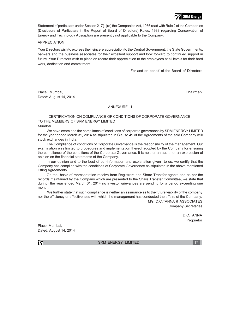

Statement of particulars under Section 217(1)(e) the Companies Act, 1956 read with Rule 2 of the Companies (Disclosure of Particulars in the Report of Board of Directors) Rules, 1988 regarding Conservation of Energy and Technology Absorption are presently not applicable to the Company.

#### APPRECIATION

Your Directors wish to express their sincere appreciation to the Central Government, the State Governments, bankers and the business associates for their excellent support and look forward to continued support in future. Your Directors wish to place on record their appreciation to the employees at all levels for their hard work, dedication and commitment.

For and on behalf of the Board of Directors

Place: Mumbai, Chairman Chairman Chairman Chairman Chairman Chairman Chairman Chairman Chairman Chairman Chairman Dated: August 14, 2014.

#### ANNEXURE - I

CERTIFICATION ON COMPLIANCE OF CONDITIONS OF CORPORATE GOVERNANCE TO THE MEMBERS OF SRM ENERGY LIMITED

Mumbai

We have examined the compliance of conditions of corporate governance by SRM ENERGY LIMITED for the year ended March 31, 2014 as stipulated in Clause 49 of the Agreements of the said Company will\ stock exchanges in India.

The Compliance of conditions of Corporate Governance is the responsibility of the management. Our examination was limited to procedures and implementation thereof adopted by the Company for ensuring the compliance of the conditions of the Corporate Governance. It is neither an audit nor an expression of opinion on the financial statements of the Company.

In our opinion and to the best of our-information and explanation given to us, we certify that the Company has complied with the conditions of Corporate Governance as stipulated in the above mentioned listing Agreements.

On the- basis of representation receive from Registrars and Share Transfer agents and as per the records maintained by the Company which are presented to the Share Transfer Committee, we state that during· the year ended March 31, 2014 no investor grievances are pending for a period exceeding one month.

We further state that such compliance is neither an assurance as to the future viability of the company nor the efficiency or effectiveness with which the management has conducted the affairs of the Company. M/s. D.C.TANNA & ASSOCIATES Company Secretaries

D.C.TANNA Proprietor

Place: Mumbai, Dated: August 14, 2014

₹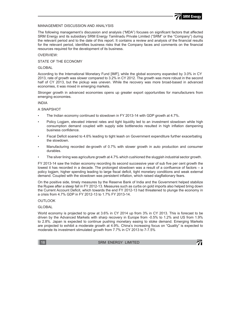

#### MANAGEMENT DISCUSSION AND ANALYSIS

The following management's discussion and analysis ("MDA") focuses on significant factors that affected SRM Energy and its subsidiary SRM Energy Tamilnadu Private Limited ("SRM" or the "Company") during the relevant period and to the date of this report. It contains a review and analysis of the financial results for the relevant period, identifies business risks that the Company faces and comments on the financial resources required for the development of its business.

#### OVERVIEW:

STATE OF THE ECONOMY

#### GLOBAL

According to the International Monetary Fund [IMF], while the global economy expanded by 3.0% in CY 2013, rate of growth was slower compared to 3.2% in CY 2012. The growth was more robust in the second half of CY 2013, but the pickup was uneven. While the recovery was more broad-based in advanced economies, it was mixed in emerging markets.

Stronger growth in advanced economies opens up greater export opportunities for manufacturers from emerging economies.

#### INDIA

A SNAPSHOT

- The Indian economy continued to slowdown in FY 2013-14 with GDP growth at 4.7%.
- Policy Logjam, elevated interest rates and tight liquidity led to an investment slowdown while high consumption demand coupled with supply side bottlenecks resulted in high inflation dampening business confidence.
- Fiscal Deficit soared to 4.6% leading to tight leash on Government expenditure further exacerbating the slowdown.
- Manufacturing recorded de-growth of 0.7% with slower growth in auto production and consumer durables.
- The silver lining was agriculture growth at 4.7% which cushioned the sluggish industrial sector growth.

FY 2013-14 saw the Indian economy recording its second successive year of sub five per cent growth the lowest it has recorded in a decade. The prolonged slowdown was a result of a confluence of factors – a policy logjam, higher spending leading to large fiscal deficit, tight monetary conditions and weak external demand. Coupled with the slowdown was persistent inflation, which raised stagflationary fears.

On the positive side, timely measures by the Reserve Bank of India and the Government helped stabilize the Rupee after a steep fall in FY 2012-13. Measures such as curbs on gold imports also helped bring down the Current Account Deficit, which towards the end FY 2012-13 had threatened to plunge the economy in a crisis from 4.7% GDP in FY 2012-13 to 1.7% FY 2013-14.

#### **OUTLOOK**

#### **GLOBAL**

World economy is projected to grow at 3.6% in CY 2014 up from 3% in CY 2013. This is forecast to be driven by the Advanced Markets with sharp recovery in Europe from -0.5% to 1.2% and US from 1.9% to 2.8%. Japan is expected to continue pushing monetary easing to stoke demand. Emerging Markets are projected to exhibit a moderate growth at 4.9%. China's increasing focus on "Quality" is expected to moderate its investment stimulated growth from 7.7% in CY 2013 to 7-7.5%

#### **18 SRM ENERGY LIMITED**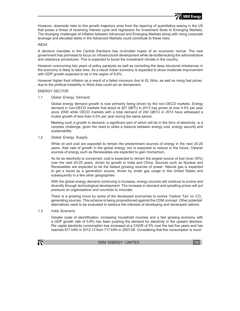However, downside risks to this growth trajectory arise from the tapering of quantitative easing in the US that poses a threat of reversing interest cycle and regression for investment flows to Emerging Markets. The diverging challenges of inflation between Advanced and Emerging Markets along with rising corporate leverage and elevated debts in the Advanced Markets could contribute to these risks.

#### INDIA

A decisive mandate in the Central Elections has re-kindled hopes of an economic revival. The new government has promised to focus on infrastructural development while de-bottlenecking the administrative and clearance procedures. This is expected to boost the investment climate in the country.

However overcoming two years of policy paralysis as well as correcting the deep structural imbalances in the economy is likely to take time. As a result Indian economy is expected to show moderate improvement with GDP growth expected to be in the region of 5-6%.

However higher food inflation as a result of a failed monsoon due to EL Nino, as well as rising fuel prices due to the political instability in West Asia could act as dampeners.

#### ENERGY SECTOR

1.1 Global Energy Demand

Global energy demand growth is now primarily being driven by the non-OECD markets. Energy demand in non-OECD markets that stood at 307 QBTU in 2013 has grown at over 4.5% per year since 2000 while OECD markets with a total demand of 240 QBTU in 2013 have witnessed a muted growth of less than 0.5% per year during the same period.

Meeting such a growth in demand, a significant part of which will be in the form of electricity, is a complex challenge, given the need to strike a balance between energy cost, energy security and sustainability.

#### 1.2 Global Energy Supply

While oil and coal are expected to remain the predominant sources of energy in the next 20-25 years, their rate of growth in the global energy mix is expected to reduce in the future. Cleaner sources of energy such as Renewables are expected to gain momentum.

As far as electricity is concerned, coal is expected to remain the largest source of fuel (over 35%) over the next 20-25 years, driven by growth in India and China. Sources such as Nuclear and Renewables are expected to be the fastest growing sources of power. Natural gas is expected to get a boost as a generation source, driven by shale gas usage in the United States and subsequently in a few other geographies.

With the global energy demand continuing to increase, energy sources will continue to evolve and diversify through technological development. The increase in demand and spiralling prices will put pressure on organisations and countries to innovate.

There is a growing move by some of the developed economies to evolve 'Carbon Tax' on CO<sub>2</sub> generating sources. This scheme is being propositioned against the CDM concept. Other potential alternatives need to be evaluated to balance the interests of developing and developed nations.

#### 1.3 India Scenario

Greater scale of electrification, increasing household incomes and a fast growing economy with a GDP growth rate of 5-8% has been pushing the demand for electricity in the upward direction. Per capita electricity consumption has increased at a CAGR of 5% over the last five years and has reached 917 kWh in 2012-13 from 717 kWh in 2007-08. Considering that this consumption is much

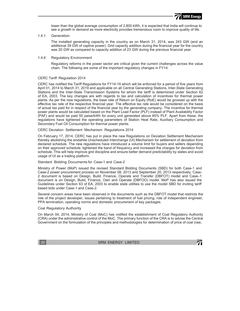lower than the global average consumption of 2,800 kWh, it is expected that India will continue to see a growth in demand as more electricity provides tremendous room to improve quality of life.

#### 1.4.1 Generation

The installed generating capacity in the country as on March 31, 2014, was 243 GW (and an additional 39 GW of captive power). Grid capacity addition during the financial year for the country was 20 GW as compared to capacity addition of 23 GW during the previous financial year.

#### 1.4.6 Regulatory Environment

Regulatory reforms in the power sector are critical given the current challenges across the value chain. The following are some of the important regulatory changes in FY14:

# CERC Tariff Regulation 2014

CERC has notified the Tariff Regulations for FY14-19 which will be enforced for a period of five years from April 01, 2014 to March 31, 2019 and applicable on all Central Generating Stations, Inter-State Generating Stations and the Inter-State Transmission Systems for whom the tariff is determined under Section 62 of EA, 2003. The key changes are with regards to tax and calculation of incentives for thermal power plants. As per the new regulations, the base rate of Return on Equity (RoE) would be grossed up with the effective tax rate of the respective financial year. The effective tax rate would be considered on the basis of actual tax paid for in respect of the financial year by the generating company. The incentive for thermal power plants would be calculated based on the Plant Load Factor (PLF) instead of Plant Availability Factor (PAF) and would be paid 50 paise/kWh for every unit generated above 85% PLF. Apart from these, the regulations have tightened the operating parameters of Station Heat Rate, Auxiliary Consumption and Secondary Fuel Oil Consumption for thermal power plants.

CERC Deviation Settlement Mechanism Regulations 2014

On February 17, 2014, CERC has put in place the new Regulations on Deviation Settlement Mechanism thereby abolishing the erstwhile Unscheduled Interchange (UI) Mechanism for settlement of deviation from declared schedule. The new regulations have introduced a volume limit for buyers and sellers depending on their approved schedule, tightened the band of frequency and increased the charges for deviation from schedule. This will help improve grid discipline and ensure better demand predictability by states and avoid usage of UI as a trading platform.

# Standard Bidding Documents for Case-1 and Case-2

Ministry of Power (MoP) issued the revised Standard Bidding Documents (SBD) for both Case-1 and Case-2 power procurement process on November 08, 2013 and September 20, 2013 respectively. Case-2 document is based on Design, Build, Finance, Operate and Transfer (DBFOT) model and Case–1 document is on Design, Build, Finance, Own and Operate (DBFOO) model. MoP has also issued the Guidelines under Section 63 of EA, 2003 to enable state utilities to use the model SBD for inviting tariff based bids under Case-1 and Case-2.

Several concern areas have been observed in the documents such as the DBFOT model that restricts the role of the project developer, issues pertaining to treatment of fuel pricing, role of independent engineer, PPA termination, operating norms and domestic procurement of key packages.

# Coal Regulatory Authority

On March 04, 2014, Ministry of Coal (MoC) has notified the establishment of Coal Regulatory Authority (CRA) under the administrative control of the MoC. The primary function of the CRA is to advise the Central Government on the formulation of the principles and methodologies for determination of price of coal (raw,

**20 SRM ENERGY LIMITED**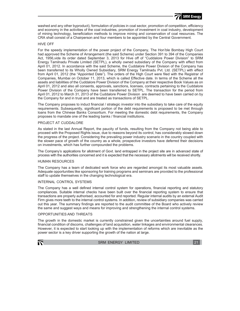washed and any other byproduct), formulation of policies in coal sector, promotion of competition, efficiency and economy in the activities of the coal industries, promotion of investment in coal industry, development of mining technology, beneficiation methods to improve mining and conservation of coal resources. The CRA shall consist of a Chairperson and four members to be appointed by the Central Government.

#### HIVE OFF

For the speedy implementation of the power project of the Company, The Hon'ble Bombay High Court had approved the Scheme of Arrangement (the said Scheme) under Section 391 to 394 of the Companies Act, 1956,vide its order dated September 3, 2013 for Hive off of "Cuddalore Power Division" to SRM Energy Tamilnadu Private Limited (SETPL), a wholly owned subsidiary of the Company with effect from April 01, 2012. In accordance with the said Scheme, the Cuddalore Power Division of the Company has been transferred to its Wholly Owned Subsidiary, SRM Energy Tamilnadu Pvt. Ltd. (SETPL) with effect from April 01, 2012 (the "Appointed Date"). The orders of the High Court were filed with the Registrar of Companies, Mumbai on October 11, 2013, which is called Effective date. In terms of the Scheme all the assets and liabilities of the Cuddalore Power Division of the Company at their respective Book Values as on April 01, 2012 and also all consents, approvals, sanctions, licenses, contracts pertaining to the Cuddalore Power Division of the Company have been transferred to SETPL. The transaction for the period from April 01, 2012 to March 31, 2013 of the Cuddalore Power Division are deemed to have been carried on by the Company for and in trust and are treated as transactions of SETPL.

The Company proposes to induct financial / strategic investor into the subsidiary to take care of the equity requirements. Subsequently, significant portion of the debt requirements is proposed to be met through loans from the Chinese Banks Consortium. For meeting the domestic debt requirements, the Company proposes to mandate one of the leading banks / financial institutions.

#### PROJECT AT CUDDALORE

As stated in the last Annual Report, the paucity of funds, resulting from the Company not being able to proceed with the Proposed Rights issue, due to reasons beyond its control, has considerably slowed down the progress of the project. Considering the prevailing power industry scenario in the country coupled with the slower pace of growth of the country as a whole, prospective investors have deferred their decisions on investments, which has further compounded the problems.

The Company's applications for allotment of Govt. land entrapped in the project site are in advanced state of process with the authorities concerned and it is expected that the necessary allotments will be received shortly.

#### HUMAN RESOURCES

The Company has a team of dedicated work force who are regarded amongst its most valuable assets. Adequate opportunities like sponsoring for training programs and seminars are provided to the professional staff to update themselves in the changing technological era.

#### INTERNAL CONTROL SYSTEMS

The Company has a well defined internal control system for operations, financial reporting and statutory compliances. Suitable internal checks have been built over the financial reporting system to ensure that transactions are properly authorised, accounted for and reported. Regular internal audits by an external Audit Firm gives more teeth to the internal control systems. In addition, review of subsidiary companies was carried out this year. The summary findings are reported to the audit committee of the Board who actively review the same and suggest ways and means for improving and strengthening the internal control systems.

#### OPPORTUNITIES AND THREATS

The growth in the domestic market is currently constrained given the uncertainties around fuel supply, financial condition of discoms, challenges of land acquisition, water linkages and environmental clearances. However, it is expected to start looking up with the implementation of reforms which are inevitable as the power sector is a key driver supporting the growth of the nation at large.

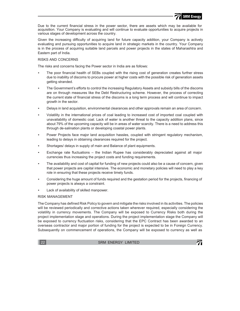

Due to the current financial stress in the power sector, there are assets which may be available for acquisition. Your Company is evaluating and will continue to evaluate opportunities to acquire projects in various stages of development across the country.

Given the increasing difficulty of acquiring land for future capacity addition, your Company is actively evaluating and pursuing opportunities to acquire land in strategic markets in the country. Your Company is in the process of acquiring suitable land parcels and power projects in the states of Maharashtra and Eastern part of India.

# RISKS AND CONCERNS

The risks and concerns facing the Power sector in India are as follows:

- The poor financial health of SEBs coupled with the rising cost of generation creates further stress due to inability of discoms to procure power at higher costs with the possible risk of generation assets getting stranded.
- The Government's efforts to control the increasing Regulatory Assets and subsidy bills of the discoms are on through measures like the Debt Restructuring scheme. However, the process of correcting the current state of financial stress of the discoms is a long term process and will continue to impact growth in the sector.
- Delays in land acquisition, environmental clearances and other approvals remain an area of concern.
- Volatility in the international prices of coal leading to increased cost of imported coal coupled with unavailability of domestic coal. Lack of water is another threat to the capacity addition plans, since about 79% of the upcoming capacity will be in areas of water scarcity. There is a need to address this through de-salination plants or developing coastal power plants.
- Power Projects face major land acquisition hassles, coupled with stringent regulatory mechanism, leading to delays in obtaining clearances required for the project.
- Shortages/ delays in supply of main and Balance of plant equipments.
- Exchange rate fluctuations the Indian Rupee has considerably depreciated against all major currencies thus increasing the project costs and funding requirements.
- The availability and cost of capital for funding of new projects could also be a cause of concern, given that power projects are capital intensive. The economic and monetary policies will need to play a key role in ensuring that these projects receive timely funds.
- Considering the huge amount of funds required and the gestation period for the projects, financing of power projects is always a constraint.
- Lack of availability of skilled manpower.

# RISK MANAGEMENT

The Company has defined Risk Policy to govern and mitigate the risks involved in its activities. The policies will be reviewed periodically and corrective actions taken wherever required, especially considering the volatility in currency movements. The Company will be exposed to Currency Risks both during the project implementation stage and operations. During the project implementation stage the Company will be exposed to currency fluctuation risks, considering that the EPC Contract has been awarded to an overseas contractor and major portion of funding for the project is expected to be in Foreign Currency. Subsequently on commencement of operations, the Company will be exposed to currency as well as

**22 SRM ENERGY LIMITED**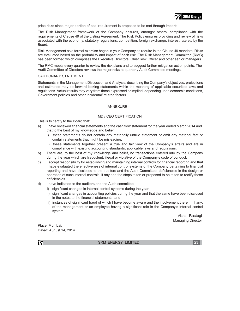

price risks since major portion of coal requirement is proposed to be met through imports.

The Risk Management framework of the Company ensures, amongst others, compliance with the requirements of Clause 49 of the Listing Agreement. The Risk Policy ensures providing and review of risks associated with the economy, statutory regulations, competition, foreign exchange, interest rate etc by the Board.

Risk Management as a formal exercise began in your Company as require in the Clause 49 mandate. Risks are evaluated based on the probability and impact of each risk. The Risk Management Committee (RMC) has been formed which comprises the Executive Directors, Chief Risk Officer and other senior managers.

The RMC meets every quarter to review the risk plans and to suggest further mitigation action points. The Audit Committee of Directors reviews the major risks at quarterly Audit Committee meetings.

#### CAUTIONARY STATEMENT

Statements in the Management Discussion and Analysis, describing the Company's objectives, projections and estimates may be forward-looking statements within the meaning of applicable securities laws and regulations. Actual results may vary from those expressed or implied, depending upon economic conditions, Government policies and other incidental/ related factors.

#### ANNEXURE - II

#### MD / CEO CERTIFICATION

This is to certify to the Board that:

- a) I have reviewed financial statements and the cash flow statement for the year ended March 2014 and that to the best of my knowledge and belief:
	- i) these statements do not contain any materially untrue statement or omit any material fact or contain statements that might be misleading;
	- ii) these statements together present a true and fair view of the Company's affairs and are in compliance with existing accounting standards, applicable laws and regulations.
- b) There are, to the best of my knowledge and belief, no transactions entered into by the Company during the year which are fraudulent, illegal or violative of the Company's code of conduct.
- c) I accept responsibility for establishing and maintaining internal controls for financial reporting and that I have evaluated the effectiveness of internal control systems of the Company pertaining to financial reporting and have disclosed to the auditors and the Audit Committee, deficiencies in the design or operation of such internal controls, if any and the steps taken or proposed to be taken to rectify these deficiencies.
- d) I have indicated to the auditors and the Audit committee:
	- I) significant changes in internal control systems during the year;
	- ii) significant changes in accounting policies during the year and that the same have been disclosed in the notes to the financial statements; and
	- iii) instances of significant fraud of which I have become aware and the involvement there in, if any, of the management or an employee having a significant role in the Company's internal control system.

Vishal Rastogi Managing Director

Place: Mumbai, Dated: August 14, 2014

₹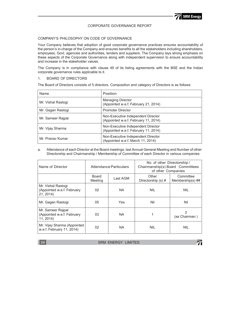

# CORPORATE GOVERNANCE REPORT

# COMPANY'S PHILOSOPHY ON CODE OF GOVERNANCE

Your Company believes that adoption of good corporate governance practices ensures accountability of the person's in-charge of the Company and ensures benefits to all the stakeholders including shareholders, employees, Govt. agencies and authorities, lenders and suppliers. The Company lays strong emphasis on these aspects of the Corporate Governance along with independent supervision to ensure accountability and increase in the stakeholder values.

The Company is in compliance with clause 49 of its listing agreements with the BSE and the Indian corporate governance rules applicable to it.

# 1. BOARD OF DIRECTORS

The Board of Directors consists of 5 directors. Composition and category of Directors is as follows:

| Name               | Position                                                                   |
|--------------------|----------------------------------------------------------------------------|
| Mr. Vishal Rastogi | <b>Managing Director</b><br>(Appointed w.e.f. February 21, 2014)           |
| Mr. Gagan Rastogi  | <b>Promoter Director</b>                                                   |
| Mr. Sameer Raipal  | Non-Executive Independent Director<br>(Appointed w.e.f. February 11, 2014) |
| Mr. Vijay Sharma   | Non-Executive Independent Director<br>(Appointed w.e.f. February 11, 2014) |
| Mr. Pranav Kumar   | Non-Executive Independent Director<br>(Appointed w.e.f. March 11, 2014)    |

#### a. Attendance of each Director at the Board meetings, last Annual General Meeting and Number of other Directorship and Chairmanship / Membership of Committee of each Director in various companies:

| Name of Director                                              | Attendance Particulars |           | No. of other Directorship /<br>Chairmanship(s) Board Committees<br>of other Companies |                                   |
|---------------------------------------------------------------|------------------------|-----------|---------------------------------------------------------------------------------------|-----------------------------------|
|                                                               | Board<br>Meeting       | Last AGM  | Other<br>Directorship (s) #                                                           | Committee<br>Membership(s) $\#$ # |
| Mr. Vishal Rastogi<br>(Appointed w.e.f. February<br>21, 2014) | 02                     | <b>NA</b> | <b>NIL</b>                                                                            | <b>NIL</b>                        |
| Mr. Gagan Rastogi                                             | 05                     | Yes       | Nil                                                                                   | Nil                               |
| Mr. Sameer Rajpal<br>(Appointed w.e.f. February<br>11, 2014)  | 03                     | <b>NA</b> |                                                                                       | 2<br>(as Chairman)                |
| Mr. Vijay Sharma (Appointed<br>w.e.f. February 11, 2014)      | 02                     | NA.       | <b>NIL</b>                                                                            | <b>NIL</b>                        |

**24** SRM ENERGY LIMITED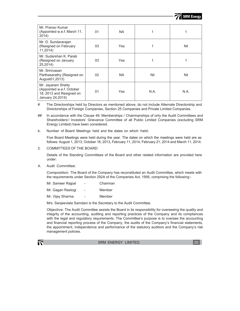| Mr. Pranav Kumar<br>(Appointed w.e.f. March 11,<br>2014)                                         | 01 | <b>NA</b> |      |      |
|--------------------------------------------------------------------------------------------------|----|-----------|------|------|
| Mr. D. Sundararajan<br>(Resigned on February<br>11,2014)                                         | 03 | Yes       | 1    | Nil  |
| Mr. Sudarshan K. Parab<br>(Resigned on January<br>25,2014)                                       | 03 | Yes       |      |      |
| Mr. Srinivasan<br>Parthasarathy (Resigned on<br>August01,2013)                                   | 02 | NA.       | Nil  | Nil  |
| Mr. Jayaram Shetty<br>(Appointed w.e.f. October<br>18, 2013 and Resigned on<br>January 24, 2014) | 01 | Yes       | N.A. | N.A. |

- # The Directorships held by Directors as mentioned above, do not include Alternate Directorship and Directorships of Foreign Companies, Section 25 Companies and Private Limited Companies.
- ## In accordance with the Clause 49, Memberships / Chairmanships of only the Audit Committees and Shareholders'/ Investors' Grievance Committee of all Public Limited Companies (excluding SRM Energy Limited) have been considered.
- b. Number of Board Meetings held and the dates on which held:

Five Board Meetings were held during the year. The dates on which the meetings were held are as follows: August 1, 2013, October 18, 2013, February 11, 2014, February 21, 2014 and March 11, 2014.

2. COMMITTEES OF THE BOARD

Details of the Standing Committees of the Board and other related information are provided here under:

A. Audit Committee:

Composition: The Board of the Company has reconstituted an Audit Committee, which meets with the requirements under Section 292A of the Companies Act, 1956, comprising the following:-

| Mr. Sameer Rajpal | - | Chairman |
|-------------------|---|----------|
| Mr. Gagan Rastogi | - | Member   |
| Mr. Vijay Sharma  |   | Member   |

Mrs. Sanjeevlata Samdani is the Secretary to the Audit Committee.

Objective: The Audit Committee assists the Board in its responsibility for overseeing the quality and integrity of the accounting, auditing and reporting practices of the Company and its compliances with the legal and regulatory requirements. The Committee's purpose is to oversee the accounting and financial reporting process of the Company, the audits of the Company's financial statements, the appointment, independence and performance of the statutory auditors and the Company's risk management policies.

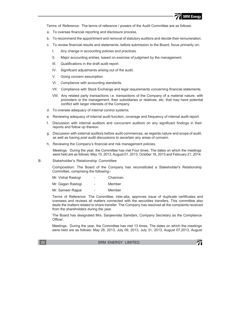

Terms of Reference: The terms of reference / powers of the Audit Committee are as follows:

- a. To oversee financial reporting and disclosure process.
- b. To recommend the appointment and removal of statutory auditors and decide their remuneration.
- c. To review financial results and statements, before submission to the Board, focus primarily on-
	- I. Any change in accounting policies and practices.
	- II. Major accounting entries, based on exercise of judgment by the management.
	- III. Qualifications in the draft audit report.
	- IV. Significant adjustments arising out of the audit.
	- V. Going concern assumption.
	- VI. Compliance with accounting standards.
	- VII. Compliance with Stock Exchange and legal requirements concerning financial statements.
	- VIII. Any related party transactions i.e. transactions of the Company of a material nature, with promoters or the management, their subsidiaries or relatives, etc. that may have potential conflict with larger interests of the Company.
- d. To oversee adequacy of internal control systems.
- e. Reviewing adequacy of internal audit function, coverage and frequency of internal audit report.
- f. Discussion with internal auditors and concurrent auditors on any significant findings in their reports and follow up thereon.
- g. Discussion with external auditors before audit commences, as regards nature and scope of audit, as well as having post audit discussions to ascertain any areas of concern.
- h. Reviewing the Company's financial and risk management policies.

Meetings: During the year, the Committee has met Four times. The dates on which the meetings were held are as follows: May 10, 2013, August 01, 2013, October 18, 2013 and February 21, 2014.

B. Stakeholder's Relationship Committee

Composition: The Board of the Company has reconstituted a Stakeholder's Relationship Committee, comprising the following:-

| Mr. Vishal Rastoqi |  | Chairman |
|--------------------|--|----------|
|--------------------|--|----------|

- Mr. Gagan Rastogi Member
- Mr. Sameer Rajpal Member

Terms of Reference: The Committee, inter-alia, approves issue of duplicate certificates and oversees and reviews all matters connected with the securities transfers. This committee also deals the matters related to share transfer. The Company has resolved all the complaints received from the shareholders during the year.

The Board has designated Mrs. Sanjeevlata Samdani, Company Secretary as the Compliance Officer.

Meetings: During the year, the Committee has met 13 times. The dates on which the meetings were held are as follows: May 28, 2013, July 09, 2013, July 31, 2013, August 07,2013, August

**26 SRM ENERGY LIMITED**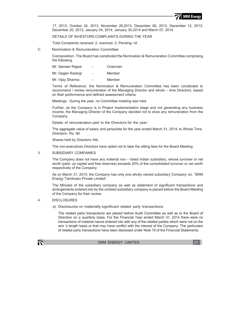

17, 2013, October 24, 2013, November 26,2013, December 06, 2013, December 12, 2013, December 20, 2013, January 04, 2014, January 30,2014 and March 07, 2014.

DETAILS OF INVESTORS COMPLAINTS DURING THE YEAR

Total Complaints received- 2, resolved- 2, Pending- nil

C. Nomination & Remuneration Committee

Composition: The Board has constituted the Nomination & Remuneration Committee comprising the following.

- Mr. Sameer Rajpal Chairman
- Mr. Gagan Rastogi Member
- Mr. Vijay Sharma Member

Terms of Reference: the Nomination & Remuneration Committee has been constituted to recommend / review remuneration of the Managing Director and whole – time Directors, based on their performance and defined assessment criteria.

Meetings: During the year, no Committee meeting was held.

Further, as the Company is in Project implementation stage and not generating any business income, the Managing Director of the Company decided not to draw any remuneration from the Company.

Details of remuneration paid to the Directors for the year:

The aggregate value of salary and perquisite for the year ended March 31, 2014, to Whole Time Directors– Rs. Nil.

Shares held by Directors:-NIL

The non-executives Directors have opted not to take the sitting fees for the Board Meeting.

3. SUBSIDIARY COMPANIES

The Company does not have any material non – listed Indian subsidiary, whose turnover or net worth (paid- up capital and free reserves) exceeds 20% of the consolidated turnover or net worth respectively of the Company.

As on March 31, 2014, the Company has only one wholly owned subsidiary Company viz. "SRM Energy Tamilnadu Private Limited".

The Minutes of the subsidiary company as well as statement of significant transactions and arrangements entered into by the unlisted subsidiary company is placed before the Board Meeting of the Company for their review.

- 4. DISCLOSURES
	- a) Disclosures on materially significant related party transactions

The related party transactions are placed before Audit Committee as well as to the Board of Directors on a quarterly basis. For the Financial Year ended March 31, 2014 there were no transactions of material nature entered into with any of the related parties which were not on the arm 's length basis or that may have conflict with the interest of the Company. The particulars of related party transactions have been disclosed under Note 19 of the Financial Statements.

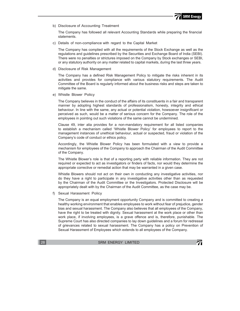

b) Disclosure of Accounting Treatment

The Company has followed all relevant Accounting Standards while preparing the financial statements.

c) Details of non-compliance with regard to the Capital Market

The Company has complied with all the requirements of the Stock Exchange as well as the regulations and guidelines prescribed by the Securities and Exchange Board of India (SEBI). There were no penalties or strictures imposed on the Company by Stock exchanges or SEBI, or any statutory authority on any matter related to capital markets, during the last three years.

d) Disclosure of Risk Management

The Company has a defined Risk Management Policy to mitigate the risks inherent in its activities and provides for compliance with various statutory requirements. The Audit Committee of the Board is regularly informed about the business risks and steps are taken to mitigate the same.

e) Whistle Blower Policy

The Company believes in the conduct of the affairs of its constituents in a fair and transparent manner by adopting highest standards of professionalism, honesty, integrity and ethical behaviour. In line with the same, any actual or potential violation, howsoever insignificant or perceived as such, would be a matter of serious concern for the Company. The role of the employees in pointing out such violations of the same cannot be undermined.

Clause 49, inter alia provides for a non-mandatory requirement for all listed companies to establish a mechanism called 'Whistle Blower Policy' for employees to report to the management instances of unethical behaviour, actual or suspected, fraud or violation of the Company's code of conduct or ethics policy.

Accordingly, the Whistle Blower Policy has been formulated with a view to provide a mechanism for employees of the Company to approach the Chairman of the Audit Committee of the Company.

The Whistle Blower's role is that of a reporting party with reliable information. They are not required or expected to act as investigators or finders of facts, nor would they determine the appropriate corrective or remedial action that may be warranted in a given case.

Whistle Blowers should not act on their own in conducting any investigative activities, nor do they have a right to participate in any investigative activities other than as requested by the Chairman of the Audit Committee or the Investigators. Protected Disclosure will be appropriately dealt with by the Chairman of the Audit Committee, as the case may be.

f) Sexual Harassment Policy

The Company is an equal employment opportunity Company and is committed to creating a healthy working environment that enables employees to work without fear of prejudice, gender bias and sexual harassment. The Company also believes that all employees of the Company, have the right to be treated with dignity. Sexual harassment at the work place or other than work place, if involving employees, is a grave offence and is, therefore, punishable. The Supreme Court has also directed companies to lay down guidelines and a forum for redressal of grievances related to sexual harassment. The Company has a policy on Prevention of Sexual Harassment of Employees which extends to all employees of the Company.

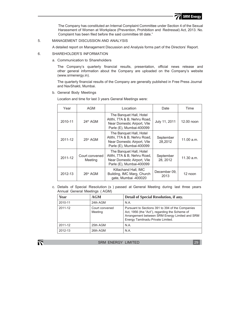The Company has constituted an Internal Complaint Committee under Section 4 of the Sexual Harassment of Women at Workplace (Prevention, Prohibition and Redressal) Act, 2013. No. Complaint has been filed before the said committee till date."

5. MANAGEMENT DISCUSSION AND ANALYSIS

A detailed report on Management Discussion and Analysis forms part of the Directors' Report.

- 6. SHAREHOLDER'S INFORMATION
	- a. Communication to Shareholders

The Company's quarterly financial results, presentation, official news release and other general information about the Company are uploaded on the Company's website (www.srmenergy.in).

The quarterly financial results of the Company are generally published in Free Press Journal and NavShakti, Mumbai.

b. General Body Meetings

Location and time for last 3 years General Meetings were:

| Year    | AGM                       | Location                                                                                                           | Date                 | Time       |
|---------|---------------------------|--------------------------------------------------------------------------------------------------------------------|----------------------|------------|
| 2010-11 | 24th AGM                  | The Banguet Hall, Hotel<br>Atithi, 77A & B, Nehru Road,<br>Near Domestic Airport, Vile<br>Parle (E), Mumbai-400099 | July 11, 2011        | 12.00 noon |
| 2011-12 | 25 <sup>th</sup> AGM      | The Banguet Hall, Hotel<br>Atithi, 77A & B, Nehru Road,<br>Near Domestic Airport, Vile<br>Parle (E), Mumbai-400099 | September<br>28,2012 | 11.00 a.m. |
| 2011-12 | Court convened<br>Meeting | The Banguet Hall, Hotel<br>Atithi, 77A & B, Nehru Road,<br>Near Domestic Airport, Vile<br>Parle (E), Mumbai-400099 | September<br>28.2012 | 11.30 a.m. |
| 2012-13 | 26 <sup>th</sup> AGM      | Killachand Hall, IMC<br>Building, IMC Marg, Church<br>gate, Mumbai -400020                                         | December 09.<br>2013 | 12 noon    |

c. Details of Special Resolution (s ) passed at General Meeting during last three years Annual General Meetings ( AGM)

| Year    | <b>AGM</b>                | Detail of Special Resolution, if any.                                                                                                                                                     |
|---------|---------------------------|-------------------------------------------------------------------------------------------------------------------------------------------------------------------------------------------|
| 2010-11 | 24th AGM                  | N.A.                                                                                                                                                                                      |
| 2011-12 | Court convened<br>Meeting | Pursuant to Sections 391 to 394 of the Companies<br>Act, 1956 (the "Act"), regarding the Scheme of<br>Arrangement between SRM Energy Limited and SRM<br>Energy Tamilnadu Private Limited. |
| 2011-12 | 25th AGM                  | N.A.                                                                                                                                                                                      |
| 2012-13 | 26th AGM                  | N.A.                                                                                                                                                                                      |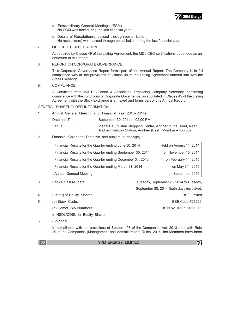

- d. Extraordinary General Meetings (EGM) No EGM was held during the last financial year.
- e. Details of Resolution(s) passed through postal ballot No resolution(s) was passed through postal ballot during the last financial year.
- 7. MD / CEO CERTIFICATION

As required by Clause 49 of the Listing Agreement, the MD / CEO certifications appended as an annexure to this report.

8. REPORT ON CORPORATE GOVERNANCE

This Corporate Governance Report forms part of the Annual Report. The Company is in full compliance with all the provisions of Clause 49 of the Listing Agreement entered into with the Stock Exchange.

9. COMPLIANCE

A Certificate from M/s D.C.Tanna & Associates, Practicing Company Secretary, confirming compliance with the conditions of Corporate Governance, as stipulated in Clause 49 of the Listing Agreement with the Stock Exchange is annexed and forms part of this Annual Report.

# GENERAL SHAREHOLDER INFORMATION

1. Annual General Meeting (For Financial Year 2013- 2014)

| Date and Time | September 30, 2014 at 02.00 PM                                                                                             |
|---------------|----------------------------------------------------------------------------------------------------------------------------|
| Venue         | Vishal Hall, Vishal Shopping Centre, Andheri Kurla Road, Near<br>Andheri Railway Station, Andheri (East), Mumbai – 400 069 |

2. Financial Calendar (Tentative and subject to change)

| Financial Results for the Quarter ending June 30, 2014      | Held on August 14, 2014 |
|-------------------------------------------------------------|-------------------------|
| Financial Results for the Quarter ending September 30, 2014 | on November 15, 2014    |
| Financial Results for the Quarter ending December 31, 2013  | on February 14, 2015    |
| Financial Results for the Quarter ending March 31, 2014     | on May 31, 2015         |
| <b>Annual General Meeting</b>                               | on September 2015       |

3. Books closure date Tuesday, September 23, 2014 to Tuesday,

September 30, 2014 (both days inclusive).

- 4. Listing of Equity Shares **BSE Limited BSE Limited** 5. (a) Stock Code: BSE Code-523222 (b) Demat ISIN Numbers ISIN No. INE 173J01018 In NSDL/CDSL for Equity Shares:
- 6. E-Voting

In compliance with the provisions of Section 108 of the Companies Act, 2013 read with Rule 20 of the Companies (Management and Administration) Rules, 2014, the Members have been

**30 SRM ENERGY LIMITED**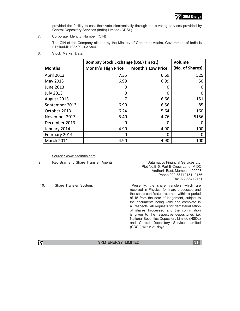provided the facility to cast their vote electronically through the e-voting services provided by Central Depository Services (India) Limited (CDSL).

7. Corporate Identity Number (CIN)

The CIN of the Company allotted by the Ministry of Corporate Affairs, Government of India is L17100MH1985PLC037364

8. Stock Market Data:

|                   | <b>Bombay Stock Exchange (BSE) (In Rs.)</b> | Volume                   |                 |
|-------------------|---------------------------------------------|--------------------------|-----------------|
| <b>Months</b>     | Month's High Price                          | <b>Month's Low Price</b> | (No. of Shares) |
| <b>April 2013</b> | 7.35                                        | 6.69                     | 525             |
| May 2013          | 6.99                                        | 6.99                     | 50              |
| <b>June 2013</b>  | 0                                           |                          | O               |
| <b>July 2013</b>  | 0                                           | 0                        | O               |
| August 2013       | 7                                           | 6.66                     | 151             |
| September 2013    | 6.90                                        | 6.56                     | 85              |
| October 2013      | 6.24                                        | 5.64                     | 160             |
| November 2013     | 5.40                                        | 4.76                     | 5156            |
| December 2013     | 0                                           | O                        |                 |
| January 2014      | 4.90                                        | 4.90                     | 100             |
| February 2014     | 0                                           | O                        |                 |
| March 2014        | 4.90                                        | 4.90                     | 100             |

Source : www.bseindia.com

9. Registrar and Share Transfer Agents: Datamatics Financial Services Ltd.,

Plot No.B-5, Part B Cross Lane, MIDC, Andheri- East, Mumbai- 400093. Phone:022-66712151- 2156 Fax:022-66712161

10. Share Transfer System: Presently, the share transfers which are received in Physical form are processed and the share certificates returned within a period of 15 from the date of lodgement, subject to the documents being valid and complete in all respects. All requests for dematerialization of shares Processed and the confirmation is given to the respective depositories i.e. National Securities Depository Limited (NSDL) and Central Depository Services Limited (CDSL) within 21 days.

ត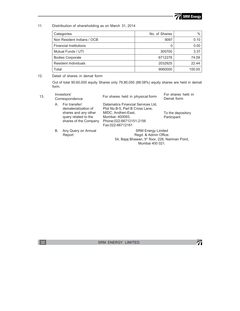

11. Distribution of shareholding as on March 31, 2014

| Categories                    | No. of Shares | $\%$   |
|-------------------------------|---------------|--------|
| Non Resident Indians / OCB    | 9097          | 0.10   |
| <b>Financial Institutions</b> |               | 0.00   |
| Mutual Funds / UTI            | 305700        | 3.37   |
| <b>Bodies Corporate</b>       | 6712278       | 74.09  |
| Resident Individuals          | 2032925       | 22.44  |
| Total                         | 9060000       | 100.00 |

# 12. Detail of shares in demat form

Out of total 90,60,000 equity Shares only 79,80,050 (88.08%) equity shares are held in demat form.

| 13. | Investors'<br>Correspondence |                                                                                                                | For shares held in physical form                                                                                                                               | For shares held in<br>Demat form |
|-----|------------------------------|----------------------------------------------------------------------------------------------------------------|----------------------------------------------------------------------------------------------------------------------------------------------------------------|----------------------------------|
|     | А.                           | For transfer/<br>dematerialization of<br>shares and any other<br>query related to the<br>shares of the Company | Datamatics Financial Services Ltd.<br>Plot No.B-5, Part B Cross Lane,<br>MIDC, Andheri-East,<br>Mumbai- 400093.<br>Phone:022-66712151-2156<br>Fax:022-66712161 | To the depository<br>Participant |
|     | В.                           | Any Query on Annual<br>Report                                                                                  | <b>SRM Energy Limited</b><br>Regd. & Admin Office:<br>54, Bajaj Bhawan, 5 <sup>th</sup> floor, 226, Nariman Point,<br>Mumbai 400 021.                          |                                  |

32 SRM ENERGY LIMITED

 $\overline{\bf z}$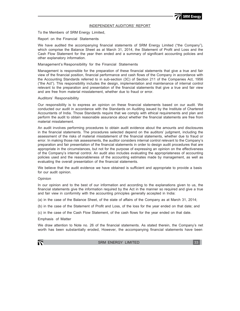

#### INDEPENDENT AUDITORS' REPORT

To the Members of SRM Energy Limited,

#### Report on the Financial Statements

We have audited the accompanying financial statements of SRM Energy Limited ("the Company"), which comprise the Balance Sheet as at March 31, 2014, the Statement of Profit and Loss and the Cash Flow Statement for the year then ended and a summary of significant accounting policies and other explanatory information.

#### Management's Responsibility for the Financial Statements

Management is responsible for the preparation of these financial statements that give a true and fair view of the financial position, financial performance and cash flows of the Company in accordance with the Accounting Standards referred to in sub-section (3C) of Section 211 of the Companies Act, 1956 ("the Act"). This responsibility includes the design, implementation and maintenance of internal control relevant to the preparation and presentation of the financial statements that give a true and fair view and are free from material misstatement, whether due to fraud or error.

#### Auditors' Responsibility

Our responsibility is to express an opinion on these financial statements based on our audit. We conducted our audit in accordance with the Standards on Auditing issued by the Institute of Chartered Accountants of India. Those Standards require that we comply with ethical requirements and plan and perform the audit to obtain reasonable assurance about whether the financial statements are free from material misstatement.

An audit involves performing procedures to obtain audit evidence about the amounts and disclosures in the financial statements. The procedures selected depend on the auditors' judgment, including the assessment of the risks of material misstatement of the financial statements, whether due to fraud or error. In making those risk assessments, the auditor considers internal control relevant to the Company's preparation and fair presentation of the financial statements in order to design audit procedures that are appropriate in the circumstances, but not for the purpose of expressing an opinion on the effectiveness of the Company's internal control. An audit also includes evaluating the appropriateness of accounting policies used and the reasonableness of the accounting estimates made by management, as well as evaluating the overall presentation of the financial statements.

We believe that the audit evidence we have obtained is sufficient and appropriate to provide a basis for our audit opinion.

#### Opinion

In our opinion and to the best of our information and according to the explanations given to us, the financial statements give the information required by the Act in the manner so required and give a true and fair view in conformity with the accounting principles generally accepted in India:

- (a) in the case of the Balance Sheet, of the state of affairs of the Company as at March 31, 2014;
- (b) in the case of the Statement of Profit and Loss, of the loss for the year ended on that date; and
- (c) in the case of the Cash Flow Statement, of the cash flows for the year ended on that date.

#### Emphasis of Matter

We draw attention to Note no. 26 of the financial statements. As stated therein, the Company's net worth has been substantially eroded, However, the accompanying financial statements have been

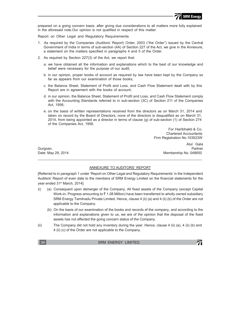

prepared on a going concern basis, after giving due considerations to all matters more fully explained in the aforesaid note.Our opinion is not qualified in respect of this matter.

Report on Other Legal and Regulatory Requirements

- 1. As required by the Companies (Auditors' Report) Order, 2003 ("the Order") issued by the Central Government of India in terms of sub-section (4A) of Section 227 of the Act, we give in the Annexure, a statement on the matters specified in paragraphs 4 and 5 of the Order.
- 2. As required by Section 227(3) of the Act, we report that:
	- a. we have obtained all the information and explanations which to the best of our knowledge and belief were necessary for the purpose of our audit;
	- b. in our opinion, proper books of account as required by law have been kept by the Company so far as appears from our examination of those books;
	- c. the Balance Sheet, Statement of Profit and Loss, and Cash Flow Statement dealt with by this Report are in agreement with the books of account;
	- d. in our opinion, the Balance Sheet, Statement of Profit and Loss, and Cash Flow Statement comply with the Accounting Standards referred to in sub-section (3C) of Section 211 of the Companies Act, 1956;
	- e. on the basis of written representations received from the directors as on March 31, 2014 and taken on record by the Board of Directors, none of the directors is disqualified as on March 31, 2014, from being appointed as a director in terms of clause (g) of sub-section (1) of Section 274 of the Companies Act, 1956.

For Haribhakti & Co. Chartered Accountants Firm Registration No.103523W

Atul Gala Gurgoan, Partner and Controller and Controller and Controller and Controller and Controller and Controller and Controller and Controller and Controller and Controller and Controller and Controller and Controller and Contro Date: May 29, 2014 Membership No. 048650

# ANNEXURE TO AUDITORS' REPORT

[Referred to in paragraph 1 under 'Report on Other Legal and Regulatory Requirements' in the Independent Auditors' Report of even date to the members of SRM Energy Limited on the financial statements for the year ended 31<sup>st</sup> March, 2014]

- (i) (a) Consequent upon demerger of the Company, All fixed assets of the Company (except Capital Work-in- Progress amounting to  $\bar{\tau}$  1.08 Million) have been transferred to wholly owned subsidiary SRM Energy Tamilnadu Private Limited. Hence, clause 4 (ii) (a) and 4 (ii) (b) of the Order are not applicable to the Company.
	- (b) On the basis of our examination of the books and records of the company, and according to the information and explanations given to us, we are of the opinion that the disposal of the fixed assets has not affected the going concern status of the Company.
- (ii) The Company did not hold any inventory during the year. Hence, clause 4 (ii) (a), 4 (ii) (b) and 4 (ii) (c) of the Order are not applicable to the Company.

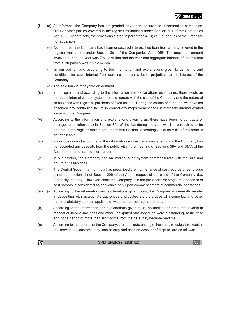- (iii) (a) As informed, the Company has not granted any loans, secured or unsecured to companies, firms or other parties covered in the register maintained under Section 301 of the Companies Act, 1956. Accordingly, the provisions stated in paragraph 4 (iii) (b), (c) and (d) of the Order are not applicable.
	- (e) As informed, the Company had taken unsecured interest free loan from a party covered in the register maintained under Section 301 of the Companies Act, 1956. The maximum amount involved during the year was  $\bar{\tau}$  5.12 million and the year-end aggregate balance of loans taken from such parties was  $\bar{\tau}$  5.12 million.
	- (f) In our opinion and according to the information and explanations given to us, terms and conditions for such interest free loan are not, prima facie, prejudicial to the interest of the Company.
	- (g) The said loan is repayable on demand.
- (iv) In our opinion and according to the information and explanations given to us, there exists an adequate internal control system commensurate with the size of the Company and the nature of its business with regard to purchase of fixed assets. During the course of our audit, we have not observed any continuing failure to correct any major weaknesses in aforesaid internal control system of the Company.
- (v) According to the information and explanations given to us, there have been no contracts or arrangements referred to in Section 301 of the Act during the year which are required to be entered in the register maintained under that Section. Accordingly, clause v (b) of the order is not applicable.
- (vi) In our opinion and according to the information and explanations given to us, the Company has not accepted any deposits from the public within the meaning of Sections 58A and 58AA of the Act and the rules framed there under.
- (vii) In our opinion, the Company has an internal audit system commensurate with the size and nature of its business.
- (viii) The Central Government of India has prescribed the maintenance of cost records under clause (d) of sub-section (1) of Section 209 of the Act in respect of the class of the Company (i.e. Electricity Industry). However, since the Company is in the pre-operative stage, maintenance of cost records is considered as applicable only upon commencement of commercial operations.
- (ix) (a) According to the information and explanations given to us, the Company is generally regular in depositing with appropriate authorities undisputed statutory dues of income-tax and other material statutory dues as applicable, with the appropriate authorities.
- (b) According to the information and explanations given to us, no undisputed amounts payable in respect of income-tax, cess and other undisputed statutory dues were outstanding, at the year end, for a period of more than six months from the date they became payable.
- (c) According to the records of the Company, the dues outstanding of income-tax, sales-tax, wealthtax, service tax, customs duty, excise duty and cess on account of dispute, are as follows:

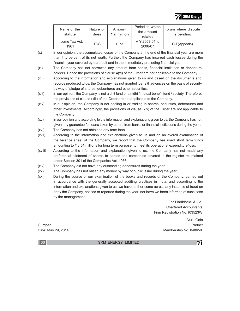

| Name of the<br>statute  | Nature of<br>dues | Amount<br>₹ in million | Period to which<br>the amount<br>relates | Forum where dispute<br>is pending |
|-------------------------|-------------------|------------------------|------------------------------------------|-----------------------------------|
| Income Tax Act.<br>1961 | TDS               | 0.73                   | A.Y 2003-04 to<br>2006-07                | CIT(Appeals)                      |

(x) In our opinion, the accumulated losses of the Company at the end of the financial year are more than fifty percent of its net worth. Further, the Company has incurred cash losses during the financial year covered by our audit and in the immediately preceding financial year.

(xi) The Company has not borrowed any amount from banks, financial institution or debenture holders. Hence the provisions of clause 4(xi) of the Order are not applicable to the Company.

- (xii) According to the information and explanations given to us and based on the documents and records produced to us, the Company has not granted loans & advances on the basis of security by way of pledge of shares, debentures and other securities.
- (xiii) In our opinion, the Company is not a chit fund or a nidhi / mutual benefit fund / society. Therefore, the provisions of clause (xiii) of the Order are not applicable to the Company.
- (xiv) In our opinion, the Company is not dealing in or trading in shares, securities, debentures and other investments. Accordingly, the provisions of clause (xiv) of the Order are not applicable to the Company.
- (xv) In our opinion and according to the information and explanations given to us, the Company has not given any guarantee for loans taken by others from banks or financial institutions during the year.
- (xvi) The Company has not obtained any term loan.
- (xvii) According to the information and explanations given to us and on an overall examination of the balance sheet of the Company, we report that the Company has used short term funds amounting to  $\bar{\tau}$  3.54 millions for long term purpose, to meet its operational expenditure/loss.
- (xviii) According to the information and explanation given to us, the Company has not made any preferential allotment of shares to parties and companies covered in the register maintained under Section 301 of the Companies Act, 1956.
- (xix) The Company did not have any outstanding debentures during the year.
- (xx) The Company has not raised any money by way of public issue during the year.
- (xxi) During the course of our examination of the books and records of the Company, carried out in accordance with the generally accepted auditing practices in India, and according to the information and explanations given to us, we have neither come across any instance of fraud on or by the Company, noticed or reported during the year, nor have we been informed of such case by the management.

For Haribhakti & Co. Chartered Accountants Firm Registration No.103523W

Atul Gala Gurgoan, Partner and Controller and Controller and Controller and Controller and Controller and Controller and Controller and Controller and Controller and Controller and Controller and Controller and Controller and Contro Date: May 29, 2014 Membership No. 048650

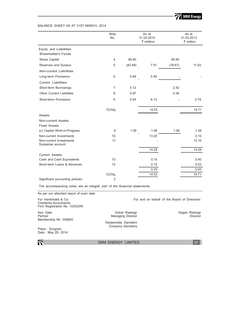# BALANCE SHEET AS AT 31ST MARCH, 2014

|                                               | <b>Note</b><br>No. |         | As at<br>31.03.2014<br>₹ million |         | As at<br>31.03.2013<br>₹ million |
|-----------------------------------------------|--------------------|---------|----------------------------------|---------|----------------------------------|
| Equity and Liabilities<br>Shareholder's Funds |                    |         |                                  |         |                                  |
| Share Capital                                 | $\overline{4}$     | 90.60   |                                  | 90.60   |                                  |
| Reserves and Surplus                          | 5                  | (82.69) | 7.91                             | (78.67) | 11.93                            |
| Non-current Liabilities                       |                    |         |                                  |         |                                  |
| Long-term Provisions                          | $6\phantom{1}$     | 0.49    | 0.49                             |         |                                  |
| <b>Current Liabilities</b>                    |                    |         |                                  |         |                                  |
| Short-term Borrowings                         | $\overline{7}$     | 5.12    |                                  | 2.42    |                                  |
| <b>Other Current Liabilities</b>              | 8                  | 0.97    |                                  | 0.36    |                                  |
| Short-term Provisions                         | 6                  | 0.04    | 6.13                             |         | 2.78                             |
|                                               | <b>TOTAL</b>       |         | 14.53                            |         | 14.71                            |
| Assets                                        |                    |         |                                  |         |                                  |
| Non-current Assets                            |                    |         |                                  |         |                                  |
| <b>Fixed Assets</b>                           |                    |         |                                  |         |                                  |
| (c) Capital Work-in-Progress                  | 9                  | 1.08    | 1.08                             | 1.08    | 1.08                             |
| Non-current Investments                       | 10                 |         | 13.20                            |         | 0.10                             |
| Non-current Investments<br>Suspense account   | 11                 |         |                                  |         | 13.10                            |
|                                               |                    |         | 14.28                            |         | 14.28                            |
| <b>Current Assets</b>                         |                    |         |                                  |         |                                  |
| Cash and Cash Equivalents                     | 13                 |         | 0.15                             |         | 0.40                             |
| Short-term Loans & Advances                   | 12                 |         | 0.10                             |         | 0.03                             |
|                                               |                    |         | 0.25                             |         | 0.43                             |
|                                               | <b>TOTAL</b>       |         | 14.53                            |         | 14.71                            |
| Significant accounting policies               | 2                  |         |                                  |         |                                  |

The accompanying notes are an integral part of the financial statements

As per our attached report of even date

For Haribhakti & Co. Chartered Accountants Firm Registration No. 103523W

Atul Gala **Partner** Membership No. 048650

Vishal Rastogi Managing Director Gagan Rastogi Director

For and on behalf of the Board of Directors

Sanjeevlata Samdani Company Secretary

Place : Gurgoan, Date : May 29, 2014

**下**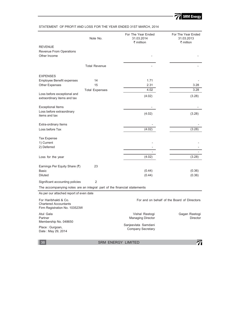

|                                                                                       | Note No.              | For The Year Ended<br>31.03.2014<br>₹ million | For The Year Ended<br>31.03.2013<br>₹ million |
|---------------------------------------------------------------------------------------|-----------------------|-----------------------------------------------|-----------------------------------------------|
| <b>REVENUE</b><br>Revenue From Operations                                             |                       |                                               |                                               |
| Other Income                                                                          |                       |                                               |                                               |
|                                                                                       | <b>Total Revenue</b>  |                                               |                                               |
| <b>EXPENSES</b>                                                                       |                       |                                               |                                               |
| Employee Benefit expenses                                                             | 14                    | 1.71                                          |                                               |
| <b>Other Expenses</b>                                                                 | 15                    | 2.31                                          | 3.28                                          |
| Loss before exceptional and                                                           | <b>Total Expenses</b> | 4.02                                          | 3.28                                          |
| extraordinary items and tax                                                           |                       | (4.02)                                        | (3.28)                                        |
| <b>Exceptional Items</b>                                                              |                       |                                               |                                               |
| Loss before extraordinary                                                             |                       | (4.02)                                        | (3.28)                                        |
| items and tax                                                                         |                       |                                               |                                               |
| Extra-ordinary Items                                                                  |                       |                                               |                                               |
| Loss before Tax                                                                       |                       | (4.02)                                        | (3.28)                                        |
| <b>Tax Expense</b>                                                                    |                       |                                               |                                               |
| 1) Current                                                                            |                       |                                               |                                               |
| 2) Deferred                                                                           |                       |                                               |                                               |
|                                                                                       |                       |                                               |                                               |
| Loss for the year                                                                     |                       | (4.02)                                        | (3.28)                                        |
| Earnings Per Equity Share $(\bar{\tau})$                                              | 23                    |                                               |                                               |
| <b>Basic</b>                                                                          |                       | (0.44)                                        | (0.36)                                        |
| <b>Diluted</b>                                                                        |                       | (0.44)                                        | (0.36)                                        |
| Significant accounting policies                                                       | $\overline{2}$        |                                               |                                               |
| The accompanying notes are an integral part of the financial statements               |                       |                                               |                                               |
| As per our attached report of even date                                               |                       |                                               |                                               |
| For Haribhakti & Co.<br><b>Chartered Accountants</b><br>Firm Registration No. 103523W |                       |                                               | For and on behalf of the Board of Directors   |
| Atul Gala                                                                             |                       | Vishal Rastogi                                | Gagan Rastogi                                 |
| Partner                                                                               |                       | <b>Managing Director</b>                      | Director                                      |
| Membership No. 048650                                                                 |                       | Sanjeevlata Samdani                           |                                               |
| Place: Gurgoan,<br>Date: May 29, 2014                                                 |                       | Company Secretary                             |                                               |
|                                                                                       |                       |                                               |                                               |

# STATEMENT OF PROFIT AND LOSS FOR THE YEAR ENDED 31ST MARCH, 2014

**38** SRM ENERGY LIMITED

 $\overline{7}$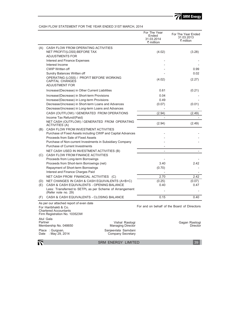

# CASH FLOW STATEMENT FOR THE YEAR ENDED 31ST MARCH, 2014

|            |                                                                                             |                                            | For The Year<br>Ended<br>31.03.2014<br>₹ million | For The Year Ended<br>31.03.2013<br>₹ million |
|------------|---------------------------------------------------------------------------------------------|--------------------------------------------|--------------------------------------------------|-----------------------------------------------|
|            | (A) CASH FLOW FROM OPERATING ACTIVITIES                                                     |                                            |                                                  |                                               |
|            | NET PROFIT/(LOSS) BEFORE TAX                                                                |                                            | (4.02)                                           | (3.28)                                        |
|            | <b>ADJUSTMENTS FOR</b>                                                                      |                                            |                                                  |                                               |
|            | Interest and Finance Expenses                                                               |                                            |                                                  |                                               |
|            | Interest Income                                                                             |                                            |                                                  |                                               |
|            | CWIP Written off                                                                            |                                            |                                                  | 0.99                                          |
|            | Sundry Balances Written off                                                                 |                                            |                                                  | 0.02                                          |
|            | OPERATING (LOSS) / PROFIT BEFORE WORKING                                                    |                                            | (4.02)                                           | (2.27)                                        |
|            | CAPITAL CHANGES                                                                             |                                            |                                                  |                                               |
|            | <b>ADJUSTMENT FOR</b>                                                                       |                                            |                                                  |                                               |
|            | Increase/(Decrease) in Other Current Liabilities                                            |                                            | 0.61                                             | (0.21)                                        |
|            | Increase/(Decrease) in Short-term Provisions                                                |                                            | 0.04                                             |                                               |
|            | Increase/(Decrease) in Long-term Provisions                                                 |                                            | 0.49                                             |                                               |
|            | Decrease/(Increase) in Short-term Loans and Advances                                        |                                            | (0.07)                                           | (0.01)                                        |
|            | Decrease/(Increase) in Long-term Loans and Advances                                         |                                            |                                                  |                                               |
|            | CASH (OUTFLOW) / GENERATED FROM OPERATIONS                                                  |                                            | (2.94)                                           | (2.49)                                        |
|            | Income Tax Refund/(Paid)                                                                    |                                            |                                                  |                                               |
|            | NET CASH (OUTFLOW) / GENERATED FROM OPERATING<br>ACTIVITIES (A)                             |                                            | (2.94)                                           | (2.49)                                        |
| (B)        | CASH FLOW FROM INVESTMENT ACTIVITIES                                                        |                                            |                                                  |                                               |
|            | Purchase of Fixed Assets including CWIP and Capital Advances                                |                                            |                                                  |                                               |
|            | Proceeds from Sale of Fixed Assets                                                          |                                            |                                                  |                                               |
|            | Purchase of Non-current Investments in Subsidiary Company                                   |                                            |                                                  |                                               |
|            | Purchase of Current Investments                                                             |                                            |                                                  |                                               |
|            | NET CASH USED IN INVESTMENT ACTIVITIES (B)                                                  |                                            | $\overline{\phantom{a}}$                         |                                               |
| (C)        | CASH FLOW FROM FINANCE ACTIVITIES                                                           |                                            |                                                  |                                               |
|            | Proceeds from Long-term Borrowings                                                          |                                            |                                                  |                                               |
|            | Proceeds from Short-term Borrowings (net)                                                   |                                            | 3.40                                             | 2.42                                          |
|            | Repayment of Short-term Borrowings                                                          |                                            | (0.70)                                           |                                               |
|            | Interest and Finance Charges Paid                                                           |                                            |                                                  |                                               |
|            | NET CASH FROM FINANCIAL ACTIVITIES (C)                                                      |                                            | 2.70                                             | 2.42                                          |
| (D)<br>(E) | NET CHANGES IN CASH & CASH EQUIVALENTS (A+B+C)<br>CASH & CASH EQUIVALENTS - OPENING BALANCE |                                            | (0.25)<br>0.40                                   | (0.07)<br>0.47                                |
|            | Less: Transferred to SETPL as per Scheme of Arrangement                                     |                                            |                                                  |                                               |
|            | (Refer note no. 29)                                                                         |                                            |                                                  |                                               |
| (F)        | CASH & CASH EQUIVALENTS - CLOSING BALANCE                                                   |                                            | 0.15                                             | 0.40                                          |
|            | As per our attached report of even date                                                     |                                            |                                                  |                                               |
|            | For Haribhakti & Co.                                                                        |                                            |                                                  | For and on behalf of the Board of Directors   |
|            | <b>Chartered Accountants</b><br>Firm Registration No. 103523W                               |                                            |                                                  |                                               |
|            | Atul Gala                                                                                   |                                            |                                                  |                                               |
| Partner    | Membership No. 048650                                                                       | Vishal Rastogi<br><b>Managing Director</b> |                                                  | Gagan Rastogi<br>Director                     |
|            | Place: Gurgoan,                                                                             | Sanjeevlata Samdani                        |                                                  |                                               |
|            | Date : May 29, 2014                                                                         | Company Secretary                          |                                                  |                                               |
| R          |                                                                                             | <b>SRM ENERGY LIMITED</b>                  |                                                  | 39                                            |

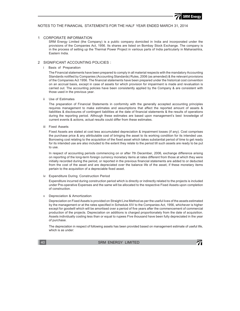

#### NOTES TO THE FINANCIAL STATEMENTS FOR THE HALF YEAR ENDED MARCH 31, 2014

# 1 CORPORATE INFORMATION

SRM Energy Limited (the Company) is a public company domiciled in India and incorporated under the provisions of the Companies Act, 1956. Its shares are listed on Bombay Stock Exchange. The company is in the process of setting up the Thermal Power Project in variious parts of India particularly in Maharashtra, Eastern India.

# 2 SIGNIFICANT ACCOUNTING POLICIES :

i Basis of Preparation

The Financial statements have been prepared to comply in all material respects with the mandatory Accounting Standards notified by Companies (Accounting Standards) Rules, 2006 (as amended) & the relevant provisions of the Companies Act 1956. The financial statements have been prepared under the historical cost convention on an accrual basis, except in case of assets for which provision for impairment is made and revaluation is carried out. The accounting policies have been consistently applied by the Company & are consistent with those used in the previous year.

ii Use of Estimates

The preparation of Financial Statements in conformity with the generally accepted accounting principles requires management to make estimates and assumptions that affect the reported amount of assets & liabilities & disclosures of contingent liabilities at the date of financial statements & the results of operations during the reporting period. Although these estimates are based upon management's best knowledge of current events & actions, actual results could differ from these estimates.

iii Fixed Assets

Fixed Assets are stated at cost less accumulated depreciation & impairment losses (if any). Cost comprises the purchase price & any attributable cost of bringing the asset to its working condition for its intended use. Borrowing cost relating to the acquisition of the fixed asset which takes substantial period of time to get ready for its intended use are also included to the extent they relate to the period till such assets are ready to be put to use.

In respect of accounting periods commencing on or after 7th December, 2006, exchange difference arising on reporting of the long-term foreign currency monetary items at rates different from those at which they were initially recorded during the period, or reported in the previous financial statements are added to or deducted from the cost of the asset and are depreciated over the balance life of the asset, if these monetary items pertain to the acquisition of a depreciable fixed asset.

iv Expenditure During Construction Period

Expenditure incurred during construction period which is directly or indirectly related to the projects is included under Pre-operative Expenses and the same will be allocated to the respective Fixed Assets upon completion of construction.

Depreciation & Amortization

Depreciation on Fixed Assets is provided on Straight Line Method as per the useful lives of the assets estimated by the management or at the rates specified in Schedule XIV to the Companies Act, 1956, whichever is higher except for goodwill which will be amortised over a period of five years after the commencement of commercial production of the projects. Depreciation on additions is charged proportionately from the date of acquisition. Assets individually costing less than or equal to rupees Five thousand have been fully depreciated in the year of purchase.

The depreciation in respect of following assets has been provided based on management estimate of useful life, which is as under:

40 SRM ENERGY LIMITED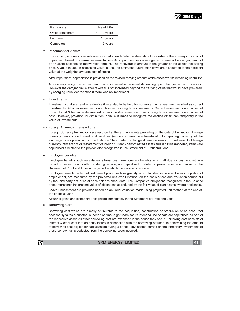| Particulars      | Useful Life    |
|------------------|----------------|
| Office Equipment | $3 - 10$ years |
| Furniture        | 10 years       |
| Computers        | 5 years        |

#### vi Impairment of Assets

The carrying amounts of assets are reviewed at each balance sheet date to ascertain if there is any indication of impairment based on internal/ external factors. An impairment loss is recognized wherever the carrying amount of an asset exceeds its recoverable amount. The recoverable amount is the greater of the assets net selling price & value in use. In assessing value in use, the estimated future cash flows are discounted to their present value at the weighted average cost of capital.

After impairment, depreciation is provided on the revised carrying amount of the asset over its remaining useful life.

A previously recognized impairment loss is increased or reversed depending upon changes in circumstances. However the carrying value after reversal is not increased beyond the carrying value that would have prevailed by charging usual depreciation if there was no impairment.

#### vii Investments

Investments that are readily realizable & intended to be held for not more than a year are classified as current investments. All other investments are classified as long term investments. Current investments are carried at lower of cost & fair value determined on an individual investment basis. Long term investments are carried at cost. However, provision for diminution in value is made to recognize the decline other than temporary in the value of investments.

viii Foreign Currency Transactions

Foreign Currency transactions are recorded at the exchange rate prevailing on the date of transaction. Foreign currency denominated asset and liabilities (monetary items) are translated into reporting currency at the exchange rates prevailing on the Balance Sheet date. Exchange difference arising on settlement of foreign currency transactions or restatement of foreign currency denominated assets and liabilities (monetary items) are capitalized if related to the project, else recognized in the Statement of Profit and Loss.

ix Employee benefits

Employee benefits such as salaries, allowances, non-monetary benefits which fall due for payment within a period of twelve months after rendering service, are capitalised if related to project else reconganised in the Satement of Profit and Loss in the period in which the service is rendered.

Employee benefits under defined benefit plans, such as gratuity, which fall due for payment after completion of employment, are measured by the projected unit credit method, on the basis of actuarial valuation carried out by the third party actuaries at each balance sheet date. The Company's obligations recognized in the Balance sheet represents the present value of obligations as reduced by the fair value of plan assets, where applicable.

Leave Encashment are provided based on actuarial valuation made using projected unit method at the end of the financial year

Actuarial gains and losses are recognized immediately in the Statement of Profit and Loss.

x Borrowing Cost

Borrowing cost which are directly attributable to the acquisition, construction or production of an asset that necessarily takes a substantial period of time to get ready for its intended use or sale are capitalized as part of the respective asset. All other borrowing cost are expensed in the period they occur. Borrowing cost consists of interest & other cost that an entity incurs in connection with the borrowing of funds. In determining the amount of borrowing cost eligible for capitalization during a period, any income earned on the temporary investments of those borrowings is deducted from the borrowing costs incurred.

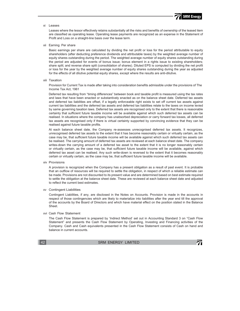

#### xi Leases

Leases where the lessor effectively retains substantially all the risks and benefits of ownership of the leased item are classified as operating lease. Operating lease payments are recognized as an expense in the Statement of Profit and Loss on a straight-line basis over the lease term.

xii Earning Per share

Basic earnings per share are calculated by dividing the net profit or loss for the period attributable to equity shareholders (after deducting preference dividends and attributable taxes) by the weighted average number of equity shares outstanding during the period. The weighted average number of equity shares outstanding during the period are adjusted for events of bonus issue; bonus element in a rights issue to existing shareholders; share split; and reverse share split (consolidation of shares). Diluted EPS is computed by dividing the net profit or loss for the year by the weighted average number of equity shares outstanding during the year as adjusted for the effects of all dilutive potential equity shares, except where the results are anti-dilutive.

#### xiii Taxation

Provision for Current Tax is made after taking into consideration benefits admissible under the provisions of The Income Tax Act, 1961

Deferred tax resulting from "timing differences" between book and taxable profit is measured using the tax rates and laws that have been enacted or substantively enacted as on the balance sheet date. Deferred tax assets and deferred tax liabilities are offset, if a legally enforceable right exists to set off current tax assets against current tax liabilities and the deferred tax assets and deferred tax liabilities relate to the taxes on income levied by same governing taxation laws. Deferred tax assets are recognised only to the extent that there is reasonable certainty that sufficient future taxable income will be available against which such deferred tax assets can be realised. In situations where the company has unabsorbed depreciation or carry forward tax losses, all deferred tax assets are recognised only if there is virtual certainty supported by convincing evidence that they can be realised against future taxable profits.

At each balance sheet date, the Company re-assesses unrecognised deferred tax assets. It recognizes, unrecognised deferred tax assets to the extent that it has become reasonably certain or virtually certain, as the case may be, that sufficient future taxable income will be available against which such deferred tax assets can be realised. The carrying amount of deferred tax assets are reviewed at each balance sheet date. The company writes-down the carrying amount of a deferred tax asset to the extent that it is no longer reasonably certain or virtually certain, as the case may be, that sufficient future taxable income will be available, against which deferred tax asset can be realised. Any such write-down is reversed to the extent that it becomes reasonably certain or virtually certain, as the case may be, that sufficient future taxable income will be available.

xiv Provisions

A provision is recognized when the Company has a present obligation as a result of past event. It is probable that an outflow of resources will be required to settle the obligation, in respect of which a reliable estimate can be made. Provisions are not discounted to its present value and are determined based on best estimate required to settle the obligation at the balance sheet date. These are reviewed at each balance sheet date and adjusted to reflect the current best estimates.

xv Contingent Liabilities

Contingent Liabilities, if any, are disclosed in the Notes on Accounts. Provision is made in the accounts in respect of those contingencies which are likely to materialize into liabilities after the year end till the approval of the accounts by the Board of Directors and which have material effect on the position stated in the Balance Sheet.

xvi Cash Flow Statement

The Cash Flow Statement is prepared by 'Indirect Method' set out in Accounting Standard 3 on "Cash Flow Statement" and presents the Cash Flow Statement by Operating, Investing and Financing activities of the Company. Cash and Cash equivalents presented in the Cash Flow Statement consists of Cash on hand and balance in current accounts.

42 SRM ENERGY LIMITED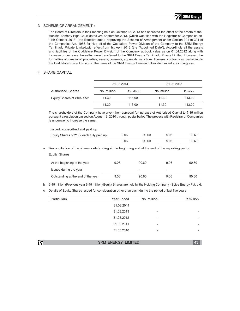

#### 3 SCHEME OF ARRANGEMENT :

The Board of Directors in their meeting held on October 18, 2013 has approved the effect of the orders of the Hon'ble Bombay High Court dated 3rd September 2013, (which was filed with the Registrar of Companies on 11th October 2013 - the Effective date) approving the Scheme of Arrangement under Section 391 to 394 of the Companies Act, 1956 for hive off of the Cuddalore Power Division of the Company to the SRM Energy Tamilnadu Private Limited,with effect from 1st April 2012 (the "Appointed Date"), Accordingly all the assets and liabilities of the Cuddalore Power Division of the Company at book value as on 01.04.2012 along with increase or decrease thereafter were transferred to the SRM Energy Tamilnadu Private Limited. However, the formalities of transfer of properties, assets, consents, approvals, sanctions, licenses, contracts etc pertaining to the Cuddalore Power Division in the name of the SRM Energy Tamilnadu Private Limited are in progress.

# 4 SHARE CAPITAL

|                             | 31.03.2014  |                      | 31.03.2013  |           |
|-----------------------------|-------------|----------------------|-------------|-----------|
| <b>Authorised Shares</b>    | No. million | $\bar{\tau}$ million | No. million | ₹ million |
| Equity Shares of ₹10/- each | 11.30       | 113.00               | 11.30       | 113.00    |
|                             | 11.30       | 113.00               | 11.30       | 113.00    |

The shareholders of the Company have given their approval for increase of Authorised Capital to  $\bar{\tau}$  15 million pursuant a resolution passed on August 13, 2010 through postal ballot. The process with Registrar of Companies is underway to increase the same.

| Issued, subscribed and paid up                         |      |       |      |       |  |
|--------------------------------------------------------|------|-------|------|-------|--|
| Equity Shares of $\overline{5}10/-$ each fully paid up | 9.06 | 90.60 | 9.06 | 90.60 |  |
|                                                        | 9.06 | 90.60 | 9.06 | 90.60 |  |

a Reconciliation of the shares outstanding at the beginning and at the end of the reporting period

Equity Shares

| At the beginning of the year       | 9.06                     | 90.60                    | 9.06 | 90.60                    |
|------------------------------------|--------------------------|--------------------------|------|--------------------------|
| Issued during the year             | $\overline{\phantom{0}}$ | $\overline{\phantom{a}}$ | ۰    | $\overline{\phantom{0}}$ |
| Outstanding at the end of the year | 9.06                     | 90.60                    | 9.06 | 90.60                    |

b 6.45 million (Previous year 6.45 million) Equity Shares are held by the Holding Company - Spice Energy Pvt. Ltd.

c Details of Equity Shares issued for consideration other than cash during the period of last five years:

| Particulars | Year Ended | No. million              | ₹ million                |
|-------------|------------|--------------------------|--------------------------|
|             | 31.03.2014 |                          |                          |
|             | 31.03.2013 | $\overline{\phantom{0}}$ | $\overline{\phantom{a}}$ |
|             | 31.03.2012 | $\overline{\phantom{0}}$ | $\overline{\phantom{a}}$ |
|             | 31.03.2011 | $\overline{\phantom{0}}$ | $\overline{\phantom{0}}$ |
|             | 31.03.2010 | $\overline{\phantom{0}}$ | $\overline{\phantom{a}}$ |
|             |            |                          |                          |

ត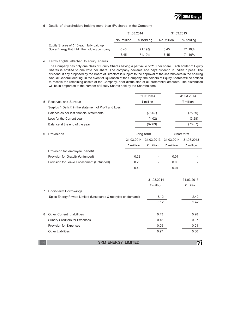

d Details of shareholders holding more than 5% shares in the Company

|                                             | 31.03.2014  |           |             | 31.03.2013 |
|---------------------------------------------|-------------|-----------|-------------|------------|
|                                             | No. million | % holding | No. million | % holding  |
| Equity Shares of ₹10 each fully paid up     |             |           |             |            |
| Spice Energy Pvt. Ltd., the holding company | 6.45        | 71.19%    | 6.45        | 71.19%     |
|                                             | 6.45        | 71 19%    | 6.45        | 71.19%     |

e Terms / rights attached to equity shares

The Company has only one class of Equity Shares having a par value of ₹10 per share. Each holder of Equity Shares is entitled to one vote per share. The company declares and pays dividend in Indian rupees. The dividend, if any proposed by the Board of Directors is subject to the approval of the shareholders in the ensuing Annual General Meeting. In the event of liquidation of the Company, the holders of Equity Shares will be entitled to receive the remaining assets of the Company, after distribution of all preferential amounts. The distribution will be in proportion to the number of Equity Shares held by the Shareholders.

|   |                                                         |                      | 31.03.2014 |                      | 31.03.2013 |
|---|---------------------------------------------------------|----------------------|------------|----------------------|------------|
| 5 | Reserves and Surplus                                    |                      | ₹ million  |                      | ₹ million  |
|   | Surplus / (Deficit) in the statement of Profit and Loss |                      |            |                      |            |
|   | Balance as per last financial statements                |                      | (78.67)    |                      | (75.39)    |
|   | Loss for the Current year                               |                      | (4.02)     |                      | (3.28)     |
|   | Balance at the end of the year                          |                      | (82.69)    |                      | (78.67)    |
| 6 | Provisions                                              |                      | Long-term  |                      | Short-term |
|   |                                                         | 31.03.2014           | 31.03.2013 | 31.03.2014           | 31.03.2013 |
|   |                                                         | $\bar{\tau}$ million | ₹ million  | $\bar{\tau}$ million | ₹ million  |
|   | Provision for employee benefit                          |                      |            |                      |            |
|   | Provision for Gratuity (Unfunded)                       | 0.23                 |            | 0.01                 |            |

Provision for Leave Encashment (Unfunded) 0.26 - 0.03

|    | 0.49                                                          |            | 0.04 |            |
|----|---------------------------------------------------------------|------------|------|------------|
|    |                                                               | 31.03.2014 |      | 31.03.2013 |
|    |                                                               | ₹ million  |      | ₹ million  |
| 7  | Short-term Borrowings                                         |            |      |            |
|    | Spice Energy Private Limited (Unsecured & repayble on demand) | 5.12       |      | 2.42       |
|    |                                                               | 5.12       |      | 2.42       |
|    |                                                               |            |      |            |
| 8  | <b>Other Current Liabilities</b>                              | 0.43       |      | 0.28       |
|    | <b>Sundry Creditors for Expenses</b>                          | 0.45       |      | 0.07       |
|    | Provision for Expenses                                        | 0.09       |      | 0.01       |
|    | <b>Other Liabilities</b>                                      | 0.97       |      | 0.36       |
|    |                                                               |            |      |            |
| 44 | <b>SRM ENERGY LIMITED</b>                                     |            |      |            |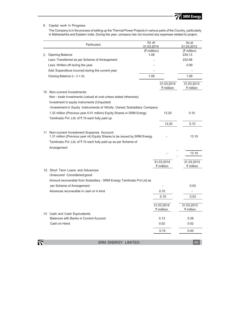# 9 Capital work in Progress

The Company is in the process of setting up the Thermal Power Projects in various parts of the Country, particularly in Maharashtra and Eastern India. During the year, company has not incurred any expenses related to project.

|                                                               | <b>Particulars</b>                                                                                                                                                                         | As at<br>31.03.2014 |                         | As at<br>31.03.2013     |
|---------------------------------------------------------------|--------------------------------------------------------------------------------------------------------------------------------------------------------------------------------------------|---------------------|-------------------------|-------------------------|
|                                                               |                                                                                                                                                                                            | (₹ million)         |                         | (₹ million)             |
| <b>Opening Balance</b><br>i)                                  |                                                                                                                                                                                            | 1.08                |                         | 234.13                  |
|                                                               | Less: Transferred as per Scheme of Arrangement                                                                                                                                             |                     |                         | 232.06                  |
| Less: Written off during the year                             |                                                                                                                                                                                            |                     |                         | 0.99                    |
|                                                               | Add: Expenditure incurred during the current year                                                                                                                                          |                     |                         |                         |
| Closing Balance (i - ii + iii)                                |                                                                                                                                                                                            | 1.08                |                         | 1.08                    |
|                                                               |                                                                                                                                                                                            |                     | 31.03.2014<br>₹ million | 31.03.2013<br>₹ million |
| 10 Non-current Investments                                    |                                                                                                                                                                                            |                     |                         |                         |
|                                                               | Non - trade Investments (valued at cost unless stated otherwise)                                                                                                                           |                     |                         |                         |
|                                                               | Investment in equity instruments (Unquoted)                                                                                                                                                |                     |                         |                         |
|                                                               | -Investment in Equity Instruments of Wholly Owned Subsidiary Company                                                                                                                       |                     |                         |                         |
|                                                               | 1.32 million (Previous year 0.01 million) Equity Shares in SRM Energy<br>Tamilnadu Pvt. Ltd. of ₹.10 each fully paid up                                                                    |                     | 13.20                   | 0.10                    |
|                                                               |                                                                                                                                                                                            |                     | 13.20                   | 0.10                    |
|                                                               | 11 Non-current Investment Suspense Account<br>1.31 million (Previous year nil) Equity Shares to be issued by SRM Energy<br>Tamilnadu Pvt. Ltd. of ₹.10 each fully paid up as per Scheme of |                     |                         | 13.10                   |
| Arrangement                                                   |                                                                                                                                                                                            |                     |                         |                         |
|                                                               |                                                                                                                                                                                            |                     |                         | 13.10                   |
|                                                               |                                                                                                                                                                                            |                     | 31.03.2014<br>₹ million | 31.03.2013<br>₹ million |
| 12 Short Term Loans and Advances<br>Unsecured Considered good |                                                                                                                                                                                            |                     |                         |                         |
|                                                               | Amount recoverable from Subsidiary - SRM Energy Tamilnadu Pvt. Ltd. as                                                                                                                     |                     |                         |                         |
| per Scheme of Arrangement                                     |                                                                                                                                                                                            |                     |                         | 0.03                    |
| Advances recoverable in cash or in kind                       |                                                                                                                                                                                            |                     | 0.10                    |                         |
|                                                               |                                                                                                                                                                                            |                     | 0.10                    | 0.03                    |
|                                                               |                                                                                                                                                                                            |                     | 31.03.2014<br>₹ million | 31.03.2013<br>₹ million |
| 13 Cash and Cash Equivalents                                  |                                                                                                                                                                                            |                     |                         |                         |
| Cash on Hand                                                  | Balances with Banks in Current Account                                                                                                                                                     |                     | 0.13<br>0.02            | 0.38<br>0.02            |
|                                                               |                                                                                                                                                                                            |                     |                         | 0.40                    |
|                                                               |                                                                                                                                                                                            |                     |                         |                         |
|                                                               |                                                                                                                                                                                            |                     | 0.15                    |                         |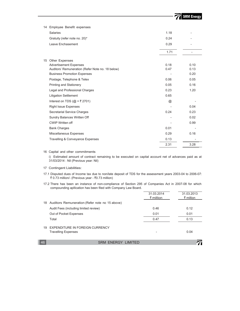| <b>Salaries</b><br>1.18<br>Gratuity (refer note no. 20)*<br>0.24<br>Leave Enchasement<br>0.29<br>1.71<br>$\overline{a}$<br>Other Expenses<br>15<br><b>Advertisement Expenses</b><br>0.18<br>0.10<br>Auditors' Remuneration (Refer Note no. 18 below)<br>0.47<br>0.13<br>0.20<br><b>Business Promotion Expenses</b><br>0.05<br>Postage, Telephone & Telex<br>0.06<br><b>Printing and Stationery</b><br>0.05<br>0.16<br>Legal and Professional Charges<br>0.23<br>1.20<br><b>Litigation Settlement</b><br>0.65<br>Interest on TDS ( $@ = \overline{5}$ 2701)<br>$^{\textregistered}$<br><b>Right Issue Expenses</b><br>0.04<br>0.24<br>0.23<br>Secretarial Service Charges<br>0.02<br>Sundry Balances Written Off<br><b>CWIP Written off</b><br>0.99<br><b>Bank Charges</b><br>0.01<br>0.16<br>Miscellaneous Expenses<br>0.29<br>0.13<br>Travelling & Conveyance Expenses | 14 Employee Benefit expenses |      |      |
|-------------------------------------------------------------------------------------------------------------------------------------------------------------------------------------------------------------------------------------------------------------------------------------------------------------------------------------------------------------------------------------------------------------------------------------------------------------------------------------------------------------------------------------------------------------------------------------------------------------------------------------------------------------------------------------------------------------------------------------------------------------------------------------------------------------------------------------------------------------------------|------------------------------|------|------|
|                                                                                                                                                                                                                                                                                                                                                                                                                                                                                                                                                                                                                                                                                                                                                                                                                                                                         |                              |      |      |
|                                                                                                                                                                                                                                                                                                                                                                                                                                                                                                                                                                                                                                                                                                                                                                                                                                                                         |                              |      |      |
|                                                                                                                                                                                                                                                                                                                                                                                                                                                                                                                                                                                                                                                                                                                                                                                                                                                                         |                              |      |      |
|                                                                                                                                                                                                                                                                                                                                                                                                                                                                                                                                                                                                                                                                                                                                                                                                                                                                         |                              |      |      |
|                                                                                                                                                                                                                                                                                                                                                                                                                                                                                                                                                                                                                                                                                                                                                                                                                                                                         |                              |      |      |
|                                                                                                                                                                                                                                                                                                                                                                                                                                                                                                                                                                                                                                                                                                                                                                                                                                                                         |                              |      |      |
|                                                                                                                                                                                                                                                                                                                                                                                                                                                                                                                                                                                                                                                                                                                                                                                                                                                                         |                              |      |      |
|                                                                                                                                                                                                                                                                                                                                                                                                                                                                                                                                                                                                                                                                                                                                                                                                                                                                         |                              |      |      |
|                                                                                                                                                                                                                                                                                                                                                                                                                                                                                                                                                                                                                                                                                                                                                                                                                                                                         |                              |      |      |
|                                                                                                                                                                                                                                                                                                                                                                                                                                                                                                                                                                                                                                                                                                                                                                                                                                                                         |                              |      |      |
|                                                                                                                                                                                                                                                                                                                                                                                                                                                                                                                                                                                                                                                                                                                                                                                                                                                                         |                              |      |      |
|                                                                                                                                                                                                                                                                                                                                                                                                                                                                                                                                                                                                                                                                                                                                                                                                                                                                         |                              |      |      |
|                                                                                                                                                                                                                                                                                                                                                                                                                                                                                                                                                                                                                                                                                                                                                                                                                                                                         |                              |      |      |
|                                                                                                                                                                                                                                                                                                                                                                                                                                                                                                                                                                                                                                                                                                                                                                                                                                                                         |                              |      |      |
|                                                                                                                                                                                                                                                                                                                                                                                                                                                                                                                                                                                                                                                                                                                                                                                                                                                                         |                              |      |      |
|                                                                                                                                                                                                                                                                                                                                                                                                                                                                                                                                                                                                                                                                                                                                                                                                                                                                         |                              |      |      |
|                                                                                                                                                                                                                                                                                                                                                                                                                                                                                                                                                                                                                                                                                                                                                                                                                                                                         |                              |      |      |
|                                                                                                                                                                                                                                                                                                                                                                                                                                                                                                                                                                                                                                                                                                                                                                                                                                                                         |                              |      |      |
|                                                                                                                                                                                                                                                                                                                                                                                                                                                                                                                                                                                                                                                                                                                                                                                                                                                                         |                              |      |      |
|                                                                                                                                                                                                                                                                                                                                                                                                                                                                                                                                                                                                                                                                                                                                                                                                                                                                         |                              |      |      |
|                                                                                                                                                                                                                                                                                                                                                                                                                                                                                                                                                                                                                                                                                                                                                                                                                                                                         |                              | 2.31 | 3.28 |

16 Capital and other commitments

i) Estimated amount of contract remaining to be executed on capital account net of advances paid as at 31/03/2014 : Nil (Previous year: Nil)

17 Contingent Liabilities:

17.1 Disputed dues of Income tax due to non/late deposit of TDS for the assessment years 2003-04 to 2006-07: ₹ 0.73 million/- (Previous year - ₹0.73 million)

17.2 There has been an instance of non-compliance of Section 295 of Companies Act in 2007-08 for which compounding apllication has been filed with Company Law Board.

|    |                                                                      | 31.03.2014<br>$\bar{\tau}$ million | 31.03.2013<br>₹ million |
|----|----------------------------------------------------------------------|------------------------------------|-------------------------|
|    | 18 Auditors Remuneration (Refer note no 15 above)                    |                                    |                         |
|    | Audit Fees (including limited review)                                | 0.46                               | 0.12                    |
|    | Out of Pocket Expenses                                               | 0.01                               | 0.01                    |
|    | Total                                                                | 0.47                               | 0.13                    |
| 19 | <b>EXPENDITURE IN FOREIGN CURRENCY</b><br><b>Travelling Expenses</b> |                                    | 0.04                    |
| 46 | <b>SRM ENERGY LIMITED</b>                                            |                                    |                         |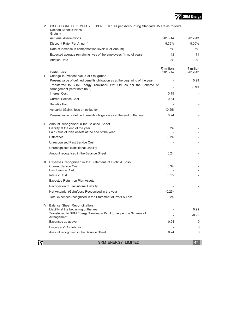

20 DISCLOSURE OF "EMPLOYEE BENEFITS" as per Accounting Standard 15 are as follows: Defined Benefits Plans

|              | Gratuity                                                                                                     |                      |                                 |
|--------------|--------------------------------------------------------------------------------------------------------------|----------------------|---------------------------------|
|              | <b>Actuarial Assumptions</b>                                                                                 | 2013-14              | 2012-13                         |
|              | Discount Rate (Per Annum)                                                                                    | 9.36%                | 8.00%                           |
|              | Rate of increase in compensation levels (Per Annum)                                                          | 5%                   | 5%                              |
|              | Expected average remaining lives of the employees (in no of years)                                           | $12 \overline{ }$    | 11                              |
|              | <b>Attrition Rate</b>                                                                                        | 2%                   | 2%                              |
|              |                                                                                                              |                      |                                 |
|              | Particulars                                                                                                  | ₹ million<br>2013-14 | $\bar{\tau}$ million<br>2012-13 |
| L            | Change in Present Value of Obligation                                                                        |                      |                                 |
|              | Present value of defined benefits obligation as at the beginning of the year                                 |                      | 0.99                            |
|              | Transferred to SRM Energy Tamilnadu Pvt. Ltd. as per the Scheme of<br>Arrangement (refer note no.3)          |                      | $-0.99$                         |
|              | <b>Interest Cost</b>                                                                                         | 0.15                 |                                 |
|              | <b>Current Service Cost</b>                                                                                  | 0.34                 |                                 |
|              | <b>Benefits Paid</b>                                                                                         |                      |                                 |
|              | Actuarial (Gain) / loss on obligation                                                                        | (0.25)               |                                 |
|              | Present value of defined benefits obligation as at the end of the year                                       | 0.24                 |                                 |
|              |                                                                                                              |                      |                                 |
| $\mathbf{H}$ | Amount recognised in the Balance Sheet                                                                       |                      |                                 |
|              | Liability at the end of the year<br>Fair Value of Plan Assets at the end of the year                         | 0.24                 |                                 |
|              | <b>Difference</b>                                                                                            | 0.24                 |                                 |
|              | Unrecognised Past Service Cost                                                                               |                      |                                 |
|              | Unrecognised Transitional Liability                                                                          |                      |                                 |
|              | Amount recognised in the Balance Sheet                                                                       | 0.24                 |                                 |
|              |                                                                                                              |                      |                                 |
|              | III Expenses recognised in the Statement of Profit & Loss                                                    |                      |                                 |
|              | <b>Current Service Cost</b>                                                                                  | 0.34                 |                                 |
|              | Past Service Cost<br><b>Interest Cost</b>                                                                    | 0.15                 |                                 |
|              | Expected Return on Plan Assets                                                                               |                      |                                 |
|              | Recognition of Transitional Liability                                                                        |                      |                                 |
|              | Net Actuarial (Gain)/Loss Recognised in the year                                                             | (0.25)               |                                 |
|              | Total expenses recognised in the Statement of Profit & Loss                                                  | 0.24                 |                                 |
|              |                                                                                                              |                      |                                 |
|              | IV Balance Sheet Reconciliation                                                                              |                      |                                 |
|              | Liability at the beginning of the year<br>Transferred to SRM Energy Tamilnadu Pvt. Ltd. as per the Scheme of |                      | 0.99                            |
|              | Arrangement                                                                                                  |                      | -0.99                           |
|              | Expenses as above                                                                                            | 0.24                 | 0                               |
|              | Employers' Contribution                                                                                      |                      | 0                               |
|              | Amount recognised in the Balance Sheet                                                                       | 0.24                 | 0                               |
|              |                                                                                                              |                      |                                 |

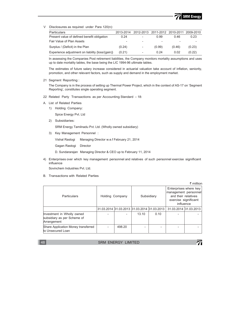V Disclosures as required under Para 120(n):

| <b>Particulars</b>                               | 2013-2014                |                          | 2012-2013 2011-2012 2010-2011 2009-2010 |                          |        |
|--------------------------------------------------|--------------------------|--------------------------|-----------------------------------------|--------------------------|--------|
| Present value of defined benefit obligation      | 0.24                     | $\overline{\phantom{0}}$ | 0.99                                    | 0.46                     | 0.23   |
| Fair Value of Plan Assets                        | $\overline{\phantom{0}}$ | $\overline{\phantom{0}}$ | $\overline{\phantom{0}}$                | $\overline{\phantom{a}}$ |        |
| Surplus / (Deficit) in the Plan                  | (0.24)                   | $\overline{\phantom{0}}$ | (0.99)                                  | (0.46)                   | (0.23) |
| Experience adjustment on liability {loss/(gain)} | (0.21)                   | $\overline{\phantom{0}}$ | 0.24                                    | 0.02                     | (0.22) |

In assessing the Companies Post retirement liabilities, the Company monitors mortality assumptions and uses up to date mortality tables, the base being the LIC 1994-96 ultimate tables.

The estimates of future salary increase considered in actuarial valuation take account of inflation, seniority, promotion, and other relevant factors, such as supply and demand in the employment market.

21 Segment Reporting :

The Company is in the process of setting up Thermal Power Project, which in the context of AS-17 on 'Segment Reporting', constitutes single operating segment.

- 22 Related Party Transactions as per Accounting Standard 18:
- A. List of Related Parties
	- 1) Holding Company:

Spice Energy Pvt. Ltd

2) Subsidiaries:

SRM Energy Tamilnadu Pvt. Ltd. (Wholly owned subsidiary)

3) Key Management Personnel :

Vishal Rastogi Managing Director w.e.f February 21, 2014

Gagan Rastogi Director

D. Sundararajan Managing Director & CEO up to February 11, 2014

4) Enterprises over which key management personnel and relatives of such personnel exercise significant influence

Sovinchem Industries Pvt. Ltd.

B. Transactions with Related Parties

₹ million Particulars | Holding Company | Subsidiary Enterprises where key management personnel and their relatives exercise significant influence 31.03.2014 31.03.2013 31.03.2014 31.03.2013 31.03.2014 31.03.2013 Investment in Wholly owned subsidiary as per Scheme of Arrangement - | - | 13.10 | 0.10 | - | -Share Application Money transferred to Unsecured Loan  $-$  498.20 - -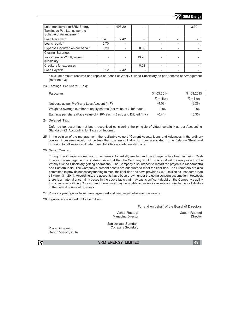| Loan transferred to SRM Energy<br>Tamilnadu Pvt. Ltd. as per the<br>Scheme of Arrangement |      | 498.20 |       |                          |                          | 3.30 |
|-------------------------------------------------------------------------------------------|------|--------|-------|--------------------------|--------------------------|------|
| Loan Received*                                                                            | 3.40 | 2.42   |       |                          |                          |      |
| Loans repaid*                                                                             | 0.70 |        |       |                          |                          |      |
| Expenses incurred on our behalf                                                           | 0.20 |        | 0.02  |                          |                          |      |
| Closing Balance:                                                                          |      |        |       |                          |                          |      |
| Investment in Wholly owned<br>subsidiary                                                  |      |        | 13.20 |                          |                          |      |
| Creditors for expenses                                                                    |      |        | 0.02  | $\overline{\phantom{0}}$ | $\overline{\phantom{0}}$ |      |
| Loan Payable                                                                              | 5.12 | 2.42   |       | $\overline{\phantom{0}}$ |                          |      |

\* exclude amount received and repaid on behalf of Wholly Owned Subsidiary as per Scheme of Arrangement (refer note 3)

#### 23 Earnings Per Share (EPS):

| <b>Particulars</b>                                                                              | 31.03.2014           | 31.03.2013 |
|-------------------------------------------------------------------------------------------------|----------------------|------------|
|                                                                                                 | $\bar{\tau}$ million | ₹ million  |
| Net Loss as per Profit and Loss Account (in $\bar{z}$ )                                         | (4.02)               | (3.28)     |
| Weighted average number of equity shares (par value of $\bar{\tau}$ 10/- each)                  | 9.06                 | 9.06       |
| Earnings per share (Face value of $\bar{\tau}$ 10/- each)- Basic and Diluted (in $\bar{\tau}$ ) | (0.44)               | (0.36)     |

24 Deferred Tax:

Deferred tax asset has not been recognized considering the principle of virtual certainity as per Accounting Standard -22 'Accounting for Taxes on Income'.

- 25 In the opinion of the management, the realizable value of Current Assets, loans and Advances in the ordinary course of business would not be less than the amount at which they are stated in the Balance Sheet and provision for all known and determined liabilities are adequately made.
- 26 Going Concern

Though the Company's net worth has been substantially eroded and the Company has been incurring Cash Losses, the management is of strong view that that the Company would turnaround with power project of the Wholly Owned Subsidiary getting operational. The Company also intends to restart the projects in Maharashtra and Eastern India. The Company's present assets are adequate to meet the liabilities. The Promoters are also committed to provide necessary funding to meet the liabilities and have provided  $\bar{\tau}$  5.12 million as unsecured loan till March 31, 2014. Accordingly, the accounts have been drawn under the going concern assumption. However, there is a material uncertainty based in the above facts that may cast significant doubt on the Company's ability to continue as a Going Concern and therefore it may be unable to realise its assets and discharge its liabilities in the normal course of business.

- 27 Previous year figures have been regrouped and rearranged wherever necessary.
- 28 Figures are rounded off to the million.

For and on behalf of the Board of Directors

Vishal Rastogi Managing Director Gagan Rastogi Director

Sanjeevlata Samdani Company Secretary

Place : Gurgoan, Date : May 29, 2014

 $\triangledown$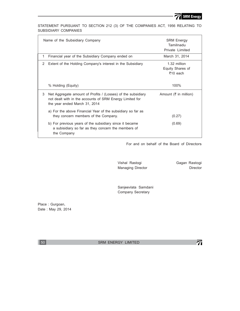STATEMENT PURSUANT TO SECTION 212 (3) OF THE COMPANIES ACT, 1956 RELATING TO SUBSIDIARY COMPANIES

|   | Name of the Subsidiary Company                                                                                                                            | <b>SRM Energy</b><br>Tamilnadu<br>Private Limited         |
|---|-----------------------------------------------------------------------------------------------------------------------------------------------------------|-----------------------------------------------------------|
| 1 | Financial year of the Subsidiary Company ended on                                                                                                         | March 31, 2014                                            |
| 2 | Extent of the Holding Company's interest in the Subsidiary                                                                                                | 1.32 million<br>Equity Shares of<br>$\overline{5}10$ each |
|   | % Holding (Equity)                                                                                                                                        | 100%                                                      |
| 3 | Net Aggregate amount of Profits / (Losses) of the subsidiary<br>not dealt with in the accounts of SRM Energy Limited for<br>the year ended March 31, 2014 | Amount ( $\bar{\tau}$ in million)                         |
|   | a) For the above Financial Year of the subsidiary so far as<br>they concern members of the Company.                                                       | (0.27)                                                    |
|   | b) For previous years of the subsidiary since it became<br>a subisidiary so far as they concern the members of<br>the Company                             | (0.69)                                                    |

For and on behalf of the Board of Directors

Vishal Rastogi Gagan Rastogi Managing Director **Director** Director

Sanjeevlata Samdani Company Secretary

Place : Gurgoan, Date : May 29, 2014

50 SRM ENERGY LIMITED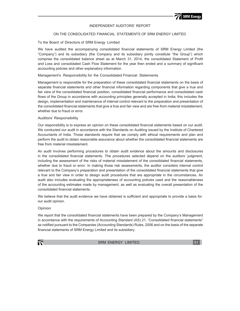

# INDEPENDENT AUDITORS' REPORT

# ON THE CONSOLIDATED FINANCIAL STATEMENTS OF SRM ENERGY LIMITED

# To the Board of Directors of SRM Energy Limited

We have audited the accompanying consolidated financial statements of SRM Energy Limited (the "Company") and its subsidiary (the Company and its subsidiary jointly constitute "the Group") which comprise the consolidated balance sheet as at March 31, 2014, the consolidated Statement of Profit and Loss and consolidated Cash Flow Statement for the year then ended and a summary of significant accounting policies and other explanatory information.

# Management's Responsibility for the Consolidated Financial Statements

Management is responsible for the preparation of these consolidated financial statements on the basis of separate financial statements and other financial information regarding components that give a true and fair view of the consolidated financial position, consolidated financial performance and consolidated cash flows of the Group in accordance with accounting principles generally accepted in India; this includes the design, implementation and maintenance of internal control relevant to the preparation and presentation of the consolidated financial statements that give a true and fair view and are free from material misstatement, whether due to fraud or error.

# Auditors' Responsibility

Our responsibility is to express an opinion on these consolidated financial statements based on our audit. We conducted our audit in accordance with the Standards on Auditing issued by the Institute of Chartered Accountants of India. Those standards require that we comply with ethical requirements and plan and perform the audit to obtain reasonable assurance about whether the consolidated financial statements are free from material misstatement.

An audit involves performing procedures to obtain audit evidence about the amounts and disclosures in the consolidated financial statements. The procedures selected depend on the auditors' judgment, including the assessment of the risks of material misstatement of the consolidated financial statements, whether due to fraud or error. In making those risk assessments, the auditor considers internal control relevant to the Company's preparation and presentation of the consolidated financial statements that give a true and fair view in order to design audit procedures that are appropriate in the circumstances. An audit also includes evaluating the appropriateness of accounting policies used and the reasonableness of the accounting estimates made by management, as well as evaluating the overall presentation of the consolidated financial statements.

We believe that the audit evidence we have obtained is sufficient and appropriate to provide a basis for our audit opinion.

# Opinion

We report that the consolidated financial statements have been prepared by the Company's Management in accordance with the requirements of Accounting Standard (AS) 21, "Consolidated financial statements" as notified pursuant to the Companies (Accounting Standards) Rules, 2006 and on the basis of the separate financial statements of SRM Energy Limited and its subsidiary.

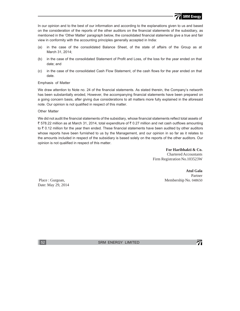In our opinion and to the best of our information and according to the explanations given to us and based on the consideration of the reports of the other auditors on the financial statements of the subsidiary, as mentioned in the 'Other Matter' paragraph below, the consolidated financial statements give a true and fair view in conformity with the accounting principles generally accepted in India:

- (a) in the case of the consolidated Balance Sheet, of the state of affairs of the Group as at March 31, 2014;
- (b) in the case of the consolidated Statement of Profit and Loss, of the loss for the year ended on that date; and
- (c) in the case of the consolidated Cash Flow Statement, of the cash flows for the year ended on that date.

Emphasis of Matter

We draw attention to Note no. 24 of the financial statements. As stated therein, the Company's networth has been substantially eroded, However, the accompanying financial statements have been prepared on a going concern basis, after giving due considerations to all matters more fully explained in the aforesaid note. Our opinion is not qualified in respect of this matter.

# Other Matter

We did not audit the financial statements of the subsidiary, whose financial statements reflect total assets of ₹ 578.22 million as at March 31, 2014, total expenditure of ₹ 0.27 million and net cash outflows amounting to  $\bar{\tau}$  0.12 million for the year then ended. These financial statements have been audited by other auditors whose reports have been furnished to us by the Management, and our opinion in so far as it relates to the amounts included in respect of the subsidiary is based solely on the reports of the other auditors. Our opinion is not qualified in respect of this matter.

> **For Haribhakti & Co.** Chartered Accountants Firm Registration No.103523W

Date: May 29, 2014

**Atul Gala** Partner Place : Gurgoan, Membership No. 048650

**52** SRM ENERGY LIMITED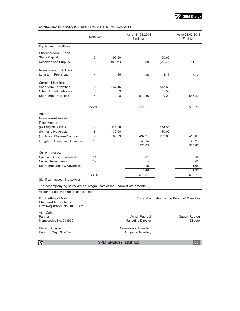# CONSOLIDATED BALANCE SHEET AS AT 31ST MARCH, 2014

|                                                                                       | Note No.     |         | As at 31.03.2014<br>₹ million |         | As at 31.03.2013<br>₹ million               |
|---------------------------------------------------------------------------------------|--------------|---------|-------------------------------|---------|---------------------------------------------|
| Equity and Liabilities                                                                |              |         |                               |         |                                             |
| Shareholders' Funds                                                                   |              |         |                               |         |                                             |
| Share Capital                                                                         | 2            | 90.60   |                               | 90.60   |                                             |
| Reserves and Surplus                                                                  | 3            | (83.71) | 6.89                          | (79.41) | 11.19                                       |
| <b>Non-current Liabilities</b>                                                        |              |         |                               |         |                                             |
| Long-term Provisions                                                                  | 4            | 1.26    | 1.26                          | 3.17    | 3.17                                        |
| <b>Current Liabilities</b>                                                            |              |         |                               |         |                                             |
| Short-term Borrowings                                                                 | 5            | 567.45  |                               | 543.60  |                                             |
| <b>Other Current Liabilities</b>                                                      | 6            | 3.83    |                               | 2.59    |                                             |
| <b>Short-term Provisions</b>                                                          | 4            | 0.08    | 571.36                        | 0.21    | 546.40                                      |
|                                                                                       | <b>TOTAL</b> |         | 579.51                        |         | 560.76                                      |
|                                                                                       |              |         |                               |         |                                             |
| Assets<br><b>Non-current Assets</b>                                                   |              |         |                               |         |                                             |
| <b>Fixed Assets</b>                                                                   |              |         |                               |         |                                             |
| (a) Tangible Assets                                                                   | 7            | 114.38  |                               | 114.54  |                                             |
| (b) Intangible Assets                                                                 | 8            | 30.00   |                               | 30.00   |                                             |
| (c) Capital Work-in-Progress                                                          | 9            | 288.53  | 432.91                        | 269.06  | 413.60                                      |
| Long-term Loans and Advances                                                          | 10           |         | 145.14                        |         | 145.26                                      |
|                                                                                       |              |         | 578.05                        |         | 558.86                                      |
|                                                                                       |              |         |                               |         |                                             |
| <b>Current Assets</b>                                                                 |              |         |                               |         |                                             |
| Cash and Cash Equivalents                                                             | 11           |         | 0.31                          |         | 0.44                                        |
| <b>Current Investments</b>                                                            | 12           |         |                               |         | 0.41                                        |
| Short-term Loans & Advances                                                           | 10           |         | 1.15                          |         | 1.05                                        |
|                                                                                       |              |         | 1.46                          |         | 1.90                                        |
|                                                                                       | <b>TOTAL</b> |         | 579.51                        |         | 560.76                                      |
| Significant accounting policies                                                       | 1            |         |                               |         |                                             |
| The accompanying notes are an integral part of the financial statements               |              |         |                               |         |                                             |
| As per our attached report of even date                                               |              |         |                               |         |                                             |
| For Haribhakti & Co.<br><b>Chartered Accountants</b><br>Firm Registration No. 103523W |              |         |                               |         | For and on behalf of the Board of Directors |
| Atul Gala                                                                             |              |         |                               |         |                                             |
| Partner                                                                               |              |         | Vishal Rastogi                |         | Gagan Rastogi                               |
| Membership No. 048650                                                                 |              |         | <b>Managing Director</b>      |         | Director                                    |
| Place : Gurgoan,                                                                      |              |         | Sanjeevlata Samdani           |         |                                             |
| Date : May 29, 2014                                                                   |              |         | Company Secretary             |         |                                             |

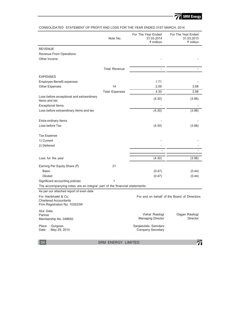

|                                                                                       | Note No.              | For The Year Ended<br>31.03.2014<br>₹ million | For The Year Ended<br>31.03.2013<br>₹ million |
|---------------------------------------------------------------------------------------|-----------------------|-----------------------------------------------|-----------------------------------------------|
| <b>REVENUE</b>                                                                        |                       |                                               |                                               |
| <b>Revenue From Operations</b>                                                        |                       |                                               |                                               |
| Other Income                                                                          |                       |                                               |                                               |
|                                                                                       | <b>Total Revenue</b>  |                                               |                                               |
| <b>EXPENSES</b>                                                                       |                       |                                               |                                               |
| Employee Benefit expenses                                                             |                       | 1.71                                          |                                               |
| Other Expenses                                                                        | 14                    | 2.59                                          | 3.98                                          |
|                                                                                       | <b>Total Expenses</b> | 4.30                                          | 3.98                                          |
| Loss before exceptional and extraordinary<br>items and tax                            |                       | (4.30)                                        | (3.98)                                        |
| <b>Exceptional Items</b>                                                              |                       |                                               |                                               |
| Loss before extraordinary items and tax                                               |                       | (4.30)                                        | (3.98)                                        |
| Extra-ordinary Items                                                                  |                       |                                               |                                               |
| Loss before Tax                                                                       |                       | (4.30)                                        | (3.98)                                        |
| <b>Tax Expense</b>                                                                    |                       |                                               |                                               |
| 1) Current                                                                            |                       |                                               |                                               |
| 2) Deferred                                                                           |                       |                                               |                                               |
|                                                                                       |                       |                                               |                                               |
| Loss for the year                                                                     |                       | (4.30)                                        | (3.98)                                        |
| Earning Per Equity Share $(\bar{\tau})$                                               | 21                    |                                               |                                               |
| <b>Basic</b>                                                                          |                       | (0.47)                                        | (0.44)                                        |
| <b>Diluted</b>                                                                        |                       | (0.47)                                        | (0.44)                                        |
| Significant accounting policies                                                       | 1                     |                                               |                                               |
| The accompanying notes are an integral part of the financial statements               |                       |                                               |                                               |
| As per our attached report of even date                                               |                       |                                               |                                               |
| For Haribhakti & Co.<br><b>Chartered Accountants</b><br>Firm Registration No. 103523W |                       |                                               | For and on behalf of the Board of Directors   |
| Atul Gala                                                                             |                       |                                               |                                               |
| Partner<br>Membership No. 048650                                                      |                       | Vishal Rastogi<br><b>Managing Director</b>    | Gagan Rastogi<br>Director                     |
| Place : Gurgoan,<br>Date : May 29, 2014                                               |                       | Sanjeevlata Samdani<br>Company Secretary      |                                               |

CONSOLIDATED STATEMENT OF PROFIT AND LOSS FOR THE YEAR ENDED 31ST MARCH, 2014

**54** SRM ENERGY LIMITED

 $\overline{7}$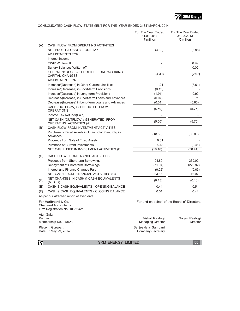

|  | CONSOLIDATED CASH FLOW STATEMENT FOR THE YEAR ENDED 31ST MARCH, 2014 |  |  |  |  |  |  |  |  |
|--|----------------------------------------------------------------------|--|--|--|--|--|--|--|--|
|--|----------------------------------------------------------------------|--|--|--|--|--|--|--|--|

|         |                                                                                       | For The Year Ended<br>31.03.2014<br>₹ million | For The Year Ended<br>31.03.2013<br>₹ million |
|---------|---------------------------------------------------------------------------------------|-----------------------------------------------|-----------------------------------------------|
| (A)     | CASH FLOW FROM OPERATING ACTIVITIES                                                   |                                               |                                               |
|         | NET PROFIT/(LOSS) BEFORE TAX                                                          | (4.30)                                        | (3.98)                                        |
|         | <b>ADJUSTMENTS FOR</b>                                                                |                                               |                                               |
|         | Interest Income                                                                       |                                               |                                               |
|         | <b>CWIP Written off</b>                                                               |                                               | 0.99                                          |
|         | Sundry Balances Written off                                                           |                                               | 0.02                                          |
|         | OPERATING (LOSS) / PROFIT BEFORE WORKING<br><b>CAPITAL CHANGES</b>                    | (4.30)                                        | (2.97)                                        |
|         | ADJUSTMENT FOR                                                                        |                                               |                                               |
|         | Increase/(Decrease) in Other Current Liabilities                                      | 1.21                                          | (3.61)                                        |
|         | Increase/(Decrease) in Short-term Provisions                                          | (0.12)                                        |                                               |
|         | Increase/(Decrease) in Long-term Provisions                                           | (1.91)                                        | 0.92                                          |
|         | Decrease/(Increase) in Short-term Loans and Advances                                  | (0.07)                                        | 0.71                                          |
|         | Decrease/(Increase) in Long-term Loans and Advances                                   | (0.31)                                        | (0.80)                                        |
|         | CASH (OUTFLOW) / GENERATED FROM<br><b>OPERATIONS</b>                                  | (5.50)                                        | (5.75)                                        |
|         | Income Tax Refund/(Paid)                                                              |                                               |                                               |
|         | NET CASH (OUTFLOW) / GENERATED FROM<br>OPERATING ACTIVITIES (A)                       | (5.50)                                        | (5.75)                                        |
| (B)     | CASH FLOW FROM INVESTMENT ACTIVITIES                                                  |                                               |                                               |
|         | Purchase of Fixed Assets including CWIP and Capital<br>Advances                       | (18.88)                                       | (36.00)                                       |
|         | Proceeds from Sale of Fixed Assets                                                    | 0.01                                          |                                               |
|         | <b>Purchase of Current Investments</b>                                                | 0.41                                          | (0.41)                                        |
|         | NET CASH USED IN INVESTMENT ACTIVITIES (B)                                            | (18.46)                                       | (36.41)                                       |
| (C)     | CASH FLOW FROM FINANCE ACTIVITIES                                                     |                                               |                                               |
|         | Proceeds from Short-term Borrowings                                                   | 94.89                                         | 269.02                                        |
|         | Repayment of Short-term Borrowings                                                    | (71.04)                                       | (226.92)                                      |
|         | Interest and Finance Charges Paid                                                     | (0.02)                                        | (0.03)                                        |
|         | NET CASH FROM FINANCIAL ACTIVITIES (C)                                                | 23.83                                         | 42.07                                         |
| (D)     | NET CHANGES IN CASH & CASH EQUIVALENTS<br>$(A+B+C)$                                   | (0.13)                                        | (0.10)                                        |
| (E)     | CASH & CASH EQUIVALENTS - OPENING BALANCE                                             | 0.44                                          | 0.54                                          |
| (F)     | CASH & CASH EQUIVALENTS - CLOSING BALANCE                                             | 0.31                                          | 0.44                                          |
|         | As per our attached report of even date                                               |                                               |                                               |
|         | For Haribhakti & Co.<br><b>Chartered Accountants</b><br>Firm Registration No. 103523W |                                               | For and on behalf of the Board of Directors   |
|         | Atul Gala                                                                             |                                               |                                               |
| Partner |                                                                                       | Vishal Rastogi                                | Gagan Rastogi                                 |
|         | Membership No. 048650                                                                 | <b>Managing Director</b>                      | <b>Director</b>                               |
| Date    | Place: Gurgoan,<br>: May 29, 2014                                                     | Sanjeevlata Samdani<br>Company Secretary      |                                               |
|         |                                                                                       |                                               |                                               |

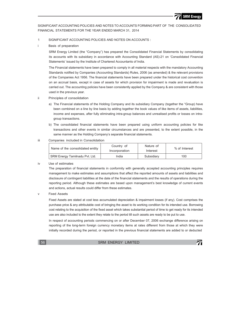SIGNIFICANT ACCOUNTING POLICIES AND NOTES TO ACCOUNTS FORMING PART OF THE CONSOLIDATED FINANCIAL STATEMENTS FOR THE YEAR ENDED MARCH 31, 2014

- 1 SIGNIFICANT ACCOUNTING POLICIES AND NOTES ON ACCOUNTS :
- i Basis of preparation

SRM Energy Limited (the "Company") has prepared the Consolidated Financial Statements by consolidating its accounts with its subsidiary in accordance with Accounting Standard (AS)-21 on 'Consolidated Financial Statements' issued by the Institute of Chartered Accountants of India.

The Financial statements have been prepared to comply in all material respects with the mandatory Accounting Standards notified by Companies (Accounting Standards) Rules, 2006 (as amended) & the relevant provisions of the Companies Act 1956. The financial statements have been prepared under the historical cost convention on an accrual basis, except in case of assets for which provision for impairment is made and revaluation is carried out. The accounting policies have been consistently applied by the Company & are consistent with those used in the previous year.

- ii Principles of consolidation
	- a) The Financial statements of the Holding Company and its subsidiary Company (together the "Group) have been combined on a line by line basis by adding together the book values of like items of assets, liabilities, income and expenses, after fully eliminating intra-group balances and unrealised profits or losses on intragroup transactions.
	- b) The consolidated financial statements have been prepared using uniform accounting policies for like transactions and other events in similar circumstances and are presented, to the extent possible, in the same manner as the Holding Company's separate financial statements.

#### iii Companies included in Consolidation

| Country of<br>Name of the consolidated entity<br>Incorporation |       | Nature of<br>Interest | % of Interest |
|----------------------------------------------------------------|-------|-----------------------|---------------|
| SRM Energy Tamilnadu Pvt. Ltd.                                 | India | Subsidiary            | 100           |

iv Use of estimates

The preparation of financial statements in conformity with generally accepted accounting principles requires management to make estimates and assumptions that affect the reported amounts of assets and liabilities and disclosure of contingent liabilities at the date of the financial statements and the results of operations during the reporting period. Although these estimates are based upon management's best knowledge of current events and actions, actual results could differ from these estimates.

**Fixed Assets** 

Fixed Assets are stated at cost less accumulated depreciation & impairment losses (if any). Cost comprises the purchase price & any attributable cost of bringing the asset to its working condition for its intended use. Borrowing cost relating to the acquisition of the fixed asset which takes substantial period of time to get ready for its intended use are also included to the extent they relate to the period till such assets are ready to be put to use.

In respect of accounting periods commencing on or after December 07, 2006 exchange difference arising on reporting of the long-term foreign currency monetary items at rates different from those at which they were initially recorded during the period, or reported in the previous financial statements are added to or deducted

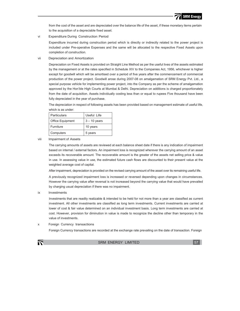

from the cost of the asset and are depreciated over the balance life of the asset, if these monetary items pertain to the acquisition of a depreciable fixed asset.

vi Expenditure During Construction Period

Expenditure incurred during construction period which is directly or indirectly related to the power project is included under Pre-operative Expenses and the same will be allocated to the respective Fixed Assets upon completion of construction.

vii Depreciation and Amortization

Depreciation on Fixed Assets is provided on Straight Line Method as per the useful lives of the assets estimated by the management or at the rates specified in Schedule XIV to the Companies Act, 1956, whichever is higher except for goodwill which will be amortised over a period of five years after the commencement of commercial production of the power project. Goodwill arose during 2007-08 on amalgamation of SRM Energy Pvt. Ltd., a special purpose vehicle for implementing power project, into the Company as per the scheme of amalgamation approved by the Hon'ble High Courts at Mumbai & Delhi. Depreciation on additions is charged proportionately from the date of acquisition. Assets individually costing less than or equal to rupees Five thousand have been fully depreciated in the year of purchase.

The depreciation in respect of following assets has been provided based on management estimate of useful life, which is as under:

| Particulars      | Useful Life    |
|------------------|----------------|
| Office Equipment | $3 - 10$ years |
| Furniture        | 10 years       |
| Computers        | 5 years        |

viii Impairment of Assets

The carrying amounts of assets are reviewed at each balance sheet date if there is any indication of impairment based on internal / external factors. An impairment loss is recognized wherever the carrying amount of an asset exceeds its recoverable amount. The recoverable amount is the greater of the assets net selling price & value in use. In assessing value in use, the estimated future cash flows are discounted to their present value at the weighted average cost of capital.

After impairment, depreciation is provided on the revised carrying amount of the asset over its remaining useful life.

A previously recognized impairment loss is increased or reversed depending upon changes in circumstances. However the carrying value after reversal is not increased beyond the carrying value that would have prevailed by charging usual depreciation if there was no impairment.

ix Investments

Investments that are readily realizable & intended to be held for not more than a year are classified as current investment. All other investments are classified as long term investments. Current investments are carried at lower of cost & fair value determined on an individual investment basis. Long term investments are carried at cost. However, provision for diminution in value is made to recognize the decline other than temporary in the value of investments.

x Foreign Currency transactions

Foreign Currency transactions are recorded at the exchange rate prevailing on the date of transaction. Foreign

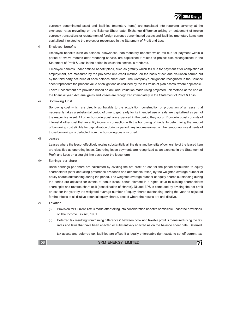currency denominated asset and liabilities (monetary items) are translated into reporting currency at the exchange rates prevailing on the Balance Sheet date. Exchange difference arising on settlement of foreign currency transactions or restatement of foreign currency denominated assets and liabilities (monetary items) are capitalized if related to the project or recognized in the Statement of Profit and Loss.

xi Employee benefits

Employee benefits such as salaries, allowances, non-monetary benefits which fall due for payment within a period of twelve months after rendering service, are capitalised if related to project else reconganised in the Statement of Profit & Loss in the period in which the service is rendered.

Employee benefits under defined benefit plans, such as gratuity which fall due for payment after completion of employment, are measured by the projected unit credit method, on the basis of actuarial valuation carried out by the third party actuaries at each balance sheet date. The Company's obligations recognized in the Balance sheet represents the present value of obligations as reduced by the fair value of plan assets, where applicable.

Leave Encashment are provided based on actuarial valuation made using projected unit method at the end of the financial year. Actuarial gains and losses are recognized immediately in the Statement of Profit & Loss.

xii Borrowing Cost

Borrowing cost which are directly attributable to the acquisition, construction or production of an asset that necessarily takes a substantial period of time to get ready for its intended use or sale are capitalized as part of the respective asset. All other borrowing cost are expensed in the period they occur. Borrowing cost consists of interest & other cost that an entity incurs in connection with the borrowing of funds. In determining the amount of borrowing cost eligible for capitalization during a period, any income earned on the temporary investments of those borrowings is deducted from the borrowing costs incurred.

xiii Leases

Leases where the lessor effectively retains substantially all the risks and benefits of ownership of the leased item are classified as operating lease. Operating lease payments are recognized as an expense in the Statement of Profit and Loss on a straight-line basis over the lease term.

xiv Earnings per share

Basic earnings per share are calculated by dividing the net profit or loss for the period attributable to equity shareholders (after deducting preference dividends and attributable taxes) by the weighted average number of equity shares outstanding during the period. The weighted average number of equity shares outstanding during the period are adjusted for events of bonus issue; bonus element in a rights issue to existing shareholders; share split; and reverse share split (consolidation of shares). Diluted EPS is computed by dividing the net profit or loss for the year by the weighted average number of equity shares outstanding during the year as adjusted for the effects of all dilutive potential equity shares, except where the results are anti-dilutive.

#### xv Taxation

- (i) Provision for Current Tax is made after taking into consideration benefits admissible under the provisions of The Income Tax Act, 1961.
- (ii) Deferred tax resulting from "timing differences" between book and taxable profit is measured using the tax rates and laws that have been enacted or substantively enacted as on the balance sheet date. Deferred

tax assets and deferred tax liabilities are offset, if a legally enforceable right exists to set off current tax

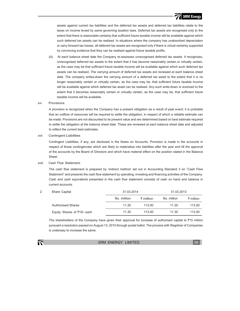assets against current tax liabilities and the deferred tax assets and deferred tax liabilities relate to the taxes on income levied by same governing taxation laws. Deferred tax assets are recognised only to the extent that there is reasonable certainty that sufficient future taxable income will be available against which such deferred tax assets can be realised. In situations where the company has unabsorbed depreciation or carry forward tax losses, all deferred tax assets are recognised only if there is virtual certainty supported by convincing evidence that they can be realised against future taxable profits.

(iii) At each balance sheet date the Company re-assesses unrecognised deferred tax assets. It recognizes, unrecognised deferred tax assets to the extent that it has become reasonably certain or virtually certain, as the case may be that sufficient future taxable income will be available against which such deferred tax assets can be realised. The carrying amount of deferred tax assets are reviewed at each balance sheet date. The company writes-down the carrying amount of a deferred tax asset to the extent that it is no longer reasonably certain or virtually certain, as the case may be, that sufficient future taxable income will be available against which deferred tax asset can be realised. Any such write-down is reversed to the extent that it becomes reasonably certain or virtually certain, as the case may be, that sufficient future taxable income will be available.

#### xvi Provisions

A provision is recognized when the Company has a present obligation as a result of past event; it is probable that an outflow of resources will be required to settle the obligation, in respect of which a reliable estimate can be made. Provisions are not discounted to its present value and are determined based on best estimate required to settle the obligation at the balance sheet date. These are reviewed at each balance sheet date and adjusted to reflect the current best estimates.

xvii Contingent Liabilities

Contingent Liabilities, if any, are disclosed in the Notes on Accounts. Provision is made in the accounts in respect of those contingencies which are likely to materialize into liabilities after the year end till the approval of the accounts by the Board of Directors and which have material effect on the position stated in the Balance Sheet.

#### xviii Cash Flow Statement

The cash flow statement is prepared by 'indirect method' set out in Accounting Standard 3 on "Cash Flow Statement" and presents the cash flow statement by operating, investing and financing activities of the Company. Cash and cash equivalents presented in the cash flow statement consists of cash on hand and balance in current accounts.

| Share Capital               | 31.03.2014  |           | 31.03.2013  |           |  |
|-----------------------------|-------------|-----------|-------------|-----------|--|
|                             | No. million | ₹ million | No. million | ₹ million |  |
| <b>Authorised Shares</b>    | 11.30       | 113.00    | 11.30       | 113.00    |  |
| Equity Shares of ₹10/- each | 11.30       | 113 00    | 11.30       | 113.00    |  |

The shareholders of the Company have given their approval for increase of authorised capital to  $\bar{z}$ 15 million pursuant a resolution passed on August 13, 2010 through postal ballot. The process with Registrar of Companies is underway to increase the same.

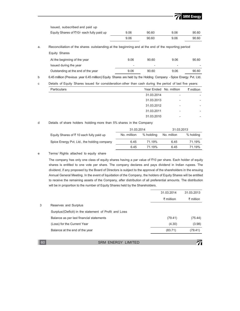7

| Issued, subscribed and paid up            |      |       |      |       |
|-------------------------------------------|------|-------|------|-------|
| Equity Shares of ₹10/- each fully paid up | 9.06 | 90.60 | 9.06 | 90.60 |
|                                           | 9.06 | 90.60 | 9.06 | 90.60 |

a. Reconciliation of the shares outstanding at the beginning and at the end of the reporting period

| Equity Shares                      |                          |                          |                          |       |
|------------------------------------|--------------------------|--------------------------|--------------------------|-------|
| At the beginning of the year       | 9.06                     | 90.60                    | 9.06                     | 90.60 |
| Issued during the year             | $\overline{\phantom{a}}$ | $\overline{\phantom{0}}$ | $\overline{\phantom{0}}$ |       |
| Outstanding at the end of the year | 9.06                     | 90.60                    | 9.06                     | 90.60 |

b 6.45 million (Previous year 6.45 million) Equity Shares are held by the Holding Company - Spice Energy Pvt. Ltd.

c Details of Equity Shares issued for consideration other than cash during the period of last five years:

| <b>Particulars</b> | Year Ended No. million |                          | ₹ million                |
|--------------------|------------------------|--------------------------|--------------------------|
|                    | 31.03.2014             | $\overline{\phantom{a}}$ | $\overline{\phantom{0}}$ |
|                    | 31.03.2013             | $\overline{\phantom{0}}$ | $\overline{\phantom{0}}$ |
|                    | 31.03.2012             | $\overline{\phantom{0}}$ | $\overline{\phantom{0}}$ |
|                    | 31.03.2011             | $\overline{\phantom{0}}$ | $\overline{\phantom{0}}$ |
|                    | 31.03.2010             | $\overline{\phantom{0}}$ | $\overline{\phantom{0}}$ |

d Details of share holders holding more than 5% shares in the Company

|                                             | 31.03.2014  |           | 31.03.2013  |           |
|---------------------------------------------|-------------|-----------|-------------|-----------|
| Equity Shares of ₹10 each fully paid up     | No. million | % holdina | No. million | % holding |
| Spice Energy Pyt. Ltd., the holding company | 6.45        | 71.19%    | 645         | 71.19%    |
|                                             | 6.45        | 71 19%    | 6.45        | 71.19%    |

# e Terms/ Rights attached to equity share

The company has only one class of equity shares having a par value of  $\bar{\tau}$ 10 per share. Each holder of equity shares is entitled to one vote per share. The company declares and pays dividend in Indian rupees. The dividend, if any proposed by the Board of Directors is subject to the approval of the shareholders in the ensuing Annual General Meeting. In the event of liquidation of the Company, the holders of Equity Shares will be entitled to receive the remaining assets of the Company, after distribution of all preferential amounts. The distribution will be in proportion to the number of Equity Shares held by the Shareholders.

|   |                                                       | 31.03.2014 | 31.03.2013 |
|---|-------------------------------------------------------|------------|------------|
|   |                                                       | ₹ million  | ₹ million  |
| 3 | Reserves and Surplus                                  |            |            |
|   | Surplus/(Deficit) in the statement of Profit and Loss |            |            |
|   | Balance as per last financial statements              | (79.41)    | (75.44)    |
|   | (Loss) for the Current Year                           | (4.30)     | (3.98)     |
|   | Balance at the end of the year                        | (83.71)    | (79.41)    |
|   |                                                       |            |            |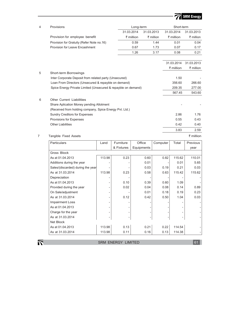

| 4 | Provisions                                                    | Long-term  |                      |            | Short-term           |  |
|---|---------------------------------------------------------------|------------|----------------------|------------|----------------------|--|
|   |                                                               | 31.03.2014 | 31.03.2013           | 31.03.2014 | 31.03.2013           |  |
|   | Provision for employee benefit                                | ₹ million  | $\bar{\tau}$ million | ₹ million  | $\bar{\tau}$ million |  |
|   | Provision for Gratuity (Refer Note no.16)                     | 0.59       | 1.44                 | 0.01       | 0.04                 |  |
|   | Provision for Leave Encashment                                | 0.67       | 1.73                 | 0.07       | 0.17                 |  |
|   |                                                               | 1.26       | 3.17                 | 0.08       | 0.21                 |  |
|   |                                                               |            |                      |            |                      |  |
|   |                                                               |            |                      | 31.03.2014 | 31.03.2013           |  |
|   |                                                               |            |                      | ₹ million  | ₹ million            |  |
| 5 | Short-term Borrowings                                         |            |                      |            |                      |  |
|   | Inter Corporate Deposit from related party (Unsecured)        |            |                      | 1.50       |                      |  |
|   | Loan From Directors (Unsecured & repayble on demand)          |            |                      | 356.60     | 266.60               |  |
|   | Spice Energy Private Limited (Unsecured & repayble on demand) |            |                      | 209.35     | 277.00               |  |
|   |                                                               |            |                      | 567.45     | 543.60               |  |
| 6 | <b>Other Current Liabilities</b>                              |            |                      |            |                      |  |
|   | Share Aplication Money pending Allotment                      |            |                      |            |                      |  |
|   | (Received from holding company, Spice Energy Pvt. Ltd.)       |            |                      |            |                      |  |
|   | Sundry Creditors for Expenses                                 |            |                      | 2.86       | 1.76                 |  |
|   | Provisions for Expenses                                       |            |                      | 0.55       | 0.43                 |  |
|   | <b>Other Liabilities</b>                                      |            |                      | 0.42       | 0.40                 |  |
|   |                                                               |            |                      | 3.83       | 2.59                 |  |

# 7 Tangible Fixed Assets **₹** million

| <b>Particulars</b>                | Land   | Furniture  | Office     | Computer | Total  | Previous |
|-----------------------------------|--------|------------|------------|----------|--------|----------|
|                                   |        | & Fixtures | Equipments |          |        | year     |
| Gross Block                       |        |            |            |          |        |          |
| As at 01.04.2013                  | 113.98 | 0.23       | 0.60       | 0.82     | 115.62 | 110.01   |
| Additions during the year         |        |            | 0.01       |          | 0.01   | 5.65     |
| Sales/(discarded) during the year |        |            | 0.03       | 0.19     | 0.21   | 0.03     |
| As at 31.03.2014                  | 113.98 | 0.23       | 0.58       | 0.63     | 115.42 | 115.62   |
| Depreciation                      |        |            |            |          |        |          |
| As at 01.04.2013                  |        | 0.10       | 0.39       | 0.60     | 1.09   |          |
| Provided during the year          |        | 0.02       | 0.04       | 0.08     | 0.14   | 0.89     |
| On Sale/adjustment                |        |            | 0.01       | 0.18     | 0.19   | 0.23     |
| As at 31.03.2014                  |        | 0.12       | 0.42       | 0.50     | 1.04   | 0.03     |
| <b>Impairment Loss</b>            |        |            |            |          |        |          |
| As at 01.04.2013                  |        |            |            |          |        |          |
| Charge for the year               |        |            |            |          |        |          |
| As at 31.03.2014                  |        |            |            |          |        |          |
| Net Block                         |        |            |            |          |        |          |
| As at 01.04.2013                  | 113.98 | 0.13       | 0.21       | 0.22     | 114.54 |          |
| As at 31.03.2014                  | 113.98 | 0.11       | 0.16       | 0.13     | 114.38 |          |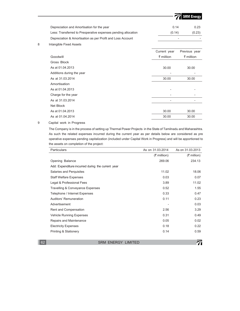| SRM I.<br>Energ<br>ν |
|----------------------|
|                      |

| Depreciation and Amortisation for the year                    | 0.14                     | 0.23                     |
|---------------------------------------------------------------|--------------------------|--------------------------|
| Less: Transferred to Preoperative expenses pending allocation | (0.14)                   | (0.23)                   |
| Depreciation & Amortisation as per Profit and Loss Account    | $\overline{\phantom{0}}$ | $\overline{\phantom{0}}$ |

8 Intangible Fixed Assets

|                           | Current year         | Previous year |
|---------------------------|----------------------|---------------|
| Goodwill                  | $\bar{\tau}$ million | ₹ million     |
| Gross Block               |                      |               |
| As at 01.04.2013          | 30.00                | 30.00         |
| Additions during the year | $\overline{a}$       |               |
| As at 31.03.2014          | 30.00                | 30.00         |
| Amortisation              |                      |               |
| As at 01.04.2013          | $\overline{a}$       |               |
| Charge for the year       | $\overline{a}$       |               |
| As at 31.03.2014          |                      |               |
| Net Block                 |                      |               |
| As at 01.04.2013          | 30.00                | 30.00         |
| As at 01.04.2014          | 30.00                | 30.00         |
|                           |                      |               |

9 Capital work in Progress

The Company is in the process of setting up Thermal Power Projects in the State of Tamilnadu and Maharashtra. As such the related expenses incurred during the current year as per details below are considered as pre operative expenses pending capitalization (included under Capital Work in Progress) and will be apportioned to the assets on completion of the project:

| <b>Particulars</b>                                | As on 31.03.2014 | As on 31.03.2013 |
|---------------------------------------------------|------------------|------------------|
|                                                   | (₹ million)      | (₹ million)      |
| Opening Balance                                   | 269.06           | 234.13           |
| Add: Expenditure incurred during the current year |                  |                  |
| Salaries and Perquisites                          | 11.02            | 18.06            |
| <b>Staff Welfare Expenses</b>                     | 0.03             | 0.07             |
| Legal & Professional Fees                         | 3.89             | 11.02            |
| Travelling & Conveyance Expenses                  | 0.52             | 1.55             |
| Telephone / Internet Expenses                     | 0.33             | 0.47             |
| Auditors' Remuneration                            | 0.11             | 0.23             |
| Advertisement                                     |                  | 0.03             |
| Rent and Compensation                             | 2.56             | 3.29             |
| <b>Vehicle Running Expenses</b>                   | 0.31             | 0.49             |
| Repairs and Maintenance                           | 0.05             | 0.02             |
| <b>Electricity Expenses</b>                       | 0.18             | 0.22             |
| Printing & Stationery                             | 0.14             | 0.59             |
|                                                   |                  |                  |

**62** SRM ENERGY LIMITED

 $\overline{\bf z}$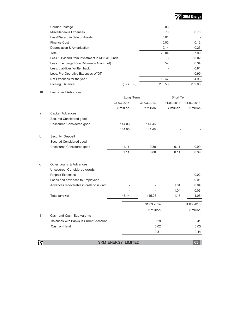# **TA** SRM Energy

| Courier/Postage                                 |                  | 0.03   |        |
|-------------------------------------------------|------------------|--------|--------|
| Miscellaneous Expenses                          |                  | 0.70   | 0.70   |
| Loss/Discard in Sale of Assets                  |                  | 0.01   |        |
| Finance Cost                                    |                  | 0.02   | 0.12   |
| Depreciation & Amortisation                     |                  | 0.14   | 0.23   |
| Total                                           |                  | 20.04  | 37.09  |
| Less : Dividend from Investment in Mutual Funds |                  |        | 0.02   |
| Less: Exchange Rate Difference Gain (net)       |                  | 0.57   | 0.34   |
| Less: Liabilities Written back                  |                  |        | 0.81   |
| Less: Pre-Operative Expenses W/Off              |                  |        | 0.99   |
| Net Expenses for the year                       |                  | 19.47  | 34.93  |
| Closing Balance                                 | $(i - ii + iii)$ | 288.53 | 269.06 |
|                                                 |                  |        |        |

<sup>10</sup> Loans and Advances

|             |                                         | Long Term                |            | <b>Short Term</b> |            |
|-------------|-----------------------------------------|--------------------------|------------|-------------------|------------|
|             |                                         | 31.03.2014               | 31.03.2013 | 31.03.2014        | 31.03.2013 |
|             |                                         | ₹ million                | ₹ million  | ₹ million         | ₹ million  |
| a           | Capital Advances                        |                          |            |                   |            |
|             | Secured Considered good                 |                          |            |                   |            |
|             | Unsecured Considered good               | 144.03                   | 144.46     |                   |            |
|             |                                         | 144.03                   | 144.46     |                   |            |
| b           | Security Deposit                        |                          |            |                   |            |
|             | Secured Considered good                 |                          |            |                   |            |
|             | Unsecured Considered good               | 1.11                     | 0.80       | 0.11              | 0.99       |
|             |                                         | 1.11                     | 0.80       | 0.11              | 0.99       |
| $\mathbf C$ | Other Loans & Advances                  |                          |            |                   |            |
|             | Unsecured Considered goods              |                          |            |                   |            |
|             | Prepaid Expenses                        |                          |            |                   | 0.02       |
|             | Loans and advances to Employees         |                          |            |                   | 0.01       |
|             | Advances recoverable in cash or in kind |                          |            | 1.04              | 0.04       |
|             |                                         | $\overline{\phantom{a}}$ |            | 1.04              | 0.06       |
|             | Total $(a+b+c)$                         | 145.14                   | 145.26     | 1.15              | 1.05       |
|             |                                         |                          | 31.03.2014 |                   | 31.03.2013 |
|             |                                         |                          | ₹ million  |                   | ₹ million  |
| 11          | Cash and Cash Equivalents               |                          |            |                   |            |
|             | Balances with Banks in Current Account  |                          | 0.29       |                   | 0.41       |
|             | Cash on Hand                            |                          | 0.02       |                   | 0.03       |
|             |                                         |                          | 0.31       |                   | 0.44       |
|             |                                         |                          |            |                   |            |

# Ñ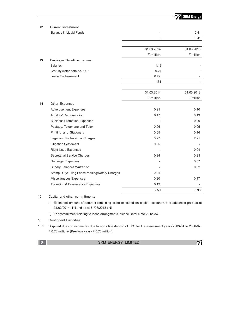| 12 | Current Investment                              |                          |            |
|----|-------------------------------------------------|--------------------------|------------|
|    | Balance in Liquid Funds                         | $\overline{\phantom{a}}$ | 0.41       |
|    |                                                 |                          | 0.41       |
|    |                                                 | 31.03.2014               | 31.03.2013 |
|    |                                                 | ₹ million                | ₹ million  |
| 13 | Employee Benefit expenses                       |                          |            |
|    | Salaries                                        | 1.18                     |            |
|    | Gratuity (refer note no. 17) *                  | 0.24                     |            |
|    | Leave Enchasement                               | 0.29                     |            |
|    |                                                 | 1.71                     |            |
|    |                                                 |                          |            |
|    |                                                 | 31.03.2014               | 31.03.2013 |
|    |                                                 | ₹ million                | ₹ million  |
| 14 | Other Expenses                                  |                          |            |
|    | <b>Advertisement Expenses</b>                   | 0.21                     | 0.10       |
|    | Auditors' Remuneration                          | 0.47                     | 0.13       |
|    | <b>Business Promotion Expenses</b>              |                          | 0.20       |
|    | Postage, Telephone and Telex                    | 0.06                     | 0.05       |
|    | Printing and Stationery                         | 0.05                     | 0.16       |
|    | Legal and Professional Charges                  | 0.27                     | 2.21       |
|    | <b>Litigation Settlement</b>                    | 0.65                     |            |
|    | <b>Right Issue Expenses</b>                     |                          | 0.04       |
|    | Secretarial Service Charges                     | 0.24                     | 0.23       |
|    | Demerger Expenses                               |                          | 0.67       |
|    | Sundry Balances Written off                     |                          | 0.02       |
|    | Stamp Duty/ Filing Fees/Franking/Notary Charges | 0.21                     |            |
|    | Miscellaneous Expenses                          | 0.30                     | 0.17       |
|    | Travelling & Conveyance Expenses                | 0.13                     |            |
|    |                                                 | 2.59                     | 3.98       |

15 Capital and other commitments

i) Estimated amount of contract remaining to be executed on capital account net of advances paid as at 31/03/2014 : Nil and as at 31/03/2013 : Nil

ii) For commitment relating to lease arrangments, please Refer Note 20 below.

# **64** SRM ENERGY LIMITED

<sup>16</sup> Contingent Liabilities:

<sup>16.1</sup> Disputed dues of Income tax due to non / late deposit of TDS for the assessment years 2003-04 to 2006-07: ₹ 0.73 million/- (Previous year - ₹ 0.73 million)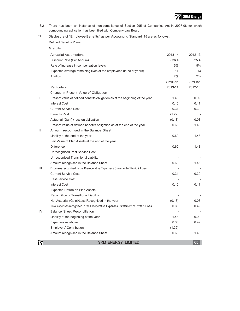16.2 There has been an instance of non-compliance of Section 295 of Companies Act in 2007-08 for which compounding apllication has been filed with Company Law Board.

17 Disclosure of "Employee Benefits" as per Accounting Standard 15 are as follows:

Defined Benefits Plans

|              | Gratuity                                                                            |                      |                      |
|--------------|-------------------------------------------------------------------------------------|----------------------|----------------------|
|              | <b>Actuarial Assumptions</b>                                                        | 2013-14              | 2012-13              |
|              | Discount Rate (Per Annum)                                                           | 9.36%                | 8.25%                |
|              | Rate of increase in compensation levels                                             | 5%                   | 5%                   |
|              | Expected average remaining lives of the employees (in no of years)                  | 11                   | 13                   |
|              | Attrition                                                                           | 2%                   | 2%                   |
|              |                                                                                     | $\bar{\tau}$ million | $\bar{\tau}$ million |
|              | <b>Particulars</b>                                                                  | 2013-14              | 2012-13              |
|              | Change in Present Value of Obligation                                               |                      |                      |
| I            | Present value of defined benefits obligation as at the beginning of the year        | 1.48                 | 0.99                 |
|              | <b>Interest Cost</b>                                                                | 0.15                 | 0.11                 |
|              | <b>Current Service Cost</b>                                                         | 0.34                 | 0.30                 |
|              | <b>Benefits Paid</b>                                                                | (1.22)               |                      |
|              | Actuarial (Gain) / loss on obligation                                               | (0.13)               | 0.08                 |
|              | Present value of defined benefits obligation as at the end of the year              | 0.60                 | 1.48                 |
| $\mathbf{H}$ | Amount recognised in the Balance Sheet                                              |                      |                      |
|              | Liability at the end of the year                                                    | 0.60                 | 1.48                 |
|              | Fair Value of Plan Assets at the end of the year                                    |                      |                      |
|              | <b>Difference</b>                                                                   | 0.60                 | 1.48                 |
|              | Unrecognised Past Service Cost                                                      |                      |                      |
|              | Unrecognised Transitional Liability                                                 |                      |                      |
|              | Amount recognised in the Balance Sheet                                              | 0.60                 | 1.48                 |
| Ш            | Expenses recognised in the Pre-operative Expenses / Statement of Profit & Loss      |                      |                      |
|              | <b>Current Service Cost</b>                                                         | 0.34                 | 0.30                 |
|              | Past Service Cost                                                                   |                      |                      |
|              | <b>Interest Cost</b>                                                                | 0.15                 | 0.11                 |
|              | <b>Expected Return on Plan Assets</b>                                               |                      |                      |
|              | Recognition of Transitional Liability                                               |                      |                      |
|              | Net Actuarial (Gain)/Loss Recognised in the year                                    | (0.13)               | 0.08                 |
|              | Total expenses recognised in the Preoperative Expenses / Statement of Profit & Loss | 0.35                 | 0.49                 |
| IV           | <b>Balance Sheet Reconciliation</b>                                                 |                      |                      |
|              | Liability at the beginning of the year                                              | 1.48                 | 0.99                 |
|              | Expenses as above                                                                   | 0.35                 | 0.49                 |
|              | Employers' Contribution                                                             | (1.22)               |                      |
|              | Amount recognised in the Balance Sheet                                              | 0.60                 | 1.48                 |
|              | <b>SRM ENERGY LIMITED</b>                                                           |                      | 65                   |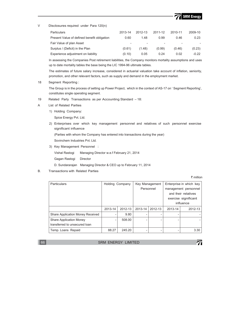

V Disclosures required under Para 120(n)

| Particulars                                 | 2013-14 | 2012-13 | 2011-12                  | 2010-11                  | 2009-10 |
|---------------------------------------------|---------|---------|--------------------------|--------------------------|---------|
| Present Value of defined benefit obligation | 0.60    | 1.48    | 0.99                     | 0.46                     | 0.23    |
| Fair Value of plan Asset                    |         |         | $\overline{\phantom{0}}$ | $\overline{\phantom{a}}$ |         |
| Surplus / (Deficit) in the Plan             | (0.61)  | (1.48)  | (0.99)                   | (0.46)                   | (0.23)  |
| Experience adjustment on liability          | (0.10)  | 0.05    | 0.24                     | 0.02                     | $-0.22$ |

In assessing the Companies Post retirement liabilities, the Company monitors mortality assumptions and uses up to date mortality tables the base being the LIC 1994-96 ultimate tables.

The estimates of future salary increase, considered in actuarial valuation take account of inflation, seniority, promotion, and other relevant factors, such as supply and demand in the employment market.

18 Segment Reporting :

The Group is in the process of setting up Power Project, which in the context of AS-17 on ' Segment Reporting', constitutes single operating segment.

- 19 Related Party Transactions as per Accounting Standard 18:
- A List of Related Parties
	- 1) Holding Company:

Spice Energy Pvt. Ltd.

2) Enterprises over which key management personnel and relatives of such personnel exercise significant influence

(Parties with whom the Company has entered into transactions during the year) Sovinchem Industries Pvt. Ltd.

3) Key Management Personnel :

Vishal Rastogi Managing Director w.e.f February 21, 2014

Gagan Rastogi Director

D. Sundararajan Managing Director & CEO up to February 11, 2014

B. Transactions with Related Parties

₹ million

| Particulars                      | Key Management<br>Holding Company |         |           |                     |         | Enterprise in which key |
|----------------------------------|-----------------------------------|---------|-----------|---------------------|---------|-------------------------|
|                                  |                                   |         | Personnel |                     |         | management personnel    |
|                                  |                                   |         |           | and their relatives |         |                         |
|                                  |                                   |         |           |                     |         | exercise significant    |
|                                  |                                   |         |           |                     |         | influence               |
|                                  | 2013-14                           | 2012-13 | 2013-14   | 2012-13             | 2013-14 | 2012-13                 |
| Share Application Money Received |                                   | 9.80    |           |                     |         |                         |
| <b>Share Application Money</b>   |                                   | 508.00  |           |                     |         |                         |
| transferred to unsecured loan    |                                   |         |           |                     |         |                         |
| Temp. Loans Repaid               | 88.27                             | 245.20  |           |                     |         | 3.30                    |

**66 SRM ENERGY LIMITED**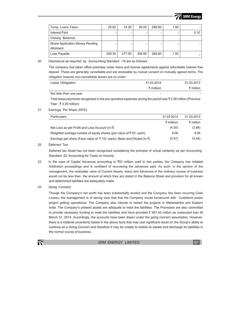

| Temp. Loans Taken               | 20.62  | 14.20  | 90.00  | 266.60 | 1.50 |      |
|---------------------------------|--------|--------|--------|--------|------|------|
| <b>Interest Paid</b>            |        |        |        |        |      | 0.10 |
| Closing Balance:                |        |        |        |        |      |      |
| Share Application Money Pending |        |        |        |        |      |      |
| Allotment                       |        |        |        |        |      |      |
| Loan Payable                    | 209.35 | 277.00 | 356.60 | 266.60 | 1.50 |      |

20 Disclosure as required by Accounting Standard -19 are as follows:

The company has taken office premises under leave and license agreements against refundable interest free deposit. These are generally cancellable and are renewable by mutual consent on mutually agreed terms. The obligation towards non-cancellable leases are as under:

| Lease Obligation        | 31.03.2014               | 31.03.2013               |
|-------------------------|--------------------------|--------------------------|
|                         | $\bar{\tau}$ million     | ₹ million                |
| Not later than one year | $\overline{\phantom{0}}$ | $\overline{\phantom{0}}$ |

Total lease payments recognised in the pre operative expenses during the period was  $\bar{z}$  2.56 million (Previous Year:  $\overline{\xi}$  3.29 million)

21 Earnings Per Share (EPS):

| <b>Particulars</b>                                                                              | 31.03.2014 | 31.03.2013           |
|-------------------------------------------------------------------------------------------------|------------|----------------------|
|                                                                                                 | ₹ million  | $\bar{\tau}$ million |
| Net Loss as per Profit and Loss Account (in $\bar{z}$ )                                         | (4.30)     | (3.98)               |
| Weighted average number of equity shares (par value of $\bar{\tau}$ 10/- each)                  | 9.06       | 9.06                 |
| Earnings per share (Face value of $\bar{\tau}$ 10/- each)- Basic and Diluted (in $\bar{\tau}$ ) | (0.47)     | (0.44)               |

# 22 Deferred Tax:

Deferred tax Asset has not been recognized considering the principle of virtual certainity as per Accounting Standard -22 'Accounting for Taxes on Income'.

23 In the case of Capital Advances amounting to `53 million, paid to two parties, the Company has initiated Arbitration proceedings and is confident of recovering the advances paid. As such, in the opinion of the management, the realizable value of Current Assets, loans and Advances in the ordinary course of business would not be less than the amount at which they are stated in the Balance Sheet and provision for all known and determined liabilities are adequately made.

#### 24 Going Concern

Though the Company's net worth has been substantially eroded and the Company has been incurring Cash Losses, the management is of strong view that that the Company would turnaround with Cuddalore power project getting operational. The Company also intends to restart the projects in Maharashtra and Eastern India. The Company's present assets are adequate to meet the liabilities. The Promoters are also committed to provide necessary funding to meet the liabilities and have provided  $\bar{\tau}$  567.45 million as unsecured loan till March 31, 2014. Accordingly, the accounts have been drawn under the going concern assumption. However, there is a material uncertainty based in the above facts that may cast significant doubt on the Group's ability to continue as a Going Concern and therefore it may be unable to realise its assets and discharge its liabilities in the normal course of business.

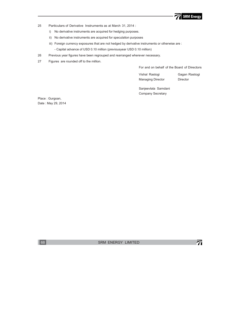

- 25 Particulars of Derivative Instruments as at March 31, 2014 :
	- i) No derivative instruments are acquired for hedging purposes.
	- ii) No derivative instruments are acquired for speculation purposes
	- iii) Foreign currency exposures that are not hedged by derivative instruments or otherwise are :
		- Capital advance of USD 0.10 million (previousyear USD 0.10 million)
- 26 Previous year figures have been regrouped and rearranged wherever necessary.
- 27 Figures are rounded off to the million.

For and on behalf of the Board of Directors

Vishal Rastogi Gagan Rastogi Managing Director Director

Sanjeevlata Samdani Company Secretary

Place : Gurgoan, Date : May 29, 2014

**68** SRM ENERGY LIMITED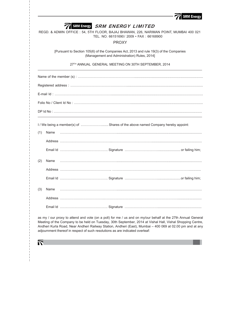|     |      | <b>SRM Energy</b>                                                                                                                                                 |
|-----|------|-------------------------------------------------------------------------------------------------------------------------------------------------------------------|
|     |      | SRM Energy SRM ENERGY LIMITED<br>REGD. & ADMIN OFFICE : 54, 5TH FLOOR, BAJAJ BHAWAN, 226, NARIMAN POINT, MUMBAI 400 021<br>TEL. NO. 66151690/2009 · FAX: 66168900 |
|     |      | <b>PROXY</b>                                                                                                                                                      |
|     |      | [Pursuant to Section 105(6) of the Companies Act, 2013 and rule 19(3) of the Companies<br>(Management and Administration) Rules, 2014]                            |
|     |      | 27TH ANNUAL GENERAL MEETING ON 30TH SEPTEMBER, 2014                                                                                                               |
|     |      |                                                                                                                                                                   |
|     |      |                                                                                                                                                                   |
|     |      |                                                                                                                                                                   |
|     |      |                                                                                                                                                                   |
|     |      |                                                                                                                                                                   |
|     |      |                                                                                                                                                                   |
|     |      | I / We being a member(s) of  Shares of the above named Company hereby appoint:                                                                                    |
| (1) | Name |                                                                                                                                                                   |
|     |      |                                                                                                                                                                   |
|     |      |                                                                                                                                                                   |
| (2) | Name |                                                                                                                                                                   |
|     |      |                                                                                                                                                                   |
|     |      |                                                                                                                                                                   |
| (3) | Name |                                                                                                                                                                   |
|     |      |                                                                                                                                                                   |
|     |      |                                                                                                                                                                   |
|     |      |                                                                                                                                                                   |

as my / our proxy to attend and vote (on a poll) for me / us and on my/our behalf at the 27th Annual General Meeting of the Company to be held on Tuesday, 30th September, 2014 at Vishal Hall, Vishal Shopping Centre, Andheri Kurla Road, Near Andheri Railway Station, Andheri (East), Mumbai – 400 069 at 02.00 pm and at any adjournment thereof in respect of such resolutions as are indicated overleaf:

SRM ENERGY LIMITED 69

# **下**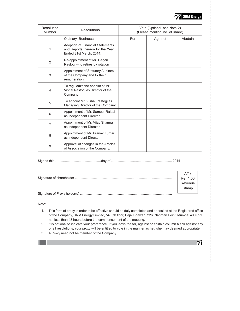

| Resolution<br><b>Number</b> | <b>Resolutions</b>                                                                              | Vote (Optional see Note 2)<br>(Please mention no. of share) |         |         |
|-----------------------------|-------------------------------------------------------------------------------------------------|-------------------------------------------------------------|---------|---------|
|                             | Ordinary Business:                                                                              | For                                                         | Against | Abstain |
| 1                           | Adoption of Financial Statements<br>and Reports thereon for the Year<br>Ended 31st March, 2014. |                                                             |         |         |
| 2                           | Re-appointment of Mr. Gagan<br>Rastogi who retires by rotation                                  |                                                             |         |         |
| 3                           | Appointment of Statutory Auditors<br>of the Company and fix their<br>remuneration.              |                                                             |         |         |
| 4                           | To regularize the appoint of Mr.<br>Vishal Rastogi as Director of the<br>Company.               |                                                             |         |         |
| 5                           | To appoint Mr. Vishal Rastogi as<br>Managing Director of the Company.                           |                                                             |         |         |
| 6                           | Appointment of Mr. Sameer Rajpal<br>as Independent Director.                                    |                                                             |         |         |
| $\overline{7}$              | Appointment of Mr. Vijay Sharma<br>as Independent Director.                                     |                                                             |         |         |
| 8                           | Appointment of Mr. Pranav Kumar<br>as Independent Director.                                     |                                                             |         |         |
| 9                           | Approval of changes in the Articles<br>of Association of the Company.                           |                                                             |         |         |

|--|--|

|  | Affix   |  |
|--|---------|--|
|  |         |  |
|  | Revenue |  |
|  | Stamp   |  |
|  |         |  |
|  |         |  |

# Note:

- 1. This form of proxy in order to be effective should be duly completed and deposited at the Registered office of the Company, SRM Energy Limited, 54, 5th floor, Bajaj Bhawan, 226, Nariman Point, Mumbai 400 021. not less than 48 hours before the commencement of the meeting.
- 2. It is optional to indicate your preference. If you leave the for, against or abstain column blank against any or all resolutions, your proxy will be entitled to vote in the manner as he / she may deemed appropriate.
- 3. A Proxy need not be member of the Company.

70 SRM ENERGY LIMITED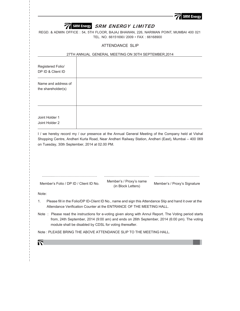| - М⊪<br>æ<br>m÷ |
|-----------------|
|                 |

# **TERM ENERGY LIMITED**

REGD. & ADMIN OFFICE : 54, 5TH FLOOR, BAJAJ BHAWAN, 226, NARIMAN POINT, MUMBAI 400 021 TEL. NO. 66151690 / 2009 • FAX : 66168900

## ATTENDANCE SLIP

|                                               |  | 27TH ANNUAL GENERAL MEETING ON 30TH SEPTEMBER, 2014                  |                                                                                                                                                                                                           |
|-----------------------------------------------|--|----------------------------------------------------------------------|-----------------------------------------------------------------------------------------------------------------------------------------------------------------------------------------------------------|
| Registered Folio/<br>DP ID & Client ID        |  |                                                                      |                                                                                                                                                                                                           |
| Name and address of<br>the shareholder(s)     |  |                                                                      |                                                                                                                                                                                                           |
| Joint Holder 1<br>Joint Holder 2              |  |                                                                      |                                                                                                                                                                                                           |
| on Tuesday, 30th September, 2014 at 02.00 PM. |  |                                                                      | I / we hereby record my / our presence at the Annual General Meeting of the Company held at Vishal<br>Shopping Centre, Andheri Kurla Road, Near Andheri Railway Station, Andheri (East), Mumbai - 400 069 |
| Member's Folio / DP ID / Client ID No.        |  | Member's / Proxy's name<br>(in Block Letters)                        | Member's / Proxy's Signature                                                                                                                                                                              |
| Note:                                         |  |                                                                      |                                                                                                                                                                                                           |
| 1.                                            |  | Attendance Verification Counter at the ENTRANCE OF THE MEETING HALL. | Please fill in the Folio/DP ID-Client ID No., name and sign this Attendance Slip and hand it over at the                                                                                                  |
|                                               |  | module shall be disabled by CDSL for voting thereafter.              | Note: Please read the instructions for e-voting given along with Annul Report. The Voting period starts<br>from, 24th September, 2014 (9:00 am) and ends on 26th September, 2014 (6:00 pm). The voting    |
|                                               |  | Note: PLEASE BRING THE ABOVE ATTENDANCE SLIP TO THE MEETING HALL.    |                                                                                                                                                                                                           |
| N                                             |  |                                                                      |                                                                                                                                                                                                           |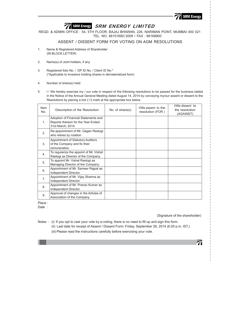

#### SRM Energy SRM ENERGY LIMITED

REGD. & ADMIN OFFICE : 54, 5TH FLOOR, BAJAJ BHAWAN, 226, NARIMAN POINT, MUMBAI 400 021 TEL. NO. 66151690 / 2009 • FAX : 66168900

### ASSENT / DISSENT FORM FOR VOTING ON AGM RESOLUTIONS

- 1. Name & Registered Address of Shareholder (IN BLOCK LETTER)
- 2. Name(s) of Joint holders, if any
- 3. Registered folio No. / DP ID No. / Client ID No.\* (\*Applicable to investors holding shares in dematerialized form)
- 4. Number of share(s) held
- 5. I / We hereby exercise my / our vote in respect of the following resolutions to be passed for the business stated in the Notice of the Annual General Meeting dated August 14, 2014 by conveying my/our assent or dissent to the Resolutions by placing a tick  $(\sqrt{})$  mark at the appropriate box below.

| <b>Item</b><br>No. | Description of the Resolution                                                                   | No. of share(s) | I/We assent to the<br>resolution (FOR) | I/We dissent to<br>the resolution<br>(AGAINST) |
|--------------------|-------------------------------------------------------------------------------------------------|-----------------|----------------------------------------|------------------------------------------------|
| 1 <sub>1</sub>     | Adoption of Financial Statements and<br>Reports thereon for the Year Ended<br>31st March, 2014. |                 |                                        |                                                |
| 2.                 | Re-appointment of Mr. Gagan Rastogi<br>who retires by rotation                                  |                 |                                        |                                                |
| 3.                 | <b>Appointment of Statutory Auditors</b><br>of the Company and fix their<br>remuneration.       |                 |                                        |                                                |
| 4.                 | To regularize the appoint of Mr. Vishal<br>Rastogi as Director of the Company.                  |                 |                                        |                                                |
| 5.                 | To appoint Mr. Vishal Rastogi as<br>Managing Director of the Company.                           |                 |                                        |                                                |
| 6.                 | Appointment of Mr. Sameer Raipal as<br>Independent Director.                                    |                 |                                        |                                                |
| 7 <sub>1</sub>     | Appointment of Mr. Vijay Sharma as<br>Independent Director.                                     |                 |                                        |                                                |
| 8                  | Appointment of Mr. Pranav Kumar as<br>Independent Director.                                     |                 |                                        |                                                |
| 9.                 | Approval of changes in the Articles of<br>Association of the Company.                           |                 |                                        |                                                |

Place :

Date :

(Signature of the shareholder)

Notes : (i) If you opt to cast your vote by e-voting, there is no need to fill up and sign this form.

(ii) Last date for receipt of Assent / Dissent Form: Friday, September 26, 2014 (6.00 p.m. IST.)

(iii) Please read the instructions carefully before exercising your vote.

72 SRM ENERGY LIMITED

7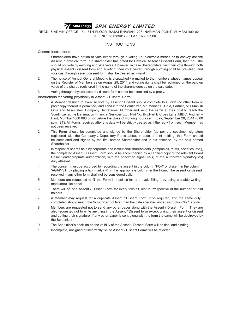#### SRM Energy SRM ENERGY LIMITED

REGD. & ADMIN OFFICE : 54, 5TH FLOOR, BAJAJ BHAWAN, 226, NARIMAN POINT, MUMBAI 400 021 TEL. NO. 66168901/2 · FAX: 66168900

### INSTRUCTIONS

### General Instructions

- 1. Shareholders have option to vote either through e-voting i.e. electronic means or to convey assent/ dissent in physical form. If a shareholder has opted for Physical Assent / Dissent Form, then he / she should not vote by e-voting and vice versa. However, in case Shareholders cast their vote through both physical assent / dissent form and e-voting, then vote casted through e voting shall be prevailed, and vote cast through assent/dissent form shall be treated as invalid.
- 2. The notice of Annual General Meeting is dispatched / e-mailed to the members whose names appear on the Register of Members as on August 29, 2014 and voting rights shall be reckoned on the paid up value of the shares registered in the name of the shareholders as on the said date.
- 3. Voting through physical assent / dissent form cannot be exercised by a proxy.

Instructions for voting physically in Assent / Dissent Form

- 1. A Member desiring to exercise vote by Assent / Dissent should complete this Form (no other form or photocopy thereof is permitted) and send it to the Scrutinizer, Mr. Manish L. Ghia, Partner, M/s Manish Ghia and Associates, Company Secretaries, Mumbai and send the same at their cost to reach the Scrutinizer at the Datamatics Financial Services Ltd., Plot No. B-5,Part B Cross Lane, MIDC, Andheri – East, Mumbai 4000 093 on or before the close of working hours i.e. Friday, September 26, 2014 (6.00 p.m. IST). All Forms received after this date will be strictly treated as if the reply from such Member has not been received.
- 2. This Form should be completed and signed by the Shareholder (as per the specimen signature registered with the Company / Depository Participants). In case of joint holding, this Form should be completed and signed by the first named Shareholder and in his absence, by the next named Shareholder.
- 3. In respect of shares held by corporate and institutional shareholders (companies, trusts, societies, etc.), the completed Assent / Dissent Form should be accompanied by a certified copy of the relevant Board Resolution/appropriate authorization, with the specimen signature(s) of the authorized signatory(ies) duly attested.
- 4. The consent must be accorded by recording the assent in the column 'FOR' or dissent in the column 'AGAINST' by placing a tick mark  $(\sqrt{ } )$  in the appropriate column in the Form. The assent or dissent received in any other form shall not be considered valid.
- 5. Members are requested to fill the Form in indelible ink and avoid filling it by using erasable writing medium(s) like pencil.
- 6. There will be one Assent / Dissent Form for every folio / Client id irrespective of the number of joint holders.
- 7. A Member may request for a duplicate Assent / Dissent Form, if so required, and the same duly completed should reach the Scrutinizer not later than the date specified under instruction No.1 above.
- 8. Members are requested not to send any other paper along with the Assent / Dissent Form. They are also requested not to write anything in the Assent / Dissent form except giving their assent or dissent and putting their signature. If any other paper is sent along with the form the same will be destroyed by the Scrutinizer.
- 9. The Scrutinizer's decision on the validity of the Assent / Dissent Form will be final and binding.
- 10. Incomplete, unsigned or incorrectly ticked Assent / Dissent Forms will be rejected.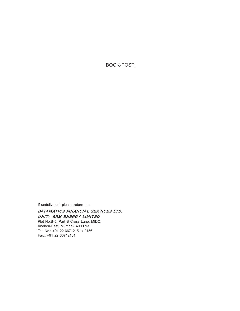## BOOK-POST

If undelivered, please return to :

## DATAMATICS FINANCIAL SERVICES LTD. UNIT:- SRM ENERGY LIMITED

Plot No.B-5, Part B Cross Lane, MIDC, Andheri-East, Mumbai- 400 093. Tel. No.: +91-22-66712151 / 2156 Fax.: +91 22 66712161